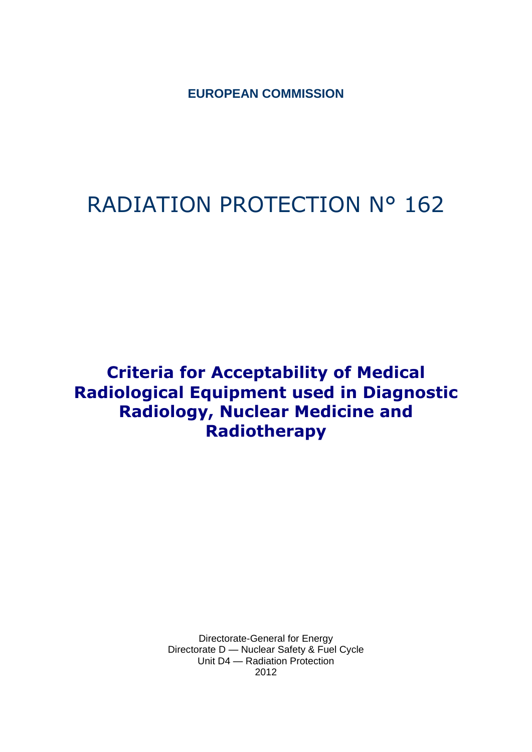**EUROPEAN COMMISSION**

# RADIATION PROTECTION N° 162

## **Criteria for Acceptability of Medical Radiological Equipment used in Diagnostic Radiology, Nuclear Medicine and Radiotherapy**

Directorate-General for Energy Directorate D — Nuclear Safety & Fuel Cycle Unit D4 — Radiation Protection 2012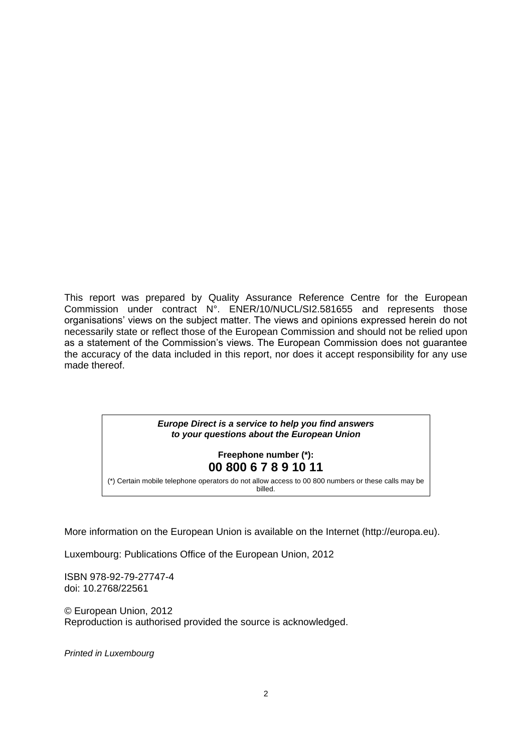This report was prepared by Quality Assurance Reference Centre for the European Commission under contract N°. ENER/10/NUCL/SI2.581655 and represents those organisations' views on the subject matter. The views and opinions expressed herein do not necessarily state or reflect those of the European Commission and should not be relied upon as a statement of the Commission's views. The European Commission does not guarantee the accuracy of the data included in this report, nor does it accept responsibility for any use made thereof.

#### *Europe Direct is a service to help you find answers to your questions about the European Union*

### **Freephone number (\*): 00 800 6 7 8 9 10 11**

[\(\\*\)](http://europa.eu.int/citizensrights/signpost/about/index_en.htm#note1#note1) Certain mobile telephone operators do not allow access to 00 800 numbers or these calls may be

billed.

More information on the European Union is available on the Internet (http://europa.eu).

Luxembourg: Publications Office of the European Union, 2012

ISBN 978-92-79-27747-4 doi: 10.2768/22561

© European Union, 2012 Reproduction is authorised provided the source is acknowledged.

*Printed in Luxembourg*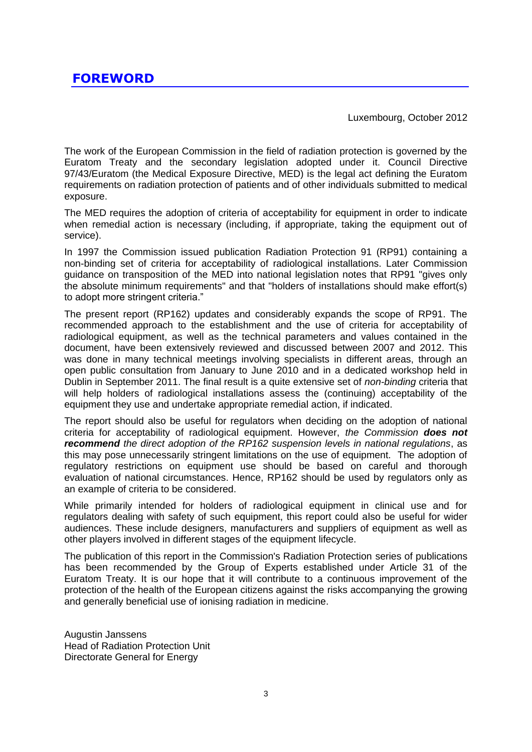Luxembourg, October 2012

<span id="page-2-0"></span>The work of the European Commission in the field of radiation protection is governed by the Euratom Treaty and the secondary legislation adopted under it. Council Directive 97/43/Euratom (the Medical Exposure Directive, MED) is the legal act defining the Euratom requirements on radiation protection of patients and of other individuals submitted to medical exposure.

The MED requires the adoption of criteria of acceptability for equipment in order to indicate when remedial action is necessary (including, if appropriate, taking the equipment out of service).

In 1997 the Commission issued publication Radiation Protection 91 (RP91) containing a non-binding set of criteria for acceptability of radiological installations. Later Commission guidance on transposition of the MED into national legislation notes that RP91 "gives only the absolute minimum requirements" and that "holders of installations should make effort(s) to adopt more stringent criteria."

The present report (RP162) updates and considerably expands the scope of RP91. The recommended approach to the establishment and the use of criteria for acceptability of radiological equipment, as well as the technical parameters and values contained in the document, have been extensively reviewed and discussed between 2007 and 2012. This was done in many technical meetings involving specialists in different areas, through an open public consultation from January to June 2010 and in a dedicated workshop held in Dublin in September 2011. The final result is a quite extensive set of *non-binding* criteria that will help holders of radiological installations assess the (continuing) acceptability of the equipment they use and undertake appropriate remedial action, if indicated.

The report should also be useful for regulators when deciding on the adoption of national criteria for acceptability of radiological equipment. However, *the Commission does not recommend the direct adoption of the RP162 suspension levels in national regulations*, as this may pose unnecessarily stringent limitations on the use of equipment. The adoption of regulatory restrictions on equipment use should be based on careful and thorough evaluation of national circumstances. Hence, RP162 should be used by regulators only as an example of criteria to be considered.

While primarily intended for holders of radiological equipment in clinical use and for regulators dealing with safety of such equipment, this report could also be useful for wider audiences. These include designers, manufacturers and suppliers of equipment as well as other players involved in different stages of the equipment lifecycle.

The publication of this report in the Commission's Radiation Protection series of publications has been recommended by the Group of Experts established under Article 31 of the Euratom Treaty. It is our hope that it will contribute to a continuous improvement of the protection of the health of the European citizens against the risks accompanying the growing and generally beneficial use of ionising radiation in medicine.

Augustin Janssens Head of Radiation Protection Unit Directorate General for Energy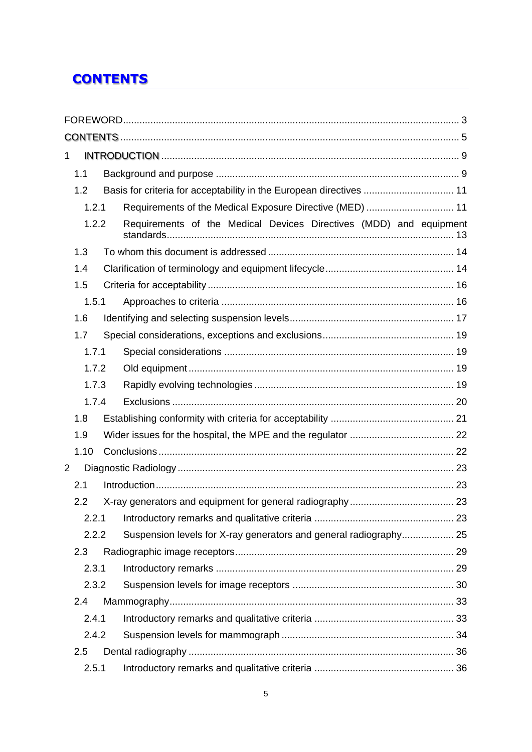## <span id="page-4-0"></span>**CONTENTS**

| 1              |       |                                                                     |  |
|----------------|-------|---------------------------------------------------------------------|--|
|                | 1.1   |                                                                     |  |
|                | 1.2   | Basis for criteria for acceptability in the European directives  11 |  |
|                | 1.2.1 | Requirements of the Medical Exposure Directive (MED)  11            |  |
|                | 1.2.2 | Requirements of the Medical Devices Directives (MDD) and equipment  |  |
|                | 1.3   |                                                                     |  |
|                | 1.4   |                                                                     |  |
|                | 1.5   |                                                                     |  |
|                | 1.5.1 |                                                                     |  |
|                | 1.6   |                                                                     |  |
|                | 1.7   |                                                                     |  |
|                | 1.7.1 |                                                                     |  |
|                | 1.7.2 |                                                                     |  |
|                | 1.7.3 |                                                                     |  |
|                | 1.7.4 |                                                                     |  |
|                | 1.8   |                                                                     |  |
|                | 1.9   |                                                                     |  |
|                | 1.10  |                                                                     |  |
| $\overline{2}$ |       |                                                                     |  |
|                | 2.1   |                                                                     |  |
|                | 2.2   |                                                                     |  |
|                | 2.2.1 |                                                                     |  |
|                | 2.2.2 | Suspension levels for X-ray generators and general radiography 25   |  |
|                | 2.3   |                                                                     |  |
|                | 2.3.1 |                                                                     |  |
|                | 2.3.2 |                                                                     |  |
|                | 2.4   |                                                                     |  |
|                | 2.4.1 |                                                                     |  |
|                | 2.4.2 |                                                                     |  |
|                | 2.5   |                                                                     |  |
|                | 2.5.1 |                                                                     |  |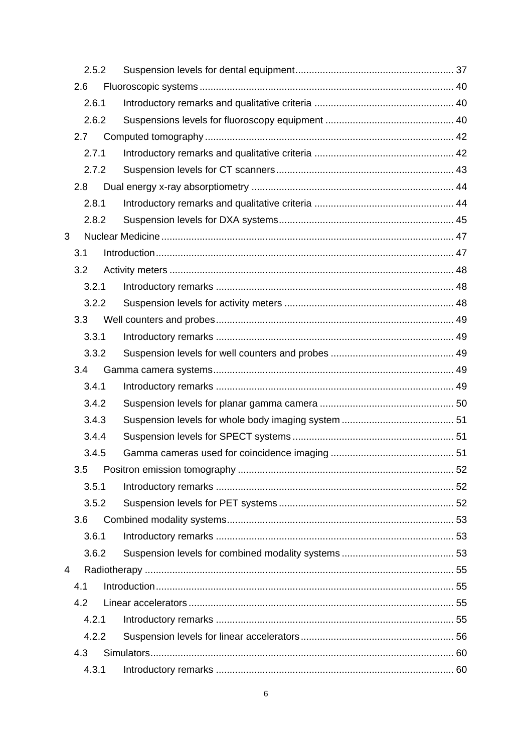|   | 2.5.2 |  |  |
|---|-------|--|--|
|   | 2.6   |  |  |
|   | 2.6.1 |  |  |
|   | 2.6.2 |  |  |
|   | 2.7   |  |  |
|   | 2.7.1 |  |  |
|   | 2.7.2 |  |  |
|   | 2.8   |  |  |
|   | 2.8.1 |  |  |
|   | 2.8.2 |  |  |
| 3 |       |  |  |
|   | 3.1   |  |  |
|   | 3.2   |  |  |
|   | 3.2.1 |  |  |
|   | 3.2.2 |  |  |
|   | 3.3   |  |  |
|   | 3.3.1 |  |  |
|   | 3.3.2 |  |  |
|   | 3.4   |  |  |
|   | 3.4.1 |  |  |
|   | 3.4.2 |  |  |
|   | 3.4.3 |  |  |
|   | 3.4.4 |  |  |
|   | 3.4.5 |  |  |
|   | 3.5   |  |  |
|   | 3.5.1 |  |  |
|   | 3.5.2 |  |  |
|   | 3.6   |  |  |
|   | 3.6.1 |  |  |
|   | 3.6.2 |  |  |
| 4 |       |  |  |
|   | 4.1   |  |  |
|   | 4.2   |  |  |
|   | 4.2.1 |  |  |
|   | 4.2.2 |  |  |
|   | 4.3   |  |  |
|   | 4.3.1 |  |  |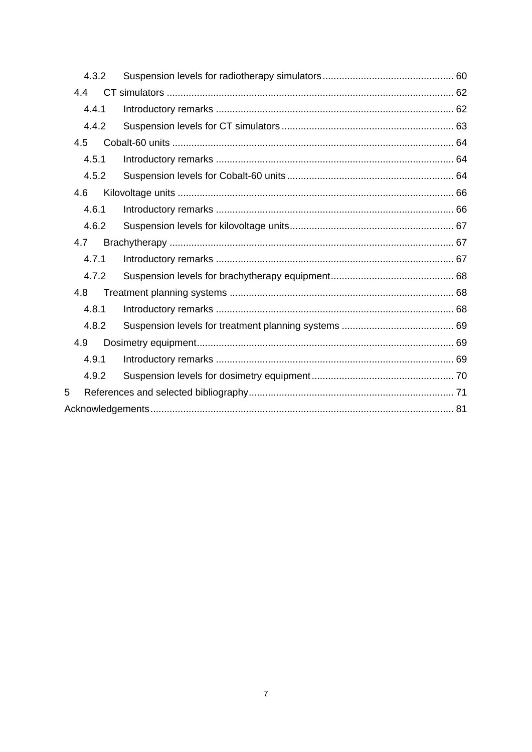|     | 4.3.2 |  |  |  |  |  |
|-----|-------|--|--|--|--|--|
| 4.4 |       |  |  |  |  |  |
|     | 4.4.1 |  |  |  |  |  |
|     | 4.4.2 |  |  |  |  |  |
| 4.5 |       |  |  |  |  |  |
|     | 4.5.1 |  |  |  |  |  |
|     | 4.5.2 |  |  |  |  |  |
| 4.6 |       |  |  |  |  |  |
|     | 4.6.1 |  |  |  |  |  |
|     | 4.6.2 |  |  |  |  |  |
| 4.7 |       |  |  |  |  |  |
|     | 4.7.1 |  |  |  |  |  |
|     | 4.7.2 |  |  |  |  |  |
| 4.8 |       |  |  |  |  |  |
|     | 4.8.1 |  |  |  |  |  |
|     | 4.8.2 |  |  |  |  |  |
| 4.9 |       |  |  |  |  |  |
|     | 4.9.1 |  |  |  |  |  |
|     | 4.9.2 |  |  |  |  |  |
| 5   |       |  |  |  |  |  |
|     |       |  |  |  |  |  |
|     |       |  |  |  |  |  |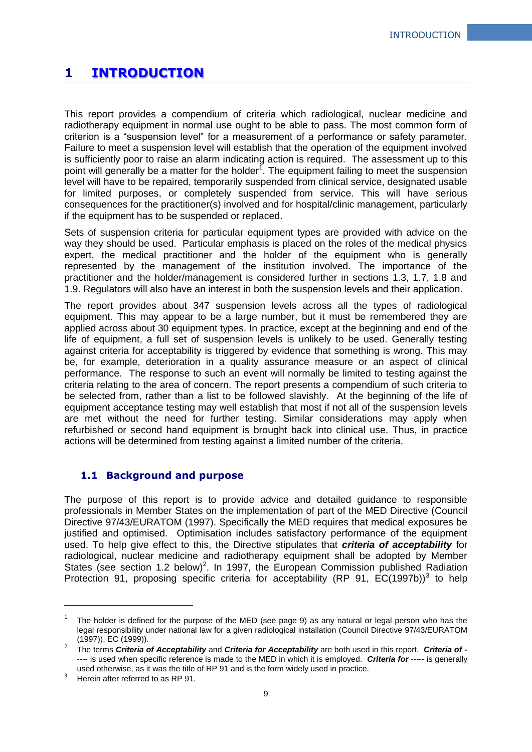## <span id="page-8-0"></span>**1 INTRODUCTION**

This report provides a compendium of criteria which radiological, nuclear medicine and radiotherapy equipment in normal use ought to be able to pass. The most common form of criterion is a "suspension level" for a measurement of a performance or safety parameter. Failure to meet a suspension level will establish that the operation of the equipment involved is sufficiently poor to raise an alarm indicating action is required. The assessment up to this point will generally be a matter for the holder<sup>1</sup>. The equipment failing to meet the suspension level will have to be repaired, temporarily suspended from clinical service, designated usable for limited purposes, or completely suspended from service. This will have serious consequences for the practitioner(s) involved and for hospital/clinic management, particularly if the equipment has to be suspended or replaced.

Sets of suspension criteria for particular equipment types are provided with advice on the way they should be used. Particular emphasis is placed on the roles of the medical physics expert, the medical practitioner and the holder of the equipment who is generally represented by the management of the institution involved. The importance of the practitioner and the holder/management is considered further in sections 1.3, 1.7, 1.8 and 1.9. Regulators will also have an interest in both the suspension levels and their application.

The report provides about 347 suspension levels across all the types of radiological equipment. This may appear to be a large number, but it must be remembered they are applied across about 30 equipment types. In practice, except at the beginning and end of the life of equipment, a full set of suspension levels is unlikely to be used. Generally testing against criteria for acceptability is triggered by evidence that something is wrong. This may be, for example, deterioration in a quality assurance measure or an aspect of clinical performance. The response to such an event will normally be limited to testing against the criteria relating to the area of concern. The report presents a compendium of such criteria to be selected from, rather than a list to be followed slavishly. At the beginning of the life of equipment acceptance testing may well establish that most if not all of the suspension levels are met without the need for further testing. Similar considerations may apply when refurbished or second hand equipment is brought back into clinical use. Thus, in practice actions will be determined from testing against a limited number of the criteria.

## <span id="page-8-1"></span>**1.1 Background and purpose**

The purpose of this report is to provide advice and detailed guidance to responsible professionals in Member States on the implementation of part of the MED Directive (Council Directive 97/43/EURATOM (1997). Specifically the MED requires that medical exposures be justified and optimised. Optimisation includes satisfactory performance of the equipment used. To help give effect to this, the Directive stipulates that *criteria of acceptability* for radiological, nuclear medicine and radiotherapy equipment shall be adopted by Member States (see section 1.2 below)<sup>2</sup>. In 1997, the European Commission published Radiation Protection 91, proposing specific criteria for acceptability (RP 91,  $EC(1997b)^3$  to help

1

<sup>1</sup> The holder is defined for the purpose of the MED (see page 9) as any natural or legal person who has the legal responsibility under national law for a given radiological installation (Council Directive 97/43/EURATOM (1997)), EC (1999)).

<sup>2</sup> The terms *Criteria of Acceptability* and *Criteria for Acceptability* are both used in this report. *Criteria of -* ---- is used when specific reference is made to the MED in which it is employed. *Criteria for* ----- is generally used otherwise, as it was the title of RP 91 and is the form widely used in practice.

Herein after referred to as RP 91.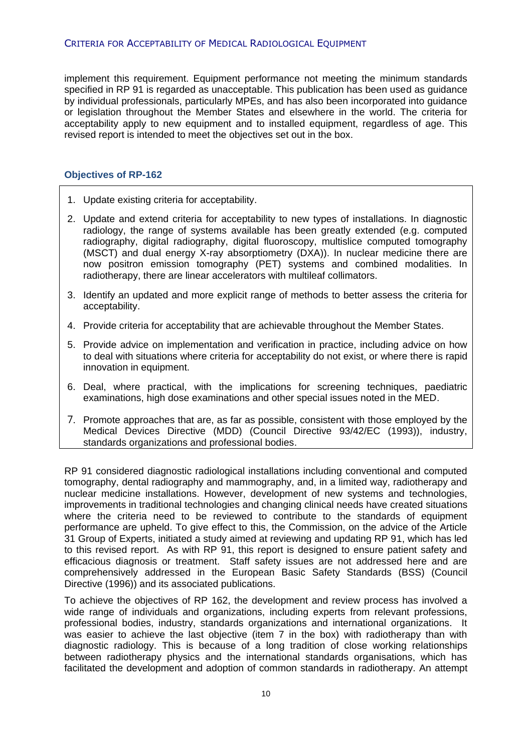#### CRITERIA FOR ACCEPTABILITY OF MEDICAL RADIOLOGICAL EQUIPMENT

implement this requirement. Equipment performance not meeting the minimum standards specified in RP 91 is regarded as unacceptable. This publication has been used as guidance by individual professionals, particularly MPEs, and has also been incorporated into guidance or legislation throughout the Member States and elsewhere in the world. The criteria for acceptability apply to new equipment and to installed equipment, regardless of age. This revised report is intended to meet the objectives set out in the box.

### **Objectives of RP-162**

- 1. Update existing criteria for acceptability.
- 2. Update and extend criteria for acceptability to new types of installations. In diagnostic radiology, the range of systems available has been greatly extended (e.g. computed radiography, digital radiography, digital fluoroscopy, multislice computed tomography (MSCT) and dual energy X-ray absorptiometry (DXA)). In nuclear medicine there are now positron emission tomography (PET) systems and combined modalities. In radiotherapy, there are linear accelerators with multileaf collimators.
- 3. Identify an updated and more explicit range of methods to better assess the criteria for acceptability.
- 4. Provide criteria for acceptability that are achievable throughout the Member States.
- 5. Provide advice on implementation and verification in practice, including advice on how to deal with situations where criteria for acceptability do not exist, or where there is rapid innovation in equipment.
- 6. Deal, where practical, with the implications for screening techniques, paediatric examinations, high dose examinations and other special issues noted in the MED.
- 7. Promote approaches that are, as far as possible, consistent with those employed by the Medical Devices Directive (MDD) (Council Directive 93/42/EC (1993)), industry, standards organizations and professional bodies.

RP 91 considered diagnostic radiological installations including conventional and computed tomography, dental radiography and mammography, and, in a limited way, radiotherapy and nuclear medicine installations. However, development of new systems and technologies, improvements in traditional technologies and changing clinical needs have created situations where the criteria need to be reviewed to contribute to the standards of equipment performance are upheld. To give effect to this, the Commission, on the advice of the Article 31 Group of Experts, initiated a study aimed at reviewing and updating RP 91, which has led to this revised report. As with RP 91, this report is designed to ensure patient safety and efficacious diagnosis or treatment. Staff safety issues are not addressed here and are comprehensively addressed in the European Basic Safety Standards (BSS) (Council Directive (1996)) and its associated publications.

To achieve the objectives of RP 162, the development and review process has involved a wide range of individuals and organizations, including experts from relevant professions, professional bodies, industry, standards organizations and international organizations. It was easier to achieve the last objective (item 7 in the box) with radiotherapy than with diagnostic radiology. This is because of a long tradition of close working relationships between radiotherapy physics and the international standards organisations, which has facilitated the development and adoption of common standards in radiotherapy. An attempt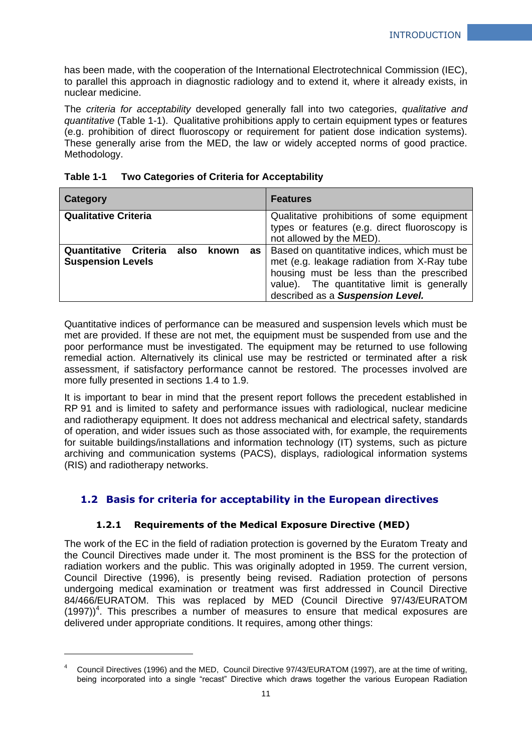has been made, with the cooperation of the International Electrotechnical Commission (IEC), to parallel this approach in diagnostic radiology and to extend it, where it already exists, in nuclear medicine.

The *criteria for acceptability* developed generally fall into two categories, *qualitative and quantitative* (Table 1-1). Qualitative prohibitions apply to certain equipment types or features (e.g. prohibition of direct fluoroscopy or requirement for patient dose indication systems). These generally arise from the MED, the law or widely accepted norms of good practice. Methodology.

| Table 1-1 | Two Categories of Criteria for Acceptability |
|-----------|----------------------------------------------|
|-----------|----------------------------------------------|

| <b>Category</b>                                                       | <b>Features</b>                                                                                                                                                                                                            |
|-----------------------------------------------------------------------|----------------------------------------------------------------------------------------------------------------------------------------------------------------------------------------------------------------------------|
| <b>Qualitative Criteria</b>                                           | Qualitative prohibitions of some equipment<br>types or features (e.g. direct fluoroscopy is<br>not allowed by the MED).                                                                                                    |
| Quantitative Criteria also<br>known<br>as<br><b>Suspension Levels</b> | Based on quantitative indices, which must be<br>met (e.g. leakage radiation from X-Ray tube<br>housing must be less than the prescribed<br>value). The quantitative limit is generally<br>described as a Suspension Level. |

Quantitative indices of performance can be measured and suspension levels which must be met are provided. If these are not met, the equipment must be suspended from use and the poor performance must be investigated. The equipment may be returned to use following remedial action. Alternatively its clinical use may be restricted or terminated after a risk assessment, if satisfactory performance cannot be restored. The processes involved are more fully presented in sections 1.4 to 1.9.

It is important to bear in mind that the present report follows the precedent established in RP 91 and is limited to safety and performance issues with radiological, nuclear medicine and radiotherapy equipment. It does not address mechanical and electrical safety, standards of operation, and wider issues such as those associated with, for example, the requirements for suitable buildings/installations and information technology (IT) systems, such as picture archiving and communication systems (PACS), displays, radiological information systems (RIS) and radiotherapy networks.

## <span id="page-10-0"></span>**1.2 Basis for criteria for acceptability in the European directives**

## **1.2.1 Requirements of the Medical Exposure Directive (MED)**

<span id="page-10-1"></span>The work of the EC in the field of radiation protection is governed by the Euratom Treaty and the Council Directives made under it. The most prominent is the BSS for the protection of radiation workers and the public. This was originally adopted in 1959. The current version, Council Directive (1996), is presently being revised. Radiation protection of persons undergoing medical examination or treatment was first addressed in Council Directive 84/466/EURATOM. This was replaced by MED (Council Directive 97/43/EURATOM  $(1997)<sup>4</sup>$ . This prescribes a number of measures to ensure that medical exposures are delivered under appropriate conditions. It requires, among other things:

1

<sup>4</sup> Council Directives (1996) and the MED, Council Directive 97/43/EURATOM (1997), are at the time of writing, being incorporated into a single "recast" Directive which draws together the various European Radiation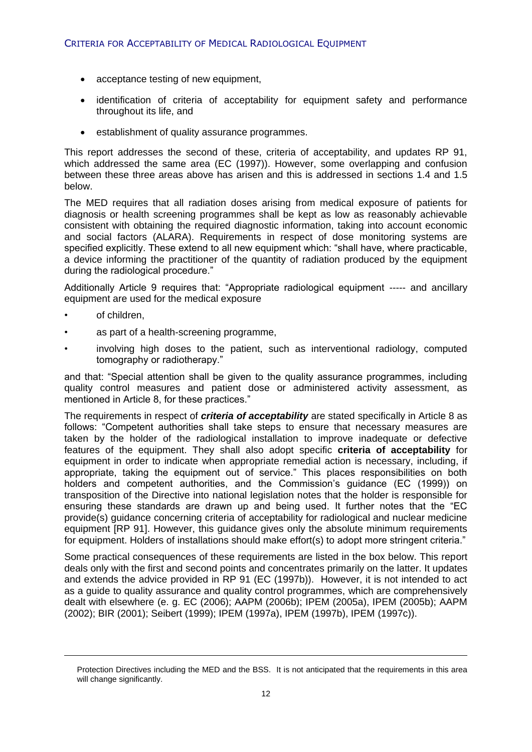- acceptance testing of new equipment,
- identification of criteria of acceptability for equipment safety and performance throughout its life, and
- establishment of quality assurance programmes.

This report addresses the second of these, criteria of acceptability, and updates RP 91, which addressed the same area (EC (1997)). However, some overlapping and confusion between these three areas above has arisen and this is addressed in sections 1.4 and 1.5 below.

The MED requires that all radiation doses arising from medical exposure of patients for diagnosis or health screening programmes shall be kept as low as reasonably achievable consistent with obtaining the required diagnostic information, taking into account economic and social factors (ALARA). Requirements in respect of dose monitoring systems are specified explicitly. These extend to all new equipment which: "shall have, where practicable, a device informing the practitioner of the quantity of radiation produced by the equipment during the radiological procedure."

Additionally Article 9 requires that: "Appropriate radiological equipment ----- and ancillary equipment are used for the medical exposure

of children,

-

- as part of a health-screening programme,
- involving high doses to the patient, such as interventional radiology, computed tomography or radiotherapy."

and that: "Special attention shall be given to the quality assurance programmes, including quality control measures and patient dose or administered activity assessment, as mentioned in Article 8, for these practices."

The requirements in respect of *criteria of acceptability* are stated specifically in Article 8 as follows: "Competent authorities shall take steps to ensure that necessary measures are taken by the holder of the radiological installation to improve inadequate or defective features of the equipment. They shall also adopt specific **criteria of acceptability** for equipment in order to indicate when appropriate remedial action is necessary, including, if appropriate, taking the equipment out of service." This places responsibilities on both holders and competent authorities, and the Commission's guidance (EC (1999)) on transposition of the Directive into national legislation notes that the holder is responsible for ensuring these standards are drawn up and being used. It further notes that the "EC provide(s) guidance concerning criteria of acceptability for radiological and nuclear medicine equipment [RP 91]. However, this guidance gives only the absolute minimum requirements for equipment. Holders of installations should make effort(s) to adopt more stringent criteria."

Some practical consequences of these requirements are listed in the box below. This report deals only with the first and second points and concentrates primarily on the latter. It updates and extends the advice provided in RP 91 (EC (1997b)). However, it is not intended to act as a guide to quality assurance and quality control programmes, which are comprehensively dealt with elsewhere (e. g. EC (2006); AAPM (2006b); IPEM (2005a), IPEM (2005b); AAPM (2002); BIR (2001); Seibert (1999); IPEM (1997a), IPEM (1997b), IPEM (1997c)).

Protection Directives including the MED and the BSS. It is not anticipated that the requirements in this area will change significantly.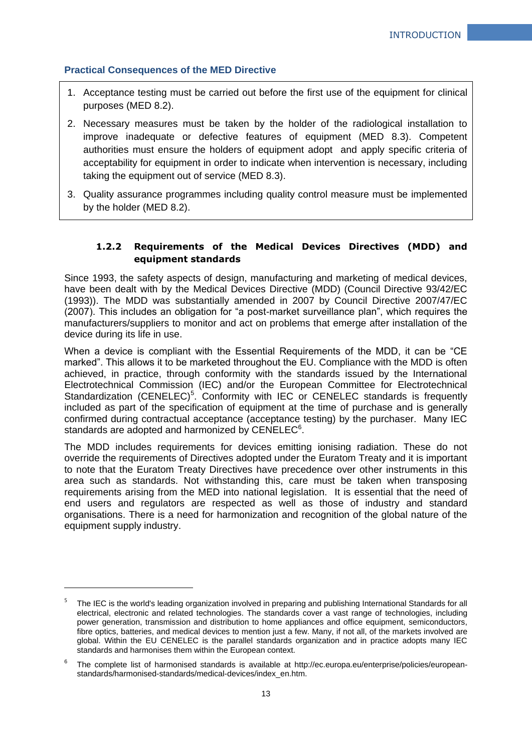## **Practical Consequences of the MED Directive**

- 1. Acceptance testing must be carried out before the first use of the equipment for clinical purposes (MED 8.2).
- 2. Necessary measures must be taken by the holder of the radiological installation to improve inadequate or defective features of equipment (MED 8.3). Competent authorities must ensure the holders of equipment adopt and apply specific criteria of acceptability for equipment in order to indicate when intervention is necessary, including taking the equipment out of service (MED 8.3).
- 3. Quality assurance programmes including quality control measure must be implemented by the holder (MED 8.2).

## <span id="page-12-0"></span>**1.2.2 Requirements of the Medical Devices Directives (MDD) and equipment standards**

Since 1993, the safety aspects of design, manufacturing and marketing of medical devices, have been dealt with by the Medical Devices Directive (MDD) (Council Directive 93/42/EC (1993)). The MDD was substantially amended in 2007 by Council Directive 2007/47/EC (2007). This includes an obligation for "a post-market surveillance plan", which requires the manufacturers/suppliers to monitor and act on problems that emerge after installation of the device during its life in use.

When a device is compliant with the Essential Requirements of the MDD, it can be "CE marked". This allows it to be marketed throughout the EU. Compliance with the MDD is often achieved, in practice, through conformity with the standards issued by the International Electrotechnical Commission (IEC) and/or the European Committee for Electrotechnical Standardization (CENELEC)<sup>5</sup>. Conformity with IEC or CENELEC standards is frequently included as part of the specification of equipment at the time of purchase and is generally confirmed during contractual acceptance (acceptance testing) by the purchaser. Many IEC standards are adopted and harmonized by CENELEC $<sup>6</sup>$ .</sup>

The MDD includes requirements for devices emitting ionising radiation. These do not override the requirements of Directives adopted under the Euratom Treaty and it is important to note that the Euratom Treaty Directives have precedence over other instruments in this area such as standards. Not withstanding this, care must be taken when transposing requirements arising from the MED into national legislation. It is essential that the need of end users and regulators are respected as well as those of industry and standard organisations. There is a need for harmonization and recognition of the global nature of the equipment supply industry.

-

<sup>5</sup> The IEC is the world's leading organization involved in preparing and publishing International Standards for all electrical, electronic and related technologies. The standards cover a vast range of technologies, including power generation, transmission and distribution to home appliances and office equipment, semiconductors, fibre optics, batteries, and medical devices to mention just a few. Many, if not all, of the markets involved are global. Within the EU CENELEC is the parallel standards organization and in practice adopts many IEC standards and harmonises them within the European context.

<sup>6</sup> The complete list of harmonised standards is available at http://ec.europa.eu/enterprise/policies/europeanstandards/harmonised-standards/medical-devices/index\_en.htm.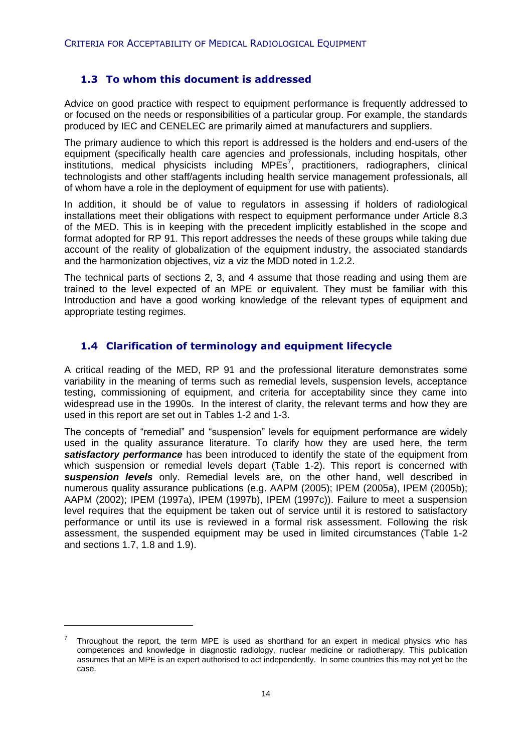## <span id="page-13-0"></span>**1.3 To whom this document is addressed**

Advice on good practice with respect to equipment performance is frequently addressed to or focused on the needs or responsibilities of a particular group. For example, the standards produced by IEC and CENELEC are primarily aimed at manufacturers and suppliers.

The primary audience to which this report is addressed is the holders and end-users of the equipment (specifically health care agencies and professionals, including hospitals, other institutions, medical physicists including MPEs<sup>7</sup>, practitioners, radiographers, clinical technologists and other staff/agents including health service management professionals, all of whom have a role in the deployment of equipment for use with patients).

In addition, it should be of value to regulators in assessing if holders of radiological installations meet their obligations with respect to equipment performance under Article 8.3 of the MED. This is in keeping with the precedent implicitly established in the scope and format adopted for RP 91. This report addresses the needs of these groups while taking due account of the reality of globalization of the equipment industry, the associated standards and the harmonization objectives, viz a viz the MDD noted in 1.2.2.

The technical parts of sections 2, 3, and 4 assume that those reading and using them are trained to the level expected of an MPE or equivalent. They must be familiar with this Introduction and have a good working knowledge of the relevant types of equipment and appropriate testing regimes.

## <span id="page-13-1"></span>**1.4 Clarification of terminology and equipment lifecycle**

A critical reading of the MED, RP 91 and the professional literature demonstrates some variability in the meaning of terms such as remedial levels, suspension levels, acceptance testing, commissioning of equipment, and criteria for acceptability since they came into widespread use in the 1990s. In the interest of clarity, the relevant terms and how they are used in this report are set out in Tables 1-2 and 1-3.

The concepts of "remedial" and "suspension" levels for equipment performance are widely used in the quality assurance literature. To clarify how they are used here, the term **satisfactory performance** has been introduced to identify the state of the equipment from which suspension or remedial levels depart (Table 1-2). This report is concerned with *suspension levels* only. Remedial levels are, on the other hand, well described in numerous quality assurance publications (e.g. AAPM (2005); IPEM (2005a), IPEM (2005b); AAPM (2002); IPEM (1997a), IPEM (1997b), IPEM (1997c)). Failure to meet a suspension level requires that the equipment be taken out of service until it is restored to satisfactory performance or until its use is reviewed in a formal risk assessment. Following the risk assessment, the suspended equipment may be used in limited circumstances (Table 1-2 and sections 1.7, 1.8 and 1.9).

1

<sup>7</sup> Throughout the report, the term MPE is used as shorthand for an expert in medical physics who has competences and knowledge in diagnostic radiology, nuclear medicine or radiotherapy. This publication assumes that an MPE is an expert authorised to act independently. In some countries this may not yet be the case.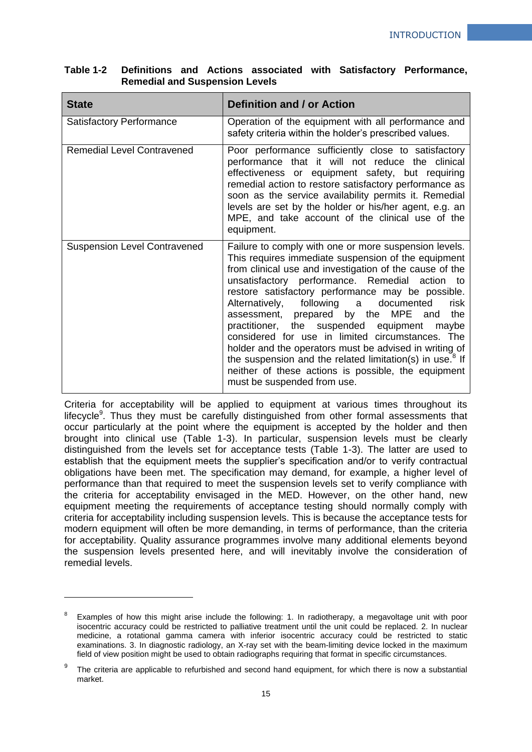| <b>State</b>                        | Definition and / or Action                                                                                                                                                                                                                                                                                                                                                                                                                                                                                                                                                                                                                                                                                        |
|-------------------------------------|-------------------------------------------------------------------------------------------------------------------------------------------------------------------------------------------------------------------------------------------------------------------------------------------------------------------------------------------------------------------------------------------------------------------------------------------------------------------------------------------------------------------------------------------------------------------------------------------------------------------------------------------------------------------------------------------------------------------|
| <b>Satisfactory Performance</b>     | Operation of the equipment with all performance and<br>safety criteria within the holder's prescribed values.                                                                                                                                                                                                                                                                                                                                                                                                                                                                                                                                                                                                     |
| <b>Remedial Level Contravened</b>   | Poor performance sufficiently close to satisfactory<br>performance that it will not reduce the clinical<br>effectiveness or equipment safety, but requiring<br>remedial action to restore satisfactory performance as<br>soon as the service availability permits it. Remedial<br>levels are set by the holder or his/her agent, e.g. an<br>MPE, and take account of the clinical use of the<br>equipment.                                                                                                                                                                                                                                                                                                        |
| <b>Suspension Level Contravened</b> | Failure to comply with one or more suspension levels.<br>This requires immediate suspension of the equipment<br>from clinical use and investigation of the cause of the<br>unsatisfactory performance. Remedial action to<br>restore satisfactory performance may be possible.<br>Alternatively, following a<br>risk<br>documented<br>assessment, prepared<br>by the MPE and<br>the<br>practitioner, the suspended equipment<br>maybe<br>considered for use in limited circumstances. The<br>holder and the operators must be advised in writing of<br>the suspension and the related limitation(s) in use. <sup>8</sup> If<br>neither of these actions is possible, the equipment<br>must be suspended from use. |

### **Table 1-2 Definitions and Actions associated with Satisfactory Performance, Remedial and Suspension Levels**

Criteria for acceptability will be applied to equipment at various times throughout its lifecycle<sup>9</sup>. Thus they must be carefully distinguished from other formal assessments that occur particularly at the point where the equipment is accepted by the holder and then brought into clinical use (Table 1-3). In particular, suspension levels must be clearly distinguished from the levels set for acceptance tests (Table 1-3). The latter are used to establish that the equipment meets the supplier's specification and/or to verify contractual obligations have been met. The specification may demand, for example, a higher level of performance than that required to meet the suspension levels set to verify compliance with the criteria for acceptability envisaged in the MED. However, on the other hand, new equipment meeting the requirements of acceptance testing should normally comply with criteria for acceptability including suspension levels. This is because the acceptance tests for modern equipment will often be more demanding, in terms of performance, than the criteria for acceptability. Quality assurance programmes involve many additional elements beyond the suspension levels presented here, and will inevitably involve the consideration of remedial levels.

 $\overline{a}$ 

Examples of how this might arise include the following: 1. In radiotherapy, a megavoltage unit with poor isocentric accuracy could be restricted to palliative treatment until the unit could be replaced. 2. In nuclear medicine, a rotational gamma camera with inferior isocentric accuracy could be restricted to static examinations. 3. In diagnostic radiology, an X-ray set with the beam-limiting device locked in the maximum field of view position might be used to obtain radiographs requiring that format in specific circumstances.

<sup>9</sup> The criteria are applicable to refurbished and second hand equipment, for which there is now a substantial market.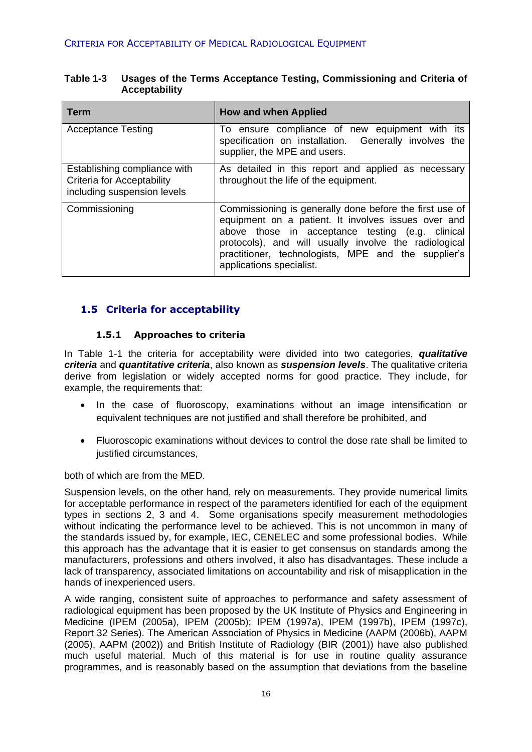| <b>Term</b>                                                                               | <b>How and when Applied</b>                                                                                                                                                                                                                                                                                    |  |  |  |
|-------------------------------------------------------------------------------------------|----------------------------------------------------------------------------------------------------------------------------------------------------------------------------------------------------------------------------------------------------------------------------------------------------------------|--|--|--|
| <b>Acceptance Testing</b>                                                                 | To ensure compliance of new equipment with its<br>specification on installation. Generally involves the<br>supplier, the MPE and users.                                                                                                                                                                        |  |  |  |
| Establishing compliance with<br>Criteria for Acceptability<br>including suspension levels | As detailed in this report and applied as necessary<br>throughout the life of the equipment.                                                                                                                                                                                                                   |  |  |  |
| Commissioning                                                                             | Commissioning is generally done before the first use of<br>equipment on a patient. It involves issues over and<br>above those in acceptance testing (e.g. clinical<br>protocols), and will usually involve the radiological<br>practitioner, technologists, MPE and the supplier's<br>applications specialist. |  |  |  |

### **Table 1-3 Usages of the Terms Acceptance Testing, Commissioning and Criteria of Acceptability**

## <span id="page-15-0"></span>**1.5 Criteria for acceptability**

## **1.5.1 Approaches to criteria**

<span id="page-15-1"></span>In Table 1-1 the criteria for acceptability were divided into two categories, *qualitative criteria* and *quantitative criteria*, also known as *suspension levels*. The qualitative criteria derive from legislation or widely accepted norms for good practice. They include, for example, the requirements that:

- In the case of fluoroscopy, examinations without an image intensification or equivalent techniques are not justified and shall therefore be prohibited, and
- Fluoroscopic examinations without devices to control the dose rate shall be limited to justified circumstances.

both of which are from the MED.

Suspension levels, on the other hand, rely on measurements. They provide numerical limits for acceptable performance in respect of the parameters identified for each of the equipment types in sections 2, 3 and 4. Some organisations specify measurement methodologies without indicating the performance level to be achieved. This is not uncommon in many of the standards issued by, for example, IEC, CENELEC and some professional bodies. While this approach has the advantage that it is easier to get consensus on standards among the manufacturers, professions and others involved, it also has disadvantages. These include a lack of transparency, associated limitations on accountability and risk of misapplication in the hands of inexperienced users.

A wide ranging, consistent suite of approaches to performance and safety assessment of radiological equipment has been proposed by the UK Institute of Physics and Engineering in Medicine (IPEM (2005a), IPEM (2005b); IPEM (1997a), IPEM (1997b), IPEM (1997c), Report 32 Series). The American Association of Physics in Medicine (AAPM (2006b), AAPM (2005), AAPM (2002)) and British Institute of Radiology (BIR (2001)) have also published much useful material. Much of this material is for use in routine quality assurance programmes, and is reasonably based on the assumption that deviations from the baseline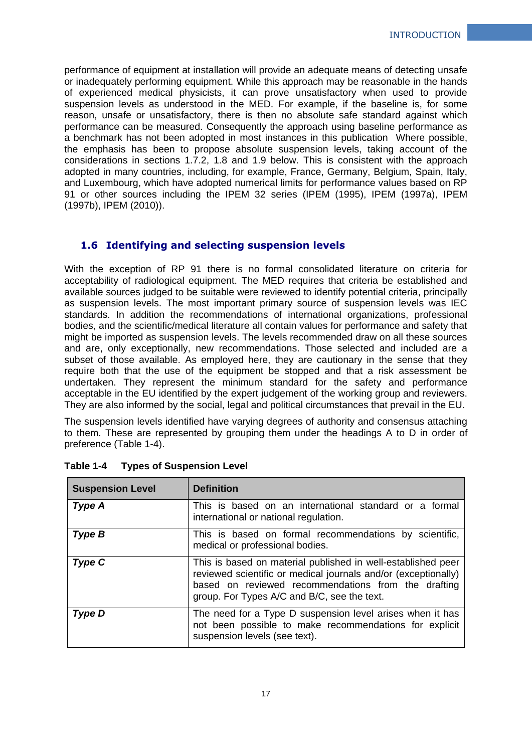performance of equipment at installation will provide an adequate means of detecting unsafe or inadequately performing equipment. While this approach may be reasonable in the hands of experienced medical physicists, it can prove unsatisfactory when used to provide suspension levels as understood in the MED. For example, if the baseline is, for some reason, unsafe or unsatisfactory, there is then no absolute safe standard against which performance can be measured. Consequently the approach using baseline performance as a benchmark has not been adopted in most instances in this publication Where possible, the emphasis has been to propose absolute suspension levels, taking account of the considerations in sections 1.7.2, 1.8 and 1.9 below. This is consistent with the approach adopted in many countries, including, for example, France, Germany, Belgium, Spain, Italy, and Luxembourg, which have adopted numerical limits for performance values based on RP 91 or other sources including the IPEM 32 series (IPEM (1995), IPEM (1997a), IPEM (1997b), IPEM (2010)).

## <span id="page-16-0"></span>**1.6 Identifying and selecting suspension levels**

With the exception of RP 91 there is no formal consolidated literature on criteria for acceptability of radiological equipment. The MED requires that criteria be established and available sources judged to be suitable were reviewed to identify potential criteria, principally as suspension levels. The most important primary source of suspension levels was IEC standards. In addition the recommendations of international organizations, professional bodies, and the scientific/medical literature all contain values for performance and safety that might be imported as suspension levels. The levels recommended draw on all these sources and are, only exceptionally, new recommendations. Those selected and included are a subset of those available. As employed here, they are cautionary in the sense that they require both that the use of the equipment be stopped and that a risk assessment be undertaken. They represent the minimum standard for the safety and performance acceptable in the EU identified by the expert judgement of the working group and reviewers. They are also informed by the social, legal and political circumstances that prevail in the EU.

The suspension levels identified have varying degrees of authority and consensus attaching to them. These are represented by grouping them under the headings A to D in order of preference (Table 1-4).

| <b>Suspension Level</b> | <b>Definition</b>                                                                                                                                                                                                                    |  |  |  |
|-------------------------|--------------------------------------------------------------------------------------------------------------------------------------------------------------------------------------------------------------------------------------|--|--|--|
| Type A                  | This is based on an international standard or a formal<br>international or national regulation.                                                                                                                                      |  |  |  |
| Type B                  | This is based on formal recommendations by scientific,<br>medical or professional bodies.                                                                                                                                            |  |  |  |
| Type C                  | This is based on material published in well-established peer<br>reviewed scientific or medical journals and/or (exceptionally)<br>based on reviewed recommendations from the drafting<br>group. For Types A/C and B/C, see the text. |  |  |  |
| Type D                  | The need for a Type D suspension level arises when it has<br>not been possible to make recommendations for explicit<br>suspension levels (see text).                                                                                 |  |  |  |

|  | Table 1-4 |  | <b>Types of Suspension Level</b> |
|--|-----------|--|----------------------------------|
|--|-----------|--|----------------------------------|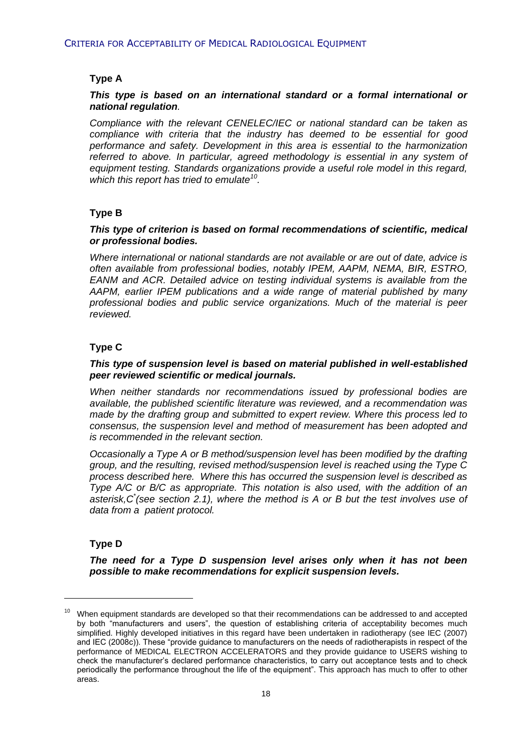## **Type A**

#### *This type is based on an international standard or a formal international or national regulation.*

*Compliance with the relevant CENELEC/IEC or national standard can be taken as compliance with criteria that the industry has deemed to be essential for good performance and safety. Development in this area is essential to the harmonization referred to above. In particular, agreed methodology is essential in any system of equipment testing. Standards organizations provide a useful role model in this regard, which this report has tried to emulate<sup>10</sup> .*

## **Type B**

#### *This type of criterion is based on formal recommendations of scientific, medical or professional bodies.*

*Where international or national standards are not available or are out of date, advice is often available from professional bodies, notably IPEM, AAPM, NEMA, BIR, ESTRO, EANM and ACR. Detailed advice on testing individual systems is available from the AAPM, earlier IPEM publications and a wide range of material published by many professional bodies and public service organizations. Much of the material is peer reviewed.*

## **Type C**

#### *This type of suspension level is based on material published in well-established peer reviewed scientific or medical journals.*

*When neither standards nor recommendations issued by professional bodies are available, the published scientific literature was reviewed, and a recommendation was made by the drafting group and submitted to expert review. Where this process led to consensus, the suspension level and method of measurement has been adopted and is recommended in the relevant section.*

*Occasionally a Type A or B method/suspension level has been modified by the drafting group, and the resulting, revised method/suspension level is reached using the Type C process described here. Where this has occurred the suspension level is described as Type A/C or B/C as appropriate. This notation is also used, with the addition of an asterisk,C\* (see section 2.1), where the method is A or B but the test involves use of data from a patient protocol.*

## **Type D**

-

*The need for a Type D suspension level arises only when it has not been possible to make recommendations for explicit suspension levels.*

 $10$  When equipment standards are developed so that their recommendations can be addressed to and accepted by both "manufacturers and users", the question of establishing criteria of acceptability becomes much simplified. Highly developed initiatives in this regard have been undertaken in radiotherapy (see IEC (2007) and IEC (2008c)). These "provide guidance to manufacturers on the needs of radiotherapists in respect of the performance of MEDICAL ELECTRON ACCELERATORS and they provide guidance to USERS wishing to check the manufacturer's declared performance characteristics, to carry out acceptance tests and to check periodically the performance throughout the life of the equipment". This approach has much to offer to other areas.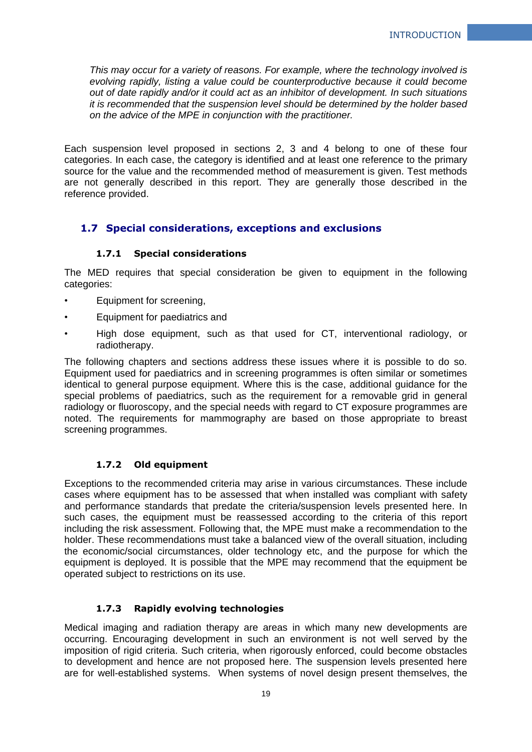*This may occur for a variety of reasons. For example, where the technology involved is evolving rapidly, listing a value could be counterproductive because it could become out of date rapidly and/or it could act as an inhibitor of development. In such situations it is recommended that the suspension level should be determined by the holder based on the advice of the MPE in conjunction with the practitioner.*

Each suspension level proposed in sections 2, 3 and 4 belong to one of these four categories. In each case, the category is identified and at least one reference to the primary source for the value and the recommended method of measurement is given. Test methods are not generally described in this report. They are generally those described in the reference provided.

## <span id="page-18-0"></span>**1.7 Special considerations, exceptions and exclusions**

## **1.7.1 Special considerations**

<span id="page-18-1"></span>The MED requires that special consideration be given to equipment in the following categories:

- Equipment for screening.
- Equipment for paediatrics and
- High dose equipment, such as that used for CT, interventional radiology, or radiotherapy.

The following chapters and sections address these issues where it is possible to do so. Equipment used for paediatrics and in screening programmes is often similar or sometimes identical to general purpose equipment. Where this is the case, additional guidance for the special problems of paediatrics, such as the requirement for a removable grid in general radiology or fluoroscopy, and the special needs with regard to CT exposure programmes are noted. The requirements for mammography are based on those appropriate to breast screening programmes.

## **1.7.2 Old equipment**

<span id="page-18-2"></span>Exceptions to the recommended criteria may arise in various circumstances. These include cases where equipment has to be assessed that when installed was compliant with safety and performance standards that predate the criteria/suspension levels presented here. In such cases, the equipment must be reassessed according to the criteria of this report including the risk assessment. Following that, the MPE must make a recommendation to the holder. These recommendations must take a balanced view of the overall situation, including the economic/social circumstances, older technology etc, and the purpose for which the equipment is deployed. It is possible that the MPE may recommend that the equipment be operated subject to restrictions on its use.

## **1.7.3 Rapidly evolving technologies**

<span id="page-18-3"></span>Medical imaging and radiation therapy are areas in which many new developments are occurring. Encouraging development in such an environment is not well served by the imposition of rigid criteria. Such criteria, when rigorously enforced, could become obstacles to development and hence are not proposed here. The suspension levels presented here are for well-established systems. When systems of novel design present themselves, the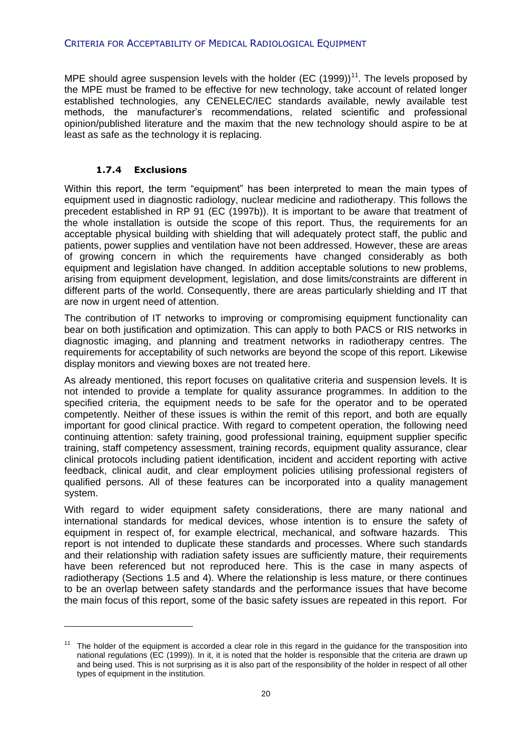#### CRITERIA FOR ACCEPTABILITY OF MEDICAL RADIOLOGICAL EQUIPMENT

MPE should agree suspension levels with the holder (EC  $(1999)$ )<sup>11</sup>. The levels proposed by the MPE must be framed to be effective for new technology, take account of related longer established technologies, any CENELEC/IEC standards available, newly available test methods, the manufacturer's recommendations, related scientific and professional opinion/published literature and the maxim that the new technology should aspire to be at least as safe as the technology it is replacing.

### **1.7.4 Exclusions**

 $\overline{a}$ 

<span id="page-19-0"></span>Within this report, the term "equipment" has been interpreted to mean the main types of equipment used in diagnostic radiology, nuclear medicine and radiotherapy. This follows the precedent established in RP 91 (EC (1997b)). It is important to be aware that treatment of the whole installation is outside the scope of this report. Thus, the requirements for an acceptable physical building with shielding that will adequately protect staff, the public and patients, power supplies and ventilation have not been addressed. However, these are areas of growing concern in which the requirements have changed considerably as both equipment and legislation have changed. In addition acceptable solutions to new problems, arising from equipment development, legislation, and dose limits/constraints are different in different parts of the world. Consequently, there are areas particularly shielding and IT that are now in urgent need of attention.

The contribution of IT networks to improving or compromising equipment functionality can bear on both justification and optimization. This can apply to both PACS or RIS networks in diagnostic imaging, and planning and treatment networks in radiotherapy centres. The requirements for acceptability of such networks are beyond the scope of this report. Likewise display monitors and viewing boxes are not treated here.

As already mentioned, this report focuses on qualitative criteria and suspension levels. It is not intended to provide a template for quality assurance programmes. In addition to the specified criteria, the equipment needs to be safe for the operator and to be operated competently. Neither of these issues is within the remit of this report, and both are equally important for good clinical practice. With regard to competent operation, the following need continuing attention: safety training, good professional training, equipment supplier specific training, staff competency assessment, training records, equipment quality assurance, clear clinical protocols including patient identification, incident and accident reporting with active feedback, clinical audit, and clear employment policies utilising professional registers of qualified persons. All of these features can be incorporated into a quality management system.

With regard to wider equipment safety considerations, there are many national and international standards for medical devices, whose intention is to ensure the safety of equipment in respect of, for example electrical, mechanical, and software hazards. This report is not intended to duplicate these standards and processes. Where such standards and their relationship with radiation safety issues are sufficiently mature, their requirements have been referenced but not reproduced here. This is the case in many aspects of radiotherapy (Sections 1.5 and 4). Where the relationship is less mature, or there continues to be an overlap between safety standards and the performance issues that have become the main focus of this report, some of the basic safety issues are repeated in this report. For

<sup>&</sup>lt;sup>11</sup> The holder of the equipment is accorded a clear role in this regard in the guidance for the transposition into national regulations (EC (1999)). In it, it is noted that the holder is responsible that the criteria are drawn up and being used. This is not surprising as it is also part of the responsibility of the holder in respect of all other types of equipment in the institution.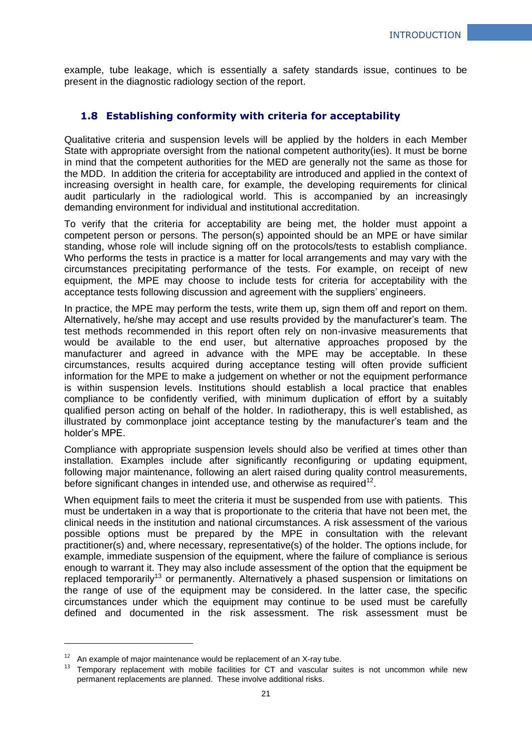example, tube leakage, which is essentially a safety standards issue, continues to be present in the diagnostic radiology section of the report.

## <span id="page-20-0"></span>**1.8 Establishing conformity with criteria for acceptability**

Qualitative criteria and suspension levels will be applied by the holders in each Member State with appropriate oversight from the national competent authority(ies). It must be borne in mind that the competent authorities for the MED are generally not the same as those for the MDD. In addition the criteria for acceptability are introduced and applied in the context of increasing oversight in health care, for example, the developing requirements for clinical audit particularly in the radiological world. This is accompanied by an increasingly demanding environment for individual and institutional accreditation.

To verify that the criteria for acceptability are being met, the holder must appoint a competent person or persons. The person(s) appointed should be an MPE or have similar standing, whose role will include signing off on the protocols/tests to establish compliance. Who performs the tests in practice is a matter for local arrangements and may vary with the circumstances precipitating performance of the tests. For example, on receipt of new equipment, the MPE may choose to include tests for criteria for acceptability with the acceptance tests following discussion and agreement with the suppliers' engineers.

In practice, the MPE may perform the tests, write them up, sign them off and report on them. Alternatively, he/she may accept and use results provided by the manufacturer's team. The test methods recommended in this report often rely on non-invasive measurements that would be available to the end user, but alternative approaches proposed by the manufacturer and agreed in advance with the MPE may be acceptable. In these circumstances, results acquired during acceptance testing will often provide sufficient information for the MPE to make a judgement on whether or not the equipment performance is within suspension levels. Institutions should establish a local practice that enables compliance to be confidently verified, with minimum duplication of effort by a suitably qualified person acting on behalf of the holder. In radiotherapy, this is well established, as illustrated by commonplace joint acceptance testing by the manufacturer's team and the holder's MPE.

Compliance with appropriate suspension levels should also be verified at times other than installation. Examples include after significantly reconfiguring or updating equipment, following major maintenance, following an alert raised during quality control measurements, before significant changes in intended use, and otherwise as required<sup>12</sup>.

When equipment fails to meet the criteria it must be suspended from use with patients. This must be undertaken in a way that is proportionate to the criteria that have not been met, the clinical needs in the institution and national circumstances. A risk assessment of the various possible options must be prepared by the MPE in consultation with the relevant practitioner(s) and, where necessary, representative(s) of the holder. The options include, for example, immediate suspension of the equipment, where the failure of compliance is serious enough to warrant it. They may also include assessment of the option that the equipment be replaced temporarily<sup>13</sup> or permanently. Alternatively a phased suspension or limitations on the range of use of the equipment may be considered. In the latter case, the specific circumstances under which the equipment may continue to be used must be carefully defined and documented in the risk assessment. The risk assessment must be

1

 $12$  An example of major maintenance would be replacement of an X-ray tube.

 $13$  Temporary replacement with mobile facilities for CT and vascular suites is not uncommon while new permanent replacements are planned. These involve additional risks.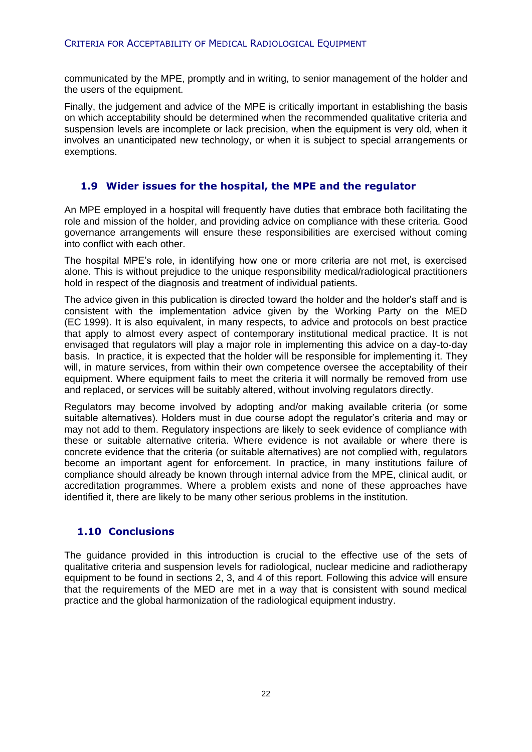communicated by the MPE, promptly and in writing, to senior management of the holder and the users of the equipment.

Finally, the judgement and advice of the MPE is critically important in establishing the basis on which acceptability should be determined when the recommended qualitative criteria and suspension levels are incomplete or lack precision, when the equipment is very old, when it involves an unanticipated new technology, or when it is subject to special arrangements or exemptions.

## <span id="page-21-0"></span>**1.9 Wider issues for the hospital, the MPE and the regulator**

An MPE employed in a hospital will frequently have duties that embrace both facilitating the role and mission of the holder, and providing advice on compliance with these criteria. Good governance arrangements will ensure these responsibilities are exercised without coming into conflict with each other.

The hospital MPE's role, in identifying how one or more criteria are not met, is exercised alone. This is without prejudice to the unique responsibility medical/radiological practitioners hold in respect of the diagnosis and treatment of individual patients.

The advice given in this publication is directed toward the holder and the holder's staff and is consistent with the implementation advice given by the Working Party on the MED (EC 1999). It is also equivalent, in many respects, to advice and protocols on best practice that apply to almost every aspect of contemporary institutional medical practice. It is not envisaged that regulators will play a major role in implementing this advice on a day-to-day basis. In practice, it is expected that the holder will be responsible for implementing it. They will, in mature services, from within their own competence oversee the acceptability of their equipment. Where equipment fails to meet the criteria it will normally be removed from use and replaced, or services will be suitably altered, without involving regulators directly.

Regulators may become involved by adopting and/or making available criteria (or some suitable alternatives). Holders must in due course adopt the regulator's criteria and may or may not add to them. Regulatory inspections are likely to seek evidence of compliance with these or suitable alternative criteria. Where evidence is not available or where there is concrete evidence that the criteria (or suitable alternatives) are not complied with, regulators become an important agent for enforcement. In practice, in many institutions failure of compliance should already be known through internal advice from the MPE, clinical audit, or accreditation programmes. Where a problem exists and none of these approaches have identified it, there are likely to be many other serious problems in the institution.

## <span id="page-21-1"></span>**1.10 Conclusions**

The guidance provided in this introduction is crucial to the effective use of the sets of qualitative criteria and suspension levels for radiological, nuclear medicine and radiotherapy equipment to be found in sections 2, 3, and 4 of this report. Following this advice will ensure that the requirements of the MED are met in a way that is consistent with sound medical practice and the global harmonization of the radiological equipment industry.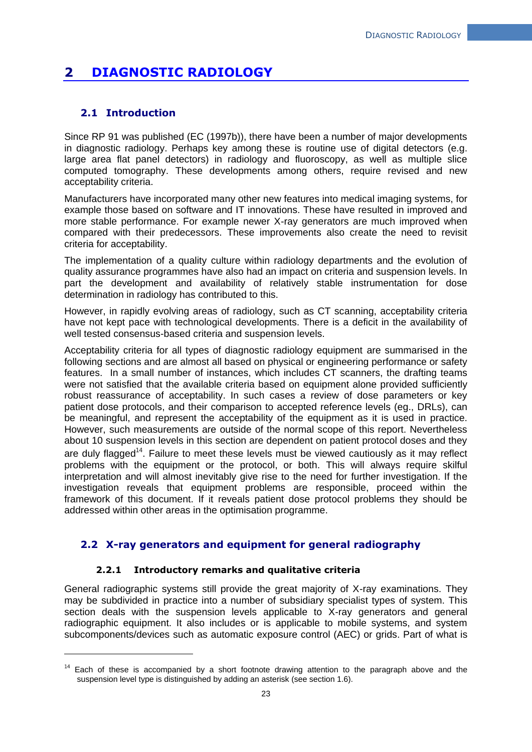## <span id="page-22-0"></span>**2 DIAGNOSTIC RADIOLOGY**

## <span id="page-22-1"></span>**2.1 Introduction**

1

Since RP 91 was published (EC (1997b)), there have been a number of major developments in diagnostic radiology. Perhaps key among these is routine use of digital detectors (e.g. large area flat panel detectors) in radiology and fluoroscopy, as well as multiple slice computed tomography. These developments among others, require revised and new acceptability criteria.

Manufacturers have incorporated many other new features into medical imaging systems, for example those based on software and IT innovations. These have resulted in improved and more stable performance. For example newer X-ray generators are much improved when compared with their predecessors. These improvements also create the need to revisit criteria for acceptability.

The implementation of a quality culture within radiology departments and the evolution of quality assurance programmes have also had an impact on criteria and suspension levels. In part the development and availability of relatively stable instrumentation for dose determination in radiology has contributed to this.

However, in rapidly evolving areas of radiology, such as CT scanning, acceptability criteria have not kept pace with technological developments. There is a deficit in the availability of well tested consensus-based criteria and suspension levels.

Acceptability criteria for all types of diagnostic radiology equipment are summarised in the following sections and are almost all based on physical or engineering performance or safety features. In a small number of instances, which includes CT scanners, the drafting teams were not satisfied that the available criteria based on equipment alone provided sufficiently robust reassurance of acceptability. In such cases a review of dose parameters or key patient dose protocols, and their comparison to accepted reference levels (eg., DRLs), can be meaningful, and represent the acceptability of the equipment as it is used in practice. However, such measurements are outside of the normal scope of this report. Nevertheless about 10 suspension levels in this section are dependent on patient protocol doses and they are duly flagged<sup>14</sup>. Failure to meet these levels must be viewed cautiously as it may reflect problems with the equipment or the protocol, or both. This will always require skilful interpretation and will almost inevitably give rise to the need for further investigation. If the investigation reveals that equipment problems are responsible, proceed within the framework of this document. If it reveals patient dose protocol problems they should be addressed within other areas in the optimisation programme.

## <span id="page-22-2"></span>**2.2 X-ray generators and equipment for general radiography**

## **2.2.1 Introductory remarks and qualitative criteria**

<span id="page-22-3"></span>General radiographic systems still provide the great majority of X-ray examinations. They may be subdivided in practice into a number of subsidiary specialist types of system. This section deals with the suspension levels applicable to X-ray generators and general radiographic equipment. It also includes or is applicable to mobile systems, and system subcomponents/devices such as automatic exposure control (AEC) or grids. Part of what is

 $14$  Each of these is accompanied by a short footnote drawing attention to the paragraph above and the suspension level type is distinguished by adding an asterisk (see section 1.6).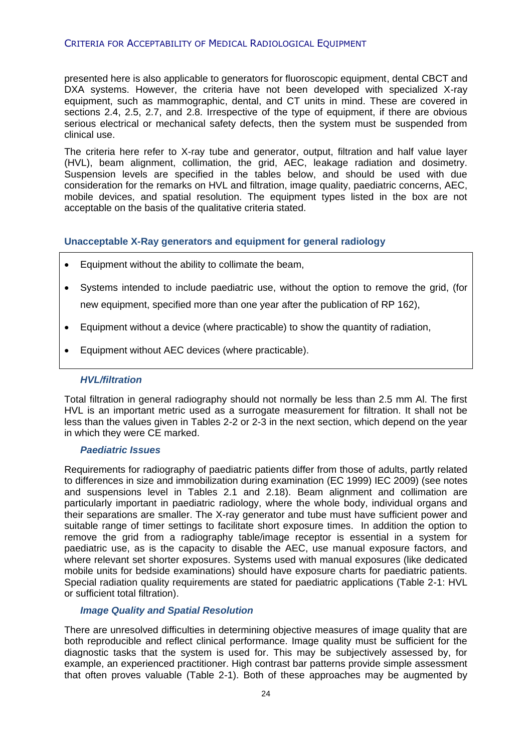### CRITERIA FOR ACCEPTABILITY OF MEDICAL RADIOLOGICAL EQUIPMENT

presented here is also applicable to generators for fluoroscopic equipment, dental CBCT and DXA systems. However, the criteria have not been developed with specialized X-ray equipment, such as mammographic, dental, and CT units in mind. These are covered in sections 2.4, 2.5, 2.7, and 2.8. Irrespective of the type of equipment, if there are obvious serious electrical or mechanical safety defects, then the system must be suspended from clinical use.

The criteria here refer to X-ray tube and generator, output, filtration and half value layer (HVL), beam alignment, collimation, the grid, AEC, leakage radiation and dosimetry. Suspension levels are specified in the tables below, and should be used with due consideration for the remarks on HVL and filtration, image quality, paediatric concerns, AEC, mobile devices, and spatial resolution. The equipment types listed in the box are not acceptable on the basis of the qualitative criteria stated.

#### **Unacceptable X-Ray generators and equipment for general radiology**

- Equipment without the ability to collimate the beam,
- Systems intended to include paediatric use, without the option to remove the grid, (for new equipment, specified more than one year after the publication of RP 162),
- Equipment without a device (where practicable) to show the quantity of radiation,
- Equipment without AEC devices (where practicable).

#### *HVL/filtration*

Total filtration in general radiography should not normally be less than 2.5 mm Al. The first HVL is an important metric used as a surrogate measurement for filtration. It shall not be less than the values given in Tables 2-2 or 2-3 in the next section, which depend on the year in which they were CE marked.

#### *Paediatric Issues*

Requirements for radiography of paediatric patients differ from those of adults, partly related to differences in size and immobilization during examination (EC 1999) IEC 2009) (see notes and suspensions level in Tables 2.1 and 2.18). Beam alignment and collimation are particularly important in paediatric radiology, where the whole body, individual organs and their separations are smaller. The X-ray generator and tube must have sufficient power and suitable range of timer settings to facilitate short exposure times. In addition the option to remove the grid from a radiography table/image receptor is essential in a system for paediatric use, as is the capacity to disable the AEC, use manual exposure factors, and where relevant set shorter exposures. Systems used with manual exposures (like dedicated mobile units for bedside examinations) should have exposure charts for paediatric patients. Special radiation quality requirements are stated for paediatric applications (Table 2-1: HVL or sufficient total filtration).

#### *Image Quality and Spatial Resolution*

There are unresolved difficulties in determining objective measures of image quality that are both reproducible and reflect clinical performance. Image quality must be sufficient for the diagnostic tasks that the system is used for. This may be subjectively assessed by, for example, an experienced practitioner. High contrast bar patterns provide simple assessment that often proves valuable (Table 2-1). Both of these approaches may be augmented by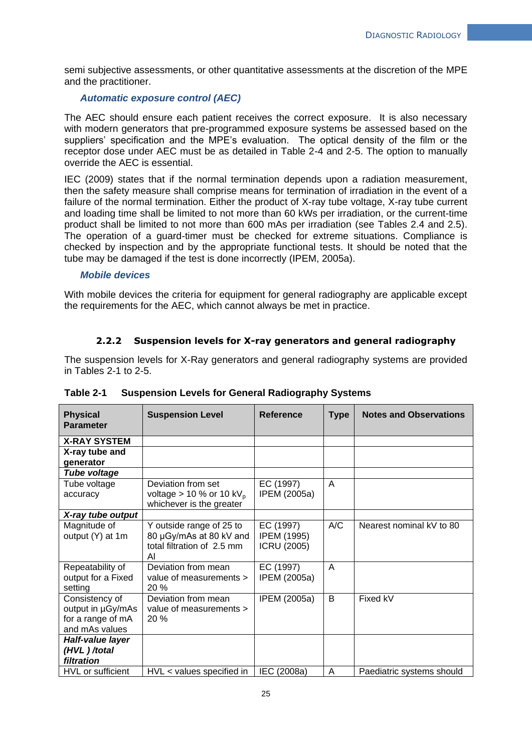semi subjective assessments, or other quantitative assessments at the discretion of the MPE and the practitioner.

### *Automatic exposure control (AEC)*

The AEC should ensure each patient receives the correct exposure. It is also necessary with modern generators that pre-programmed exposure systems be assessed based on the suppliers' specification and the MPE's evaluation. The optical density of the film or the receptor dose under AEC must be as detailed in Table 2-4 and 2-5. The option to manually override the AEC is essential.

IEC (2009) states that if the normal termination depends upon a radiation measurement, then the safety measure shall comprise means for termination of irradiation in the event of a failure of the normal termination. Either the product of X-ray tube voltage, X-ray tube current and loading time shall be limited to not more than 60 kWs per irradiation, or the current-time product shall be limited to not more than 600 mAs per irradiation (see Tables 2.4 and 2.5). The operation of a guard-timer must be checked for extreme situations. Compliance is checked by inspection and by the appropriate functional tests. It should be noted that the tube may be damaged if the test is done incorrectly (IPEM, 2005a).

#### *Mobile devices*

With mobile devices the criteria for equipment for general radiography are applicable except the requirements for the AEC, which cannot always be met in practice.

## **2.2.2 Suspension levels for X-ray generators and general radiography**

<span id="page-24-0"></span>The suspension levels for X-Ray generators and general radiography systems are provided in Tables 2-1 to 2-5.

| <b>Physical</b><br><b>Parameter</b>                                        | <b>Suspension Level</b>                                                                  | Reference                                      | <b>Type</b> | <b>Notes and Observations</b> |
|----------------------------------------------------------------------------|------------------------------------------------------------------------------------------|------------------------------------------------|-------------|-------------------------------|
| <b>X-RAY SYSTEM</b>                                                        |                                                                                          |                                                |             |                               |
| X-ray tube and<br>generator                                                |                                                                                          |                                                |             |                               |
| Tube voltage                                                               |                                                                                          |                                                |             |                               |
| Tube voltage<br>accuracy                                                   | Deviation from set<br>voltage $> 10$ % or 10 kV <sub>p</sub><br>whichever is the greater | EC (1997)<br>IPEM (2005a)                      | A           |                               |
| X-ray tube output                                                          |                                                                                          |                                                |             |                               |
| Magnitude of<br>output (Y) at 1m                                           | Y outside range of 25 to<br>80 µGy/mAs at 80 kV and<br>total filtration of 2.5 mm<br>Al  | EC (1997)<br>IPEM (1995)<br><b>ICRU (2005)</b> | A/C         | Nearest nominal kV to 80      |
| Repeatability of<br>output for a Fixed<br>setting                          | Deviation from mean<br>value of measurements ><br>20%                                    | EC (1997)<br>IPEM (2005a)                      | A           |                               |
| Consistency of<br>output in µGy/mAs<br>for a range of mA<br>and mAs values | Deviation from mean<br>value of measurements ><br>20%                                    | IPEM (2005a)                                   | B           | Fixed kV                      |
| Half-value layer<br>(HVL)/total<br>filtration                              |                                                                                          |                                                |             |                               |
| HVL or sufficient                                                          | HVL < values specified in                                                                | IEC (2008a)                                    | A           | Paediatric systems should     |

**Table 2-1 Suspension Levels for General Radiography Systems**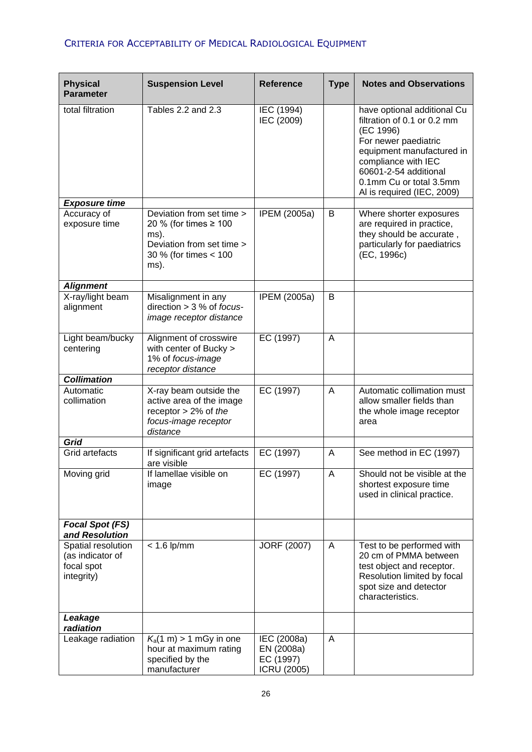## CRITERIA FOR ACCEPTABILITY OF MEDICAL RADIOLOGICAL EQUIPMENT

| <b>Physical</b><br><b>Parameter</b>                                | <b>Suspension Level</b>                                                                                                  | <b>Reference</b>                                             | <b>Type</b> | <b>Notes and Observations</b>                                                                                                                                                                                                         |
|--------------------------------------------------------------------|--------------------------------------------------------------------------------------------------------------------------|--------------------------------------------------------------|-------------|---------------------------------------------------------------------------------------------------------------------------------------------------------------------------------------------------------------------------------------|
| total filtration                                                   | Tables 2.2 and 2.3                                                                                                       | IEC (1994)<br>IEC (2009)                                     |             | have optional additional Cu<br>filtration of 0.1 or 0.2 mm<br>(EC 1996)<br>For newer paediatric<br>equipment manufactured in<br>compliance with IEC<br>60601-2-54 additional<br>0.1mm Cu or total 3.5mm<br>Al is required (IEC, 2009) |
| <b>Exposure time</b>                                               |                                                                                                                          |                                                              |             |                                                                                                                                                                                                                                       |
| Accuracy of<br>exposure time                                       | Deviation from set time ><br>20 % (for times ≥ 100<br>ms).<br>Deviation from set time ><br>30 % (for times < 100<br>ms). | IPEM (2005a)                                                 | B           | Where shorter exposures<br>are required in practice,<br>they should be accurate,<br>particularly for paediatrics<br>(EC, 1996c)                                                                                                       |
| <b>Alignment</b>                                                   |                                                                                                                          |                                                              |             |                                                                                                                                                                                                                                       |
| X-ray/light beam<br>alignment                                      | Misalignment in any<br>direction $>$ 3 % of focus-<br>image receptor distance                                            | <b>IPEM (2005a)</b>                                          | В           |                                                                                                                                                                                                                                       |
| Light beam/bucky<br>centering                                      | Alignment of crosswire<br>with center of Bucky ><br>1% of focus-image<br>receptor distance                               | EC (1997)                                                    | A           |                                                                                                                                                                                                                                       |
| <b>Collimation</b>                                                 |                                                                                                                          |                                                              |             |                                                                                                                                                                                                                                       |
| Automatic<br>collimation                                           | X-ray beam outside the<br>active area of the image<br>receptor $> 2\%$ of the<br>focus-image receptor<br>distance        | EC (1997)                                                    | A           | Automatic collimation must<br>allow smaller fields than<br>the whole image receptor<br>area                                                                                                                                           |
| <b>Grid</b>                                                        |                                                                                                                          |                                                              |             |                                                                                                                                                                                                                                       |
| Grid artefacts                                                     | If significant grid artefacts<br>are visible                                                                             | EC $(1997)$                                                  | A           | See method in EC (1997)                                                                                                                                                                                                               |
| Moving grid                                                        | If lamellae visible on<br>image                                                                                          | EC (1997)                                                    | A           | Should not be visible at the<br>shortest exposure time<br>used in clinical practice.                                                                                                                                                  |
| Focal Spot (FS)<br>and Resolution                                  |                                                                                                                          |                                                              |             |                                                                                                                                                                                                                                       |
| Spatial resolution<br>(as indicator of<br>focal spot<br>integrity) | $< 1.6$ lp/mm                                                                                                            | <b>JORF (2007)</b>                                           | A           | Test to be performed with<br>20 cm of PMMA between<br>test object and receptor.<br>Resolution limited by focal<br>spot size and detector<br>characteristics.                                                                          |
| Leakage<br>radiation                                               |                                                                                                                          |                                                              |             |                                                                                                                                                                                                                                       |
| Leakage radiation                                                  | $K_a(1 \text{ m}) > 1 \text{ mGy in one}$<br>hour at maximum rating<br>specified by the<br>manufacturer                  | IEC (2008a)<br>EN (2008a)<br>EC (1997)<br><b>ICRU (2005)</b> | A           |                                                                                                                                                                                                                                       |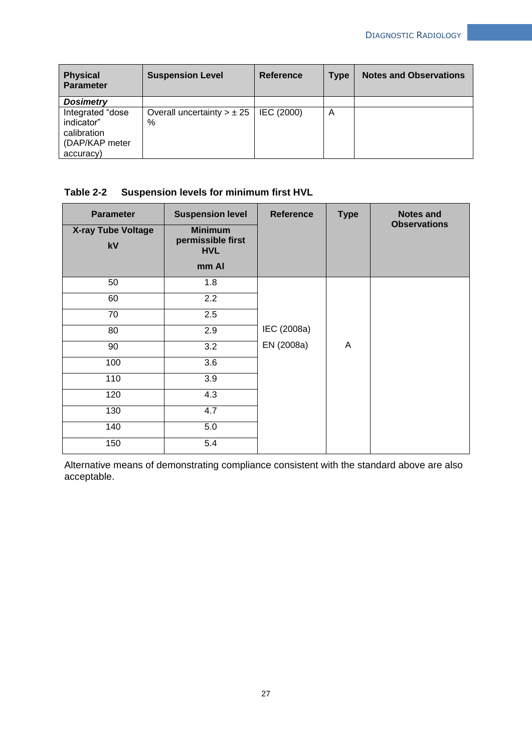| <b>Physical</b><br><b>Parameter</b>                                          | <b>Suspension Level</b>                | Reference  | <b>Type</b> | <b>Notes and Observations</b> |
|------------------------------------------------------------------------------|----------------------------------------|------------|-------------|-------------------------------|
| <b>Dosimetry</b>                                                             |                                        |            |             |                               |
| Integrated "dose<br>indicator"<br>calibration<br>(DAP/KAP meter<br>accuracy) | Overall uncertainty $> \pm 25$<br>$\%$ | IEC (2000) | A           |                               |

## **Table 2-2 Suspension levels for minimum first HVL**

| <b>Parameter</b><br>X-ray Tube Voltage<br>kV | <b>Suspension level</b><br><b>Minimum</b><br>permissible first<br><b>HVL</b><br>mm Al | <b>Reference</b> | <b>Type</b> | <b>Notes and</b><br><b>Observations</b> |
|----------------------------------------------|---------------------------------------------------------------------------------------|------------------|-------------|-----------------------------------------|
| 50                                           | 1.8                                                                                   |                  |             |                                         |
| 60                                           | $\overline{2.2}$                                                                      |                  |             |                                         |
| 70                                           | 2.5                                                                                   |                  |             |                                         |
| 80                                           | 2.9                                                                                   | IEC (2008a)      |             |                                         |
| 90                                           | $\overline{3.2}$                                                                      | EN (2008a)       | A           |                                         |
| 100                                          | 3.6                                                                                   |                  |             |                                         |
| 110                                          | 3.9                                                                                   |                  |             |                                         |
| 120                                          | 4.3                                                                                   |                  |             |                                         |
| 130                                          | 4.7                                                                                   |                  |             |                                         |
| 140                                          | 5.0                                                                                   |                  |             |                                         |
| 150                                          | 5.4                                                                                   |                  |             |                                         |

Alternative means of demonstrating compliance consistent with the standard above are also acceptable.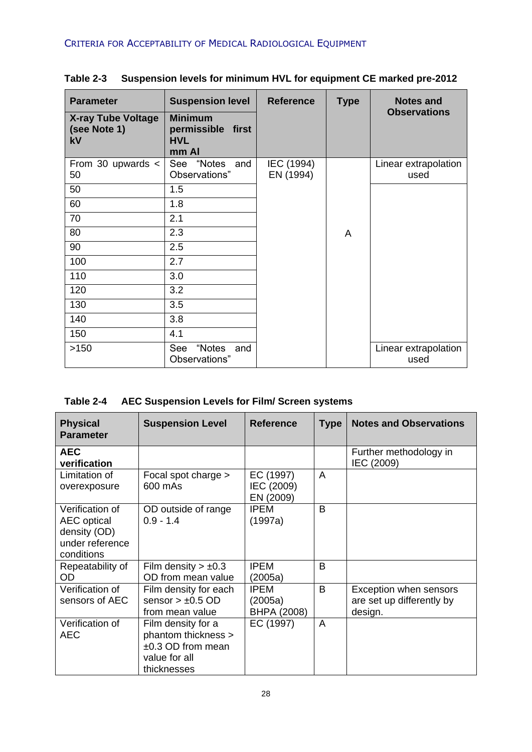| <b>Parameter</b>                                | <b>Suspension level</b>                                    | <b>Reference</b><br><b>Type</b> |   | <b>Notes and</b>             |
|-------------------------------------------------|------------------------------------------------------------|---------------------------------|---|------------------------------|
| <b>X-ray Tube Voltage</b><br>(see Note 1)<br>kV | <b>Minimum</b><br>permissible first<br><b>HVL</b><br>mm Al |                                 |   | <b>Observations</b>          |
| From 30 upwards $\lt$<br>50                     | "Notes<br>See<br>and<br>Observations"                      | IEC (1994)<br>EN (1994)         |   | Linear extrapolation<br>used |
| 50                                              | 1.5                                                        |                                 |   |                              |
| 60                                              | 1.8                                                        |                                 |   |                              |
| 70                                              | 2.1                                                        |                                 |   |                              |
| 80                                              | 2.3                                                        |                                 | A |                              |
| 90                                              | 2.5                                                        |                                 |   |                              |
| 100                                             | 2.7                                                        |                                 |   |                              |
| 110                                             | 3.0                                                        |                                 |   |                              |
| 120                                             | 3.2                                                        |                                 |   |                              |
| 130                                             | 3.5                                                        |                                 |   |                              |
| 140                                             | 3.8                                                        |                                 |   |                              |
| 150                                             | 4.1                                                        |                                 |   |                              |
| >150                                            | "Notes<br>See<br>and<br>Observations"                      |                                 |   | Linear extrapolation<br>used |

**Table 2-3 Suspension levels for minimum HVL for equipment CE marked pre-2012**

| Table 2-4 | <b>AEC Suspension Levels for Film/ Screen systems</b> |  |  |
|-----------|-------------------------------------------------------|--|--|
|           |                                                       |  |  |

| <b>Physical</b><br><b>Parameter</b>                                                    | <b>Suspension Level</b>                                                                          | <b>Reference</b>                      | <b>Type</b> | <b>Notes and Observations</b>                                  |
|----------------------------------------------------------------------------------------|--------------------------------------------------------------------------------------------------|---------------------------------------|-------------|----------------------------------------------------------------|
| <b>AEC</b><br>verification                                                             |                                                                                                  |                                       |             | Further methodology in<br>IEC (2009)                           |
| Limitation of<br>overexposure                                                          | Focal spot charge ><br>600 mAs                                                                   | EC (1997)<br>IEC (2009)<br>EN (2009)  | A           |                                                                |
| Verification of<br><b>AEC</b> optical<br>density (OD)<br>under reference<br>conditions | OD outside of range<br>$0.9 - 1.4$                                                               | <b>IPEM</b><br>(1997a)                | B           |                                                                |
| Repeatability of<br><b>OD</b>                                                          | Film density $> \pm 0.3$<br>OD from mean value                                                   | <b>IPEM</b><br>(2005a)                | B           |                                                                |
| Verification of<br>sensors of AEC                                                      | Film density for each<br>sensor $> \pm 0.5$ OD<br>from mean value                                | <b>IPEM</b><br>(2005a)<br>BHPA (2008) | B           | Exception when sensors<br>are set up differently by<br>design. |
| Verification of<br>AEC                                                                 | Film density for a<br>phantom thickness ><br>$±0.3$ OD from mean<br>value for all<br>thicknesses | EC (1997)                             | A           |                                                                |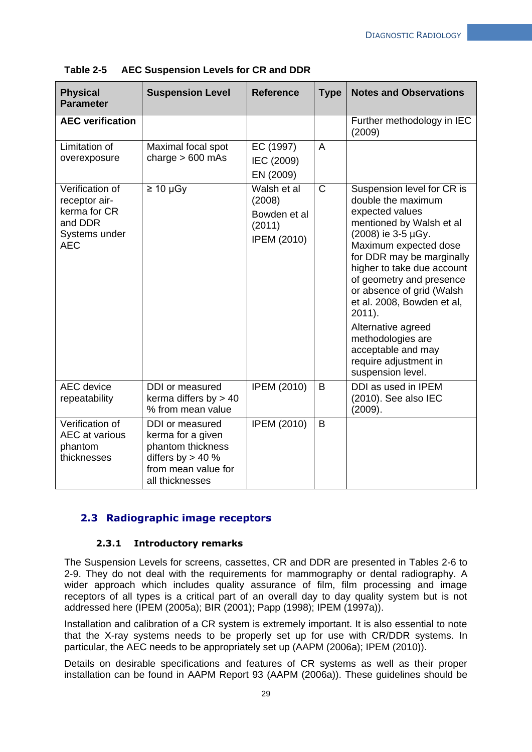| <b>Physical</b><br><b>Parameter</b>                                                        | <b>Suspension Level</b>                                                                                                    | <b>Reference</b>                                                      | <b>Type</b>    | <b>Notes and Observations</b>                                                                                                                                                                                                                                                                                                                                                                                                |
|--------------------------------------------------------------------------------------------|----------------------------------------------------------------------------------------------------------------------------|-----------------------------------------------------------------------|----------------|------------------------------------------------------------------------------------------------------------------------------------------------------------------------------------------------------------------------------------------------------------------------------------------------------------------------------------------------------------------------------------------------------------------------------|
| <b>AEC verification</b>                                                                    |                                                                                                                            |                                                                       |                | Further methodology in IEC<br>(2009)                                                                                                                                                                                                                                                                                                                                                                                         |
| Limitation of<br>overexposure                                                              | Maximal focal spot<br>charge $> 600$ mAs                                                                                   | EC (1997)<br>IEC (2009)<br>EN (2009)                                  | $\overline{A}$ |                                                                                                                                                                                                                                                                                                                                                                                                                              |
| Verification of<br>receptor air-<br>kerma for CR<br>and DDR<br>Systems under<br><b>AEC</b> | $\geq 10 \mu Gy$                                                                                                           | Walsh et al<br>(2008)<br>Bowden et al<br>(2011)<br><b>IPEM (2010)</b> | $\mathsf{C}$   | Suspension level for CR is<br>double the maximum<br>expected values<br>mentioned by Walsh et al<br>(2008) ie 3-5 µGy.<br>Maximum expected dose<br>for DDR may be marginally<br>higher to take due account<br>of geometry and presence<br>or absence of grid (Walsh<br>et al. 2008, Bowden et al,<br>$2011$ ).<br>Alternative agreed<br>methodologies are<br>acceptable and may<br>require adjustment in<br>suspension level. |
| <b>AEC</b> device<br>repeatability                                                         | DDI or measured<br>kerma differs by $> 40$<br>% from mean value                                                            | <b>IPEM (2010)</b>                                                    | B              | DDI as used in IPEM<br>$(2010)$ . See also IEC<br>(2009).                                                                                                                                                                                                                                                                                                                                                                    |
| Verification of<br><b>AEC</b> at various<br>phantom<br>thicknesses                         | DDI or measured<br>kerma for a given<br>phantom thickness<br>differs by $> 40$ %<br>from mean value for<br>all thicknesses | <b>IPEM (2010)</b>                                                    | B              |                                                                                                                                                                                                                                                                                                                                                                                                                              |

**Table 2-5 AEC Suspension Levels for CR and DDR**

## <span id="page-28-0"></span>**2.3 Radiographic image receptors**

#### **2.3.1 Introductory remarks**

<span id="page-28-1"></span>The Suspension Levels for screens, cassettes, CR and DDR are presented in Tables 2-6 to 2-9. They do not deal with the requirements for mammography or dental radiography. A wider approach which includes quality assurance of film, film processing and image receptors of all types is a critical part of an overall day to day quality system but is not addressed here (IPEM (2005a); BIR (2001); Papp (1998); IPEM (1997a)).

Installation and calibration of a CR system is extremely important. It is also essential to note that the X-ray systems needs to be properly set up for use with CR/DDR systems. In particular, the AEC needs to be appropriately set up (AAPM (2006a); IPEM (2010)).

Details on desirable specifications and features of CR systems as well as their proper installation can be found in AAPM Report 93 (AAPM (2006a)). These guidelines should be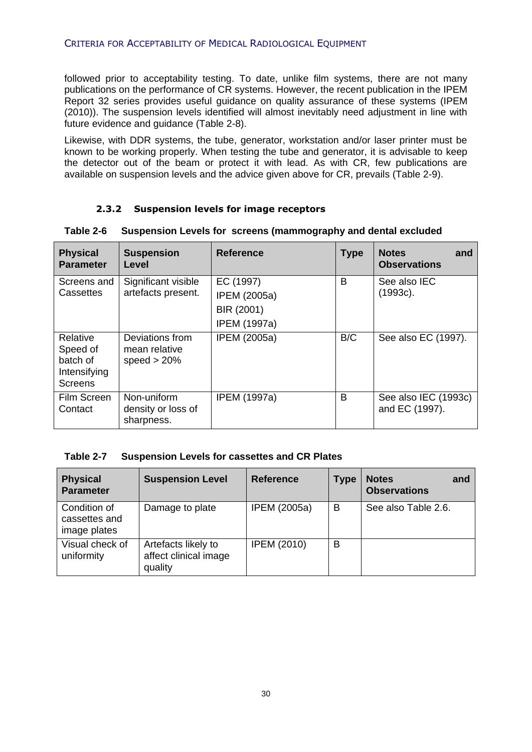followed prior to acceptability testing. To date, unlike film systems, there are not many publications on the performance of CR systems. However, the recent publication in the IPEM Report 32 series provides useful guidance on quality assurance of these systems (IPEM (2010)). The suspension levels identified will almost inevitably need adjustment in line with future evidence and guidance (Table 2-8).

Likewise, with DDR systems, the tube, generator, workstation and/or laser printer must be known to be working properly. When testing the tube and generator, it is advisable to keep the detector out of the beam or protect it with lead. As with CR, few publications are available on suspension levels and the advice given above for CR, prevails (Table 2-9).

#### **2.3.2 Suspension levels for image receptors**

| <b>Physical</b><br><b>Parameter</b>                                | <b>Suspension</b><br>Level                         | <b>Reference</b>                                                      | <b>Type</b> | <b>Notes</b><br>and<br><b>Observations</b> |
|--------------------------------------------------------------------|----------------------------------------------------|-----------------------------------------------------------------------|-------------|--------------------------------------------|
| Screens and<br>Cassettes                                           | Significant visible<br>artefacts present.          | EC (1997)<br><b>IPEM (2005a)</b><br>BIR (2001)<br><b>IPEM (1997a)</b> | B           | See also IEC<br>$(1993c)$ .                |
| Relative<br>Speed of<br>batch of<br>Intensifying<br><b>Screens</b> | Deviations from<br>mean relative<br>speed $> 20\%$ | <b>IPEM (2005a)</b>                                                   | B/C         | See also EC (1997).                        |
| Film Screen<br>Contact                                             | Non-uniform<br>density or loss of<br>sharpness.    | <b>IPEM (1997a)</b>                                                   | B           | See also IEC (1993c)<br>and EC (1997).     |

#### <span id="page-29-0"></span>**Table 2-6 Suspension Levels for screens (mammography and dental excluded**

#### **Table 2-7 Suspension Levels for cassettes and CR Plates**

| <b>Physical</b><br><b>Parameter</b>           | <b>Suspension Level</b>                                 | <b>Reference</b>    | <b>Type</b> | <b>Notes</b><br>and<br><b>Observations</b> |
|-----------------------------------------------|---------------------------------------------------------|---------------------|-------------|--------------------------------------------|
| Condition of<br>cassettes and<br>image plates | Damage to plate                                         | <b>IPEM (2005a)</b> | B           | See also Table 2.6.                        |
| Visual check of<br>uniformity                 | Artefacts likely to<br>affect clinical image<br>quality | <b>IPEM (2010)</b>  | B           |                                            |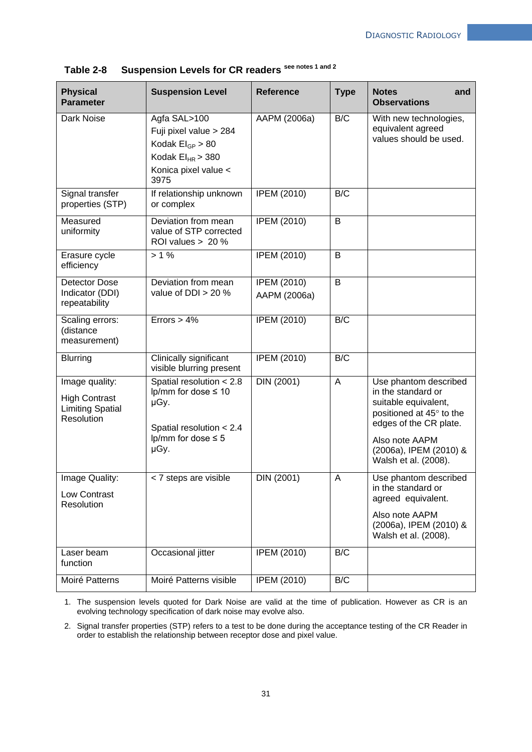| <b>Physical</b><br><b>Parameter</b>                                             | <b>Suspension Level</b>                                                                                                       | <b>Reference</b>                   | <b>Type</b>    | <b>Notes</b><br>and<br><b>Observations</b>                                                                                                                                                    |
|---------------------------------------------------------------------------------|-------------------------------------------------------------------------------------------------------------------------------|------------------------------------|----------------|-----------------------------------------------------------------------------------------------------------------------------------------------------------------------------------------------|
| Dark Noise                                                                      | Agfa SAL>100<br>Fuji pixel value > 284<br>Kodak $El_{GP} > 80$<br>Kodak $EI_{HR}$ > 380<br>Konica pixel value <<br>3975       | AAPM (2006a)                       | B/C            | With new technologies,<br>equivalent agreed<br>values should be used.                                                                                                                         |
| Signal transfer<br>properties (STP)                                             | If relationship unknown<br>or complex                                                                                         | <b>IPEM (2010)</b>                 | B/C            |                                                                                                                                                                                               |
| Measured<br>uniformity                                                          | Deviation from mean<br>value of STP corrected<br>ROI values > 20 %                                                            | <b>IPEM (2010)</b>                 | B              |                                                                                                                                                                                               |
| Erasure cycle<br>efficiency                                                     | $> 1\%$                                                                                                                       | <b>IPEM (2010)</b>                 | $\overline{B}$ |                                                                                                                                                                                               |
| Detector Dose<br>Indicator (DDI)<br>repeatability                               | Deviation from mean<br>value of $DDI > 20$ %                                                                                  | <b>IPEM (2010)</b><br>AAPM (2006a) | B              |                                                                                                                                                                                               |
| Scaling errors:<br>(distance<br>measurement)                                    | Errors $> 4\%$                                                                                                                | <b>IPEM (2010)</b>                 | B/C            |                                                                                                                                                                                               |
| <b>Blurring</b>                                                                 | Clinically significant<br>visible blurring present                                                                            | <b>IPEM (2010)</b>                 | B/C            |                                                                                                                                                                                               |
| Image quality:<br><b>High Contrast</b><br><b>Limiting Spatial</b><br>Resolution | Spatial resolution < 2.8<br>lp/mm for dose $\leq 10$<br>µGy.<br>Spatial resolution $< 2.4$<br>lp/mm for dose $\leq 5$<br>µGy. | <b>DIN (2001)</b>                  | A              | Use phantom described<br>in the standard or<br>suitable equivalent,<br>positioned at 45° to the<br>edges of the CR plate.<br>Also note AAPM<br>(2006a), IPEM (2010) &<br>Walsh et al. (2008). |
| Image Quality:<br>Low Contrast<br>Resolution                                    | < 7 steps are visible                                                                                                         | DIN (2001)                         | А              | Use phantom described<br>in the standard or<br>agreed equivalent.<br>Also note AAPM<br>(2006a), IPEM (2010) &<br>Walsh et al. (2008).                                                         |
| Laser beam<br>function                                                          | Occasional jitter                                                                                                             | <b>IPEM (2010)</b>                 | B/C            |                                                                                                                                                                                               |
| Moiré Patterns                                                                  | Moiré Patterns visible                                                                                                        | <b>IPEM (2010)</b>                 | B/C            |                                                                                                                                                                                               |

| Suspension Levels for CR readers see notes 1 and 2<br>Table 2-8 |  |
|-----------------------------------------------------------------|--|
|-----------------------------------------------------------------|--|

1. The suspension levels quoted for Dark Noise are valid at the time of publication. However as CR is an evolving technology specification of dark noise may evolve also.

2. Signal transfer properties (STP) refers to a test to be done during the acceptance testing of the CR Reader in order to establish the relationship between receptor dose and pixel value.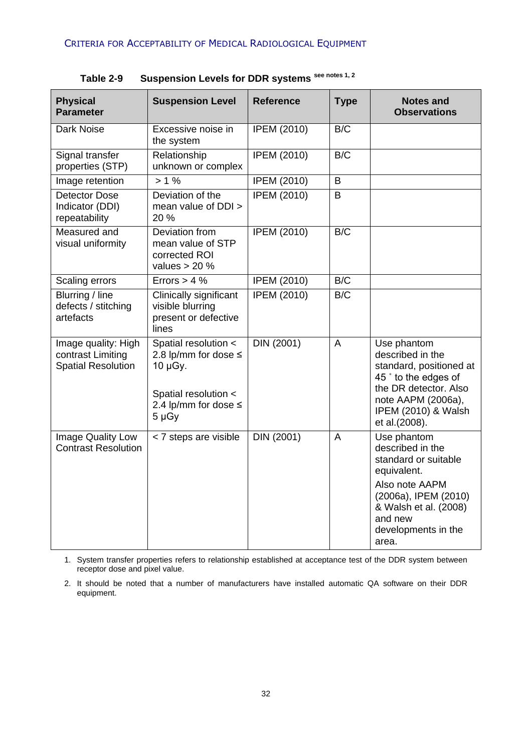| <b>Physical</b><br><b>Parameter</b>                                   | <b>Suspension Level</b>                                                                                                    | <b>Reference</b>   | <b>Type</b>    | <b>Notes and</b><br><b>Observations</b>                                                                                                                                              |
|-----------------------------------------------------------------------|----------------------------------------------------------------------------------------------------------------------------|--------------------|----------------|--------------------------------------------------------------------------------------------------------------------------------------------------------------------------------------|
| Dark Noise                                                            | Excessive noise in<br>the system                                                                                           | <b>IPEM (2010)</b> | B/C            |                                                                                                                                                                                      |
| Signal transfer<br>properties (STP)                                   | Relationship<br>unknown or complex                                                                                         | <b>IPEM (2010)</b> | B/C            |                                                                                                                                                                                      |
| Image retention                                                       | > 1%                                                                                                                       | <b>IPEM (2010)</b> | B              |                                                                                                                                                                                      |
| <b>Detector Dose</b><br>Indicator (DDI)<br>repeatability              | Deviation of the<br>mean value of DDI ><br>20 %                                                                            | <b>IPEM (2010)</b> | B              |                                                                                                                                                                                      |
| Measured and<br>visual uniformity                                     | Deviation from<br>mean value of STP<br>corrected ROI<br>values $> 20$ %                                                    | <b>IPEM (2010)</b> | B/C            |                                                                                                                                                                                      |
| Scaling errors                                                        | Errors $> 4$ %                                                                                                             | <b>IPEM (2010)</b> | B/C            |                                                                                                                                                                                      |
| Blurring / line<br>defects / stitching<br>artefacts                   | Clinically significant<br>visible blurring<br>present or defective<br>lines                                                | <b>IPEM (2010)</b> | B/C            |                                                                                                                                                                                      |
| Image quality: High<br>contrast Limiting<br><b>Spatial Resolution</b> | Spatial resolution <<br>2.8 lp/mm for dose $\leq$<br>10 µGy.<br>Spatial resolution <<br>2.4 lp/mm for dose ≤<br>$5 \mu Gy$ | DIN (2001)         | A              | Use phantom<br>described in the<br>standard, positioned at<br>45° to the edges of<br>the DR detector. Also<br>note AAPM (2006a),<br>IPEM (2010) & Walsh<br>et al.(2008).             |
| Image Quality Low<br><b>Contrast Resolution</b>                       | < 7 steps are visible                                                                                                      | <b>DIN (2001)</b>  | $\overline{A}$ | Use phantom<br>described in the<br>standard or suitable<br>equivalent.<br>Also note AAPM<br>(2006a), IPEM (2010)<br>& Walsh et al. (2008)<br>and new<br>developments in the<br>area. |

**Table 2-9 Suspension Levels for DDR systems see notes 1, 2**

1. System transfer properties refers to relationship established at acceptance test of the DDR system between receptor dose and pixel value.

2. It should be noted that a number of manufacturers have installed automatic QA software on their DDR equipment.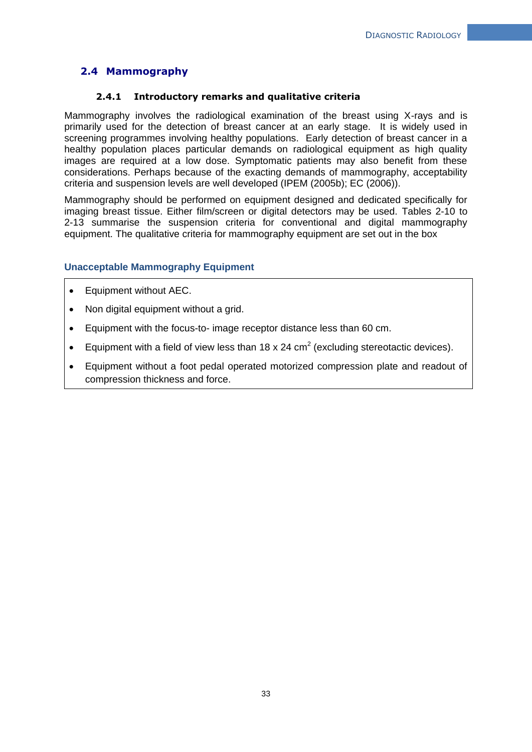## <span id="page-32-0"></span>**2.4 Mammography**

### **2.4.1 Introductory remarks and qualitative criteria**

<span id="page-32-1"></span>Mammography involves the radiological examination of the breast using X-rays and is primarily used for the detection of breast cancer at an early stage. It is widely used in screening programmes involving healthy populations. Early detection of breast cancer in a healthy population places particular demands on radiological equipment as high quality images are required at a low dose. Symptomatic patients may also benefit from these considerations. Perhaps because of the exacting demands of mammography, acceptability criteria and suspension levels are well developed (IPEM (2005b); EC (2006)).

Mammography should be performed on equipment designed and dedicated specifically for imaging breast tissue. Either film/screen or digital detectors may be used. Tables 2-10 to 2-13 summarise the suspension criteria for conventional and digital mammography equipment. The qualitative criteria for mammography equipment are set out in the box

#### **Unacceptable Mammography Equipment**

- Equipment without AEC.
- Non digital equipment without a grid.
- Equipment with the focus-to- image receptor distance less than 60 cm.
- Equipment with a field of view less than 18 x 24  $\text{cm}^2$  (excluding stereotactic devices).
- Equipment without a foot pedal operated motorized compression plate and readout of compression thickness and force.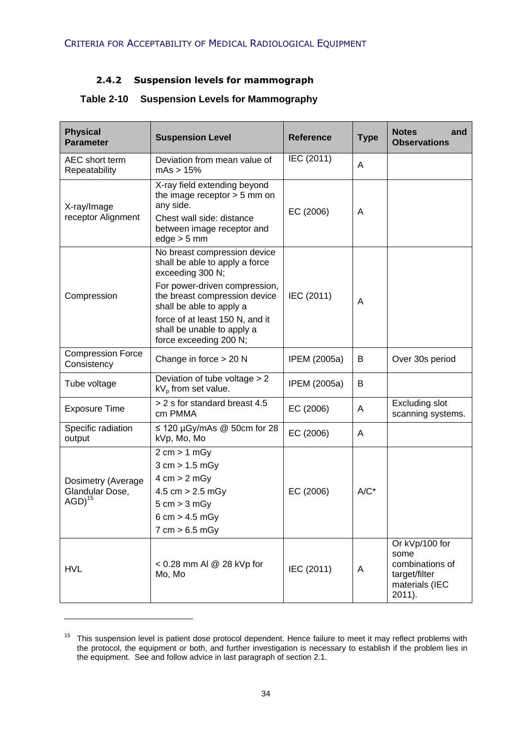## **2.4.2 Suspension levels for mammograph**

| <b>Physical</b><br><b>Parameter</b>     | <b>Suspension Level</b>                                                                                                    | <b>Reference</b> | <b>Type</b> | <b>Notes</b><br>and<br><b>Observations</b>                                             |
|-----------------------------------------|----------------------------------------------------------------------------------------------------------------------------|------------------|-------------|----------------------------------------------------------------------------------------|
| AEC short term<br>Repeatability         | Deviation from mean value of<br>mAs > 15%                                                                                  | IEC (2011)       | A           |                                                                                        |
| X-ray/Image                             | X-ray field extending beyond<br>the image receptor $> 5$ mm on<br>any side.                                                | EC (2006)        | A           |                                                                                        |
| receptor Alignment                      | Chest wall side: distance<br>between image receptor and<br>$edge > 5$ mm                                                   |                  |             |                                                                                        |
|                                         | No breast compression device<br>shall be able to apply a force<br>exceeding 300 N;                                         |                  |             |                                                                                        |
| Compression                             | For power-driven compression,<br>the breast compression device<br>shall be able to apply a                                 | IEC (2011)       | A           |                                                                                        |
|                                         | force of at least 150 N, and it<br>shall be unable to apply a<br>force exceeding 200 N;                                    |                  |             |                                                                                        |
| <b>Compression Force</b><br>Consistency | Change in force $> 20$ N                                                                                                   | IPEM (2005a)     | B           | Over 30s period                                                                        |
| Tube voltage                            | Deviation of tube voltage > 2<br>$kV_p$ from set value.                                                                    | IPEM (2005a)     | B           |                                                                                        |
| <b>Exposure Time</b>                    | > 2 s for standard breast 4.5<br>cm PMMA                                                                                   | EC (2006)        | A           | <b>Excluding slot</b><br>scanning systems.                                             |
| Specific radiation<br>output            | $\leq$ 120 µGy/mAs @ 50cm for 28<br>kVp, Mo, Mo                                                                            | EC (2006)        | A           |                                                                                        |
| Dosimetry (Average                      | $2 \text{ cm} > 1 \text{ mGy}$<br>3 cm > 1.5 mGy<br>$4 \text{ cm} > 2 \text{ mGy}$                                         |                  |             |                                                                                        |
| Glandular Dose,<br>$AGD)^{15}$          | $4.5 \text{ cm} > 2.5 \text{ mGy}$<br>$5 \text{ cm} > 3 \text{ mGy}$<br>6 cm > 4.5 mGy<br>$7 \text{ cm} > 6.5 \text{ mGy}$ | EC (2006)        | $A/C^*$     |                                                                                        |
| <b>HVL</b>                              | < 0.28 mm Al @ 28 kVp for<br>Mo, Mo                                                                                        | IEC (2011)       | A           | Or kVp/100 for<br>some<br>combinations of<br>target/filter<br>materials (IEC<br>2011). |

## <span id="page-33-0"></span>**Table 2-10 Suspension Levels for Mammography**

1

<sup>&</sup>lt;sup>15</sup> This suspension level is patient dose protocol dependent. Hence failure to meet it may reflect problems with the protocol, the equipment or both, and further investigation is necessary to establish if the problem lies in the equipment. See and follow advice in last paragraph of section 2.1.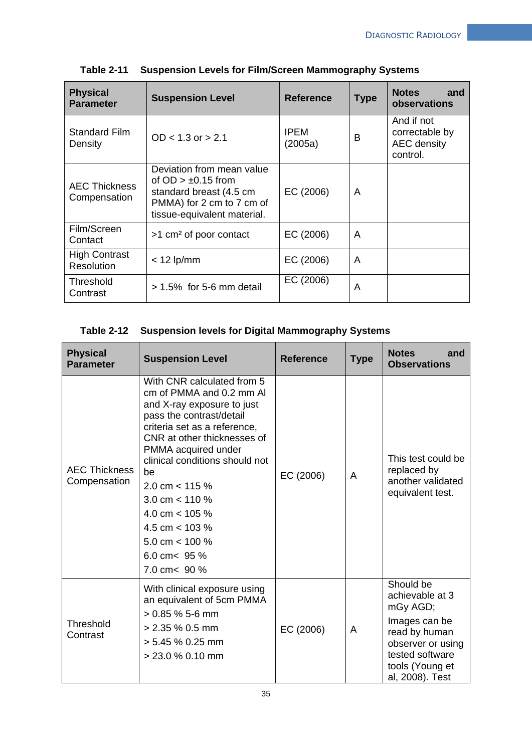| <b>Physical</b><br><b>Parameter</b>  | <b>Suspension Level</b>                                                                                                                  | <b>Reference</b>       | <b>Type</b> | <b>Notes</b><br>and<br>observations                            |
|--------------------------------------|------------------------------------------------------------------------------------------------------------------------------------------|------------------------|-------------|----------------------------------------------------------------|
| <b>Standard Film</b><br>Density      | $OD < 1.3$ or $> 2.1$                                                                                                                    | <b>IPEM</b><br>(2005a) | B           | And if not<br>correctable by<br><b>AEC</b> density<br>control. |
| <b>AEC Thickness</b><br>Compensation | Deviation from mean value<br>of $OD > ±0.15$ from<br>standard breast (4.5 cm<br>PMMA) for 2 cm to 7 cm of<br>tissue-equivalent material. | EC (2006)              | A           |                                                                |
| Film/Screen<br>Contact               | >1 cm <sup>2</sup> of poor contact                                                                                                       | EC (2006)              | A           |                                                                |
| <b>High Contrast</b><br>Resolution   | $<$ 12 lp/mm                                                                                                                             | EC (2006)              | A           |                                                                |
| Threshold<br>Contrast                | $> 1.5\%$ for 5-6 mm detail                                                                                                              | EC (2006)              | A           |                                                                |

**Table 2-11 Suspension Levels for Film/Screen Mammography Systems**

## **Table 2-12 Suspension levels for Digital Mammography Systems**

| <b>Physical</b><br><b>Parameter</b>  | <b>Suspension Level</b>                                                                                                                                                                                                                                                                                                                                                                   | <b>Reference</b> | <b>Type</b> | <b>Notes</b><br>and<br><b>Observations</b>                                                                                                               |
|--------------------------------------|-------------------------------------------------------------------------------------------------------------------------------------------------------------------------------------------------------------------------------------------------------------------------------------------------------------------------------------------------------------------------------------------|------------------|-------------|----------------------------------------------------------------------------------------------------------------------------------------------------------|
| <b>AEC Thickness</b><br>Compensation | With CNR calculated from 5<br>cm of PMMA and 0.2 mm AI<br>and X-ray exposure to just<br>pass the contrast/detail<br>criteria set as a reference,<br>CNR at other thicknesses of<br>PMMA acquired under<br>clinical conditions should not<br>be<br>2.0 cm $<$ 115 %<br>3.0 cm $<$ 110 %<br>4.0 cm $<$ 105 %<br>4.5 cm $<$ 103 %<br>5.0 cm $<$ 100 %<br>6.0 cm $<$ 95 %<br>7.0 cm $< 90 \%$ | EC (2006)        | A           | This test could be<br>replaced by<br>another validated<br>equivalent test.                                                                               |
| Threshold<br>Contrast                | With clinical exposure using<br>an equivalent of 5cm PMMA<br>$> 0.85$ % 5-6 mm<br>$> 2.35$ % 0.5 mm<br>$> 5.45$ % 0.25 mm<br>> 23.0 % 0.10 mm                                                                                                                                                                                                                                             | EC (2006)        | A           | Should be<br>achievable at 3<br>mGy AGD;<br>Images can be<br>read by human<br>observer or using<br>tested software<br>tools (Young et<br>al, 2008). Test |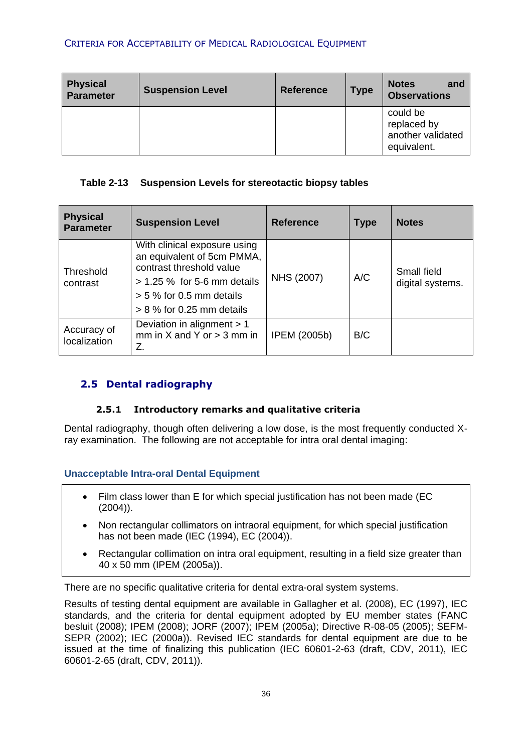| <b>Physical</b><br><b>Parameter</b> | <b>Suspension Level</b> | <b>Reference</b> | <b>Type</b> | <b>Notes</b><br>and<br><b>Observations</b>                  |
|-------------------------------------|-------------------------|------------------|-------------|-------------------------------------------------------------|
|                                     |                         |                  |             | could be<br>replaced by<br>another validated<br>equivalent. |

## **Table 2-13 Suspension Levels for stereotactic biopsy tables**

| <b>Physical</b><br><b>Parameter</b> | <b>Suspension Level</b>                                                                                                                                                              | <b>Reference</b> | <b>Type</b> | <b>Notes</b>                    |
|-------------------------------------|--------------------------------------------------------------------------------------------------------------------------------------------------------------------------------------|------------------|-------------|---------------------------------|
| Threshold<br>contrast               | With clinical exposure using<br>an equivalent of 5cm PMMA,<br>contrast threshold value<br>$> 1.25$ % for 5-6 mm details<br>$> 5$ % for 0.5 mm details<br>$> 8$ % for 0.25 mm details | NHS (2007)       | A/C         | Small field<br>digital systems. |
| Accuracy of<br>localization         | Deviation in alignment > 1<br>mm in $X$ and $Y$ or $>$ 3 mm in<br>Z.                                                                                                                 | IPEM (2005b)     | B/C         |                                 |

## <span id="page-35-0"></span>**2.5 Dental radiography**

## **2.5.1 Introductory remarks and qualitative criteria**

<span id="page-35-1"></span>Dental radiography, though often delivering a low dose, is the most frequently conducted Xray examination. The following are not acceptable for intra oral dental imaging:

## **Unacceptable Intra-oral Dental Equipment**

- Film class lower than E for which special justification has not been made (EC (2004)).
- Non rectangular collimators on intraoral equipment, for which special justification has not been made (IEC (1994), EC (2004)).
- Rectangular collimation on intra oral equipment, resulting in a field size greater than 40 x 50 mm (IPEM (2005a)).

There are no specific qualitative criteria for dental extra-oral system systems.

Results of testing dental equipment are available in Gallagher et al. (2008), EC (1997), IEC standards, and the criteria for dental equipment adopted by EU member states (FANC besluit (2008); IPEM (2008); JORF (2007); IPEM (2005a); Directive R-08-05 (2005); SEFM-SEPR (2002); IEC (2000a)). Revised IEC standards for dental equipment are due to be issued at the time of finalizing this publication (IEC 60601-2-63 (draft, CDV, 2011), IEC 60601-2-65 (draft, CDV, 2011)).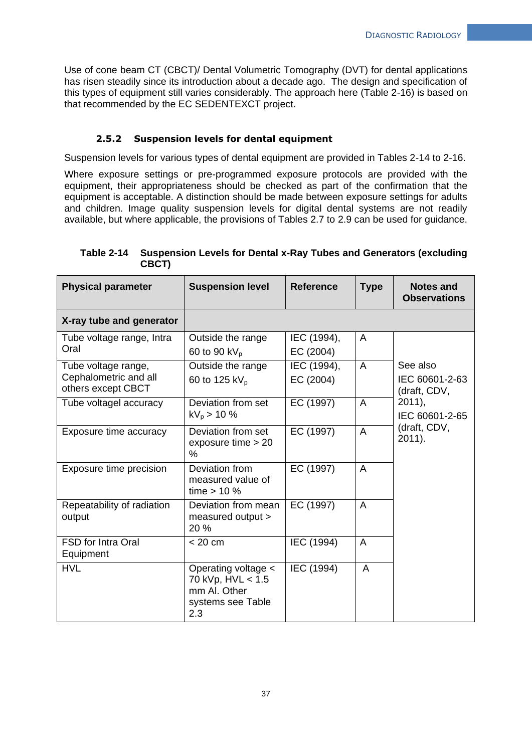Use of cone beam CT (CBCT)/ Dental Volumetric Tomography (DVT) for dental applications has risen steadily since its introduction about a decade ago. The design and specification of this types of equipment still varies considerably. The approach here (Table 2-16) is based on that recommended by the EC SEDENTEXCT project.

#### **2.5.2 Suspension levels for dental equipment**

Suspension levels for various types of dental equipment are provided in Tables 2-14 to 2-16.

Where exposure settings or pre-programmed exposure protocols are provided with the equipment, their appropriateness should be checked as part of the confirmation that the equipment is acceptable. A distinction should be made between exposure settings for adults and children. Image quality suspension levels for digital dental systems are not readily available, but where applicable, the provisions of Tables 2.7 to 2.9 can be used for guidance.

| <b>Physical parameter</b>                                          | <b>Suspension level</b>                                                              | <b>Reference</b>         | <b>Type</b>    | <b>Notes and</b><br><b>Observations</b>    |
|--------------------------------------------------------------------|--------------------------------------------------------------------------------------|--------------------------|----------------|--------------------------------------------|
| X-ray tube and generator                                           |                                                                                      |                          |                |                                            |
| Tube voltage range, Intra<br>Oral                                  | Outside the range<br>60 to 90 kV <sub>p</sub>                                        | IEC (1994),<br>EC (2004) | $\overline{A}$ |                                            |
| Tube voltage range,<br>Cephalometric and all<br>others except CBCT | Outside the range<br>60 to 125 kV <sub>p</sub>                                       | IEC (1994),<br>EC (2004) | $\overline{A}$ | See also<br>IEC 60601-2-63<br>(draft, CDV, |
| Tube voltagel accuracy                                             | Deviation from set<br>$kV_p > 10 \%$                                                 | EC (1997)                | $\overline{A}$ | 2011,<br>IEC 60601-2-65                    |
| Exposure time accuracy                                             | Deviation from set<br>exposure time > 20<br>$\%$                                     | EC (1997)                | $\overline{A}$ | (draft, CDV,<br>$2011$ ).                  |
| Exposure time precision                                            | Deviation from<br>measured value of<br>time $> 10$ %                                 | EC (1997)                | $\overline{A}$ |                                            |
| Repeatability of radiation<br>output                               | Deviation from mean<br>measured output ><br>20 %                                     | EC (1997)                | $\overline{A}$ |                                            |
| FSD for Intra Oral<br>Equipment                                    | < 20 cm                                                                              | IEC (1994)               | $\overline{A}$ |                                            |
| <b>HVL</b>                                                         | Operating voltage <<br>70 kVp, HVL < 1.5<br>mm Al. Other<br>systems see Table<br>2.3 | IEC (1994)               | A              |                                            |

**Table 2-14 Suspension Levels for Dental x-Ray Tubes and Generators (excluding CBCT)**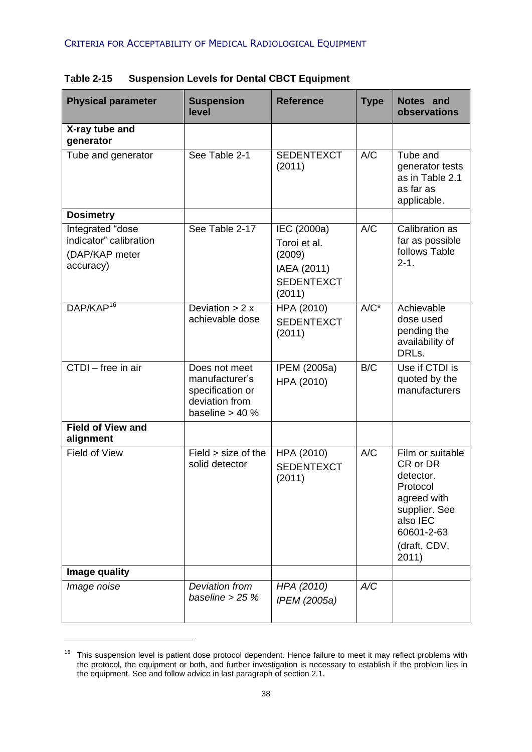| <b>Physical parameter</b>                                                 | <b>Suspension</b><br>level                                                                 | <b>Reference</b>                                                                    | <b>Type</b> | Notes and<br>observations                                                                                                                |
|---------------------------------------------------------------------------|--------------------------------------------------------------------------------------------|-------------------------------------------------------------------------------------|-------------|------------------------------------------------------------------------------------------------------------------------------------------|
| X-ray tube and<br>generator                                               |                                                                                            |                                                                                     |             |                                                                                                                                          |
| Tube and generator                                                        | See Table 2-1                                                                              | <b>SEDENTEXCT</b><br>(2011)                                                         | A/C         | Tube and<br>generator tests<br>as in Table 2.1<br>as far as<br>applicable.                                                               |
| <b>Dosimetry</b>                                                          |                                                                                            |                                                                                     |             |                                                                                                                                          |
| Integrated "dose<br>indicator" calibration<br>(DAP/KAP meter<br>accuracy) | See Table 2-17                                                                             | IEC (2000a)<br>Toroi et al.<br>(2009)<br>IAEA (2011)<br><b>SEDENTEXCT</b><br>(2011) | A/C         | Calibration as<br>far as possible<br>follows Table<br>$2 - 1$ .                                                                          |
| DAP/KAP <sup>16</sup>                                                     | Deviation $> 2x$<br>achievable dose                                                        | HPA (2010)<br><b>SEDENTEXCT</b><br>(2011)                                           | $A/C^*$     | Achievable<br>dose used<br>pending the<br>availability of<br>DRLs.                                                                       |
| CTDI - free in air                                                        | Does not meet<br>manufacturer's<br>specification or<br>deviation from<br>baseline $> 40$ % | IPEM (2005a)<br>HPA (2010)                                                          | B/C         | Use if CTDI is<br>quoted by the<br>manufacturers                                                                                         |
| <b>Field of View and</b><br>alignment                                     |                                                                                            |                                                                                     |             |                                                                                                                                          |
| <b>Field of View</b>                                                      | Field > size of the<br>solid detector                                                      | HPA (2010)<br><b>SEDENTEXCT</b><br>(2011)                                           | A/C         | Film or suitable<br>CR or DR<br>detector.<br>Protocol<br>agreed with<br>supplier. See<br>also IEC<br>60601-2-63<br>(draft, CDV,<br>2011) |
| Image quality                                                             |                                                                                            |                                                                                     |             |                                                                                                                                          |
| Image noise                                                               | Deviation from<br>baseline $>$ 25 %                                                        | HPA (2010)<br>IPEM (2005a)                                                          | A/C         |                                                                                                                                          |

**Table 2-15 Suspension Levels for Dental CBCT Equipment**

1

<sup>&</sup>lt;sup>16</sup> This suspension level is patient dose protocol dependent. Hence failure to meet it may reflect problems with the protocol, the equipment or both, and further investigation is necessary to establish if the problem lies in the equipment. See and follow advice in last paragraph of section 2.1.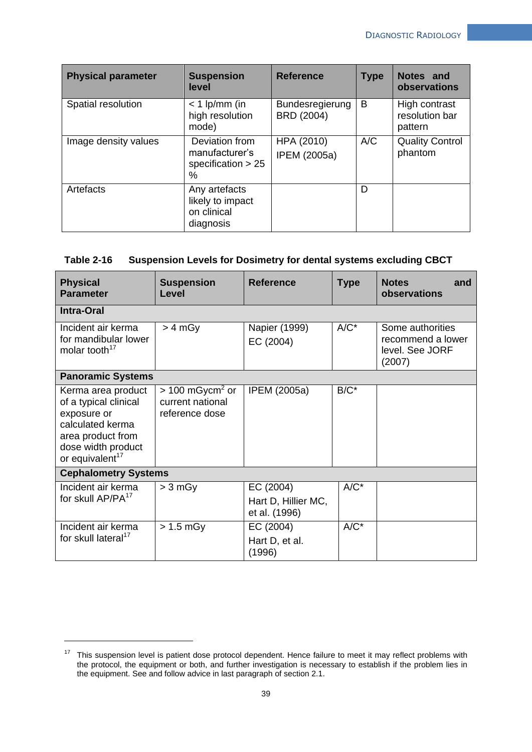| <b>Physical parameter</b> | <b>Suspension</b><br>level                                    | <b>Reference</b>                     | <b>Type</b> | Notes and<br>observations                  |
|---------------------------|---------------------------------------------------------------|--------------------------------------|-------------|--------------------------------------------|
| Spatial resolution        | $<$ 1 lp/mm (in<br>high resolution<br>mode)                   | <b>Bundesregierung</b><br>BRD (2004) | B           | High contrast<br>resolution bar<br>pattern |
| Image density values      | Deviation from<br>manufacturer's<br>specification $> 25$<br>% | HPA (2010)<br><b>IPEM (2005a)</b>    | A/C         | <b>Quality Control</b><br>phantom          |
| Artefacts                 | Any artefacts<br>likely to impact<br>on clinical<br>diagnosis |                                      | D           |                                            |

#### **Table 2-16 Suspension Levels for Dosimetry for dental systems excluding CBCT**

| <b>Physical</b><br><b>Parameter</b>                                                                                                                      | <b>Suspension</b><br>Level                                       | <b>Reference</b>                                  | <b>Type</b> | <b>Notes</b><br>and<br>observations                                |  |  |
|----------------------------------------------------------------------------------------------------------------------------------------------------------|------------------------------------------------------------------|---------------------------------------------------|-------------|--------------------------------------------------------------------|--|--|
| <b>Intra-Oral</b>                                                                                                                                        |                                                                  |                                                   |             |                                                                    |  |  |
| Incident air kerma<br>for mandibular lower<br>molar tooth <sup>17</sup>                                                                                  | > 4 mGy                                                          | Napier (1999)<br>EC (2004)                        | $A/C^*$     | Some authorities<br>recommend a lower<br>level. See JORF<br>(2007) |  |  |
| <b>Panoramic Systems</b>                                                                                                                                 |                                                                  |                                                   |             |                                                                    |  |  |
| Kerma area product<br>of a typical clinical<br>exposure or<br>calculated kerma<br>area product from<br>dose width product<br>or equivalent <sup>17</sup> | $> 100 \text{ mGycm}^2$ or<br>current national<br>reference dose | <b>IPEM (2005a)</b>                               | $B/C^*$     |                                                                    |  |  |
| <b>Cephalometry Systems</b>                                                                                                                              |                                                                  |                                                   |             |                                                                    |  |  |
| Incident air kerma<br>for skull AP/PA <sup>17</sup>                                                                                                      | > 3 mGy                                                          | EC (2004)<br>Hart D, Hillier MC,<br>et al. (1996) | $A/C^*$     |                                                                    |  |  |
| Incident air kerma<br>for skull lateral <sup>17</sup>                                                                                                    | $> 1.5$ mGy                                                      | EC (2004)<br>Hart D, et al.<br>(1996)             | $A/C^*$     |                                                                    |  |  |

1

<sup>&</sup>lt;sup>17</sup> This suspension level is patient dose protocol dependent. Hence failure to meet it may reflect problems with the protocol, the equipment or both, and further investigation is necessary to establish if the problem lies in the equipment. See and follow advice in last paragraph of section 2.1.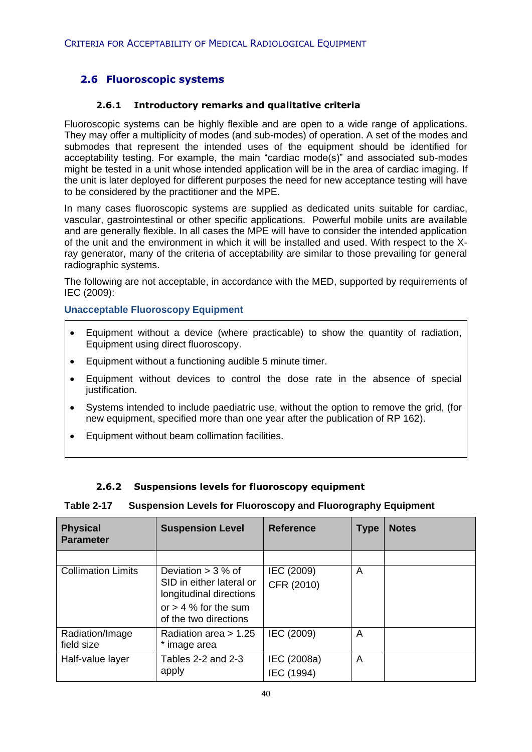# **2.6 Fluoroscopic systems**

#### **2.6.1 Introductory remarks and qualitative criteria**

Fluoroscopic systems can be highly flexible and are open to a wide range of applications. They may offer a multiplicity of modes (and sub-modes) of operation. A set of the modes and submodes that represent the intended uses of the equipment should be identified for acceptability testing. For example, the main "cardiac mode(s)" and associated sub-modes might be tested in a unit whose intended application will be in the area of cardiac imaging. If the unit is later deployed for different purposes the need for new acceptance testing will have to be considered by the practitioner and the MPE.

In many cases fluoroscopic systems are supplied as dedicated units suitable for cardiac, vascular, gastrointestinal or other specific applications. Powerful mobile units are available and are generally flexible. In all cases the MPE will have to consider the intended application of the unit and the environment in which it will be installed and used. With respect to the Xray generator, many of the criteria of acceptability are similar to those prevailing for general radiographic systems.

The following are not acceptable, in accordance with the MED, supported by requirements of IEC (2009):

#### **Unacceptable Fluoroscopy Equipment**

- Equipment without a device (where practicable) to show the quantity of radiation, Equipment using direct fluoroscopy.
- Equipment without a functioning audible 5 minute timer.
- Equipment without devices to control the dose rate in the absence of special justification.
- Systems intended to include paediatric use, without the option to remove the grid, (for new equipment, specified more than one year after the publication of RP 162).
- Equipment without beam collimation facilities.

#### **2.6.2 Suspensions levels for fluoroscopy equipment**

#### **Table 2-17 Suspension Levels for Fluoroscopy and Fluorography Equipment**

| <b>Physical</b><br><b>Parameter</b> | <b>Suspension Level</b>                                                     | <b>Reference</b>          | <b>Type</b> | <b>Notes</b> |
|-------------------------------------|-----------------------------------------------------------------------------|---------------------------|-------------|--------------|
|                                     |                                                                             |                           |             |              |
| <b>Collimation Limits</b>           | Deviation $>$ 3 % of<br>SID in either lateral or<br>longitudinal directions | IEC (2009)<br>CFR (2010)  | A           |              |
|                                     | or $> 4$ % for the sum<br>of the two directions                             |                           |             |              |
| Radiation/Image<br>field size       | Radiation area $> 1.25$<br>image area                                       | IEC (2009)                | A           |              |
| Half-value layer                    | Tables 2-2 and 2-3<br>apply                                                 | IEC (2008a)<br>IEC (1994) | A           |              |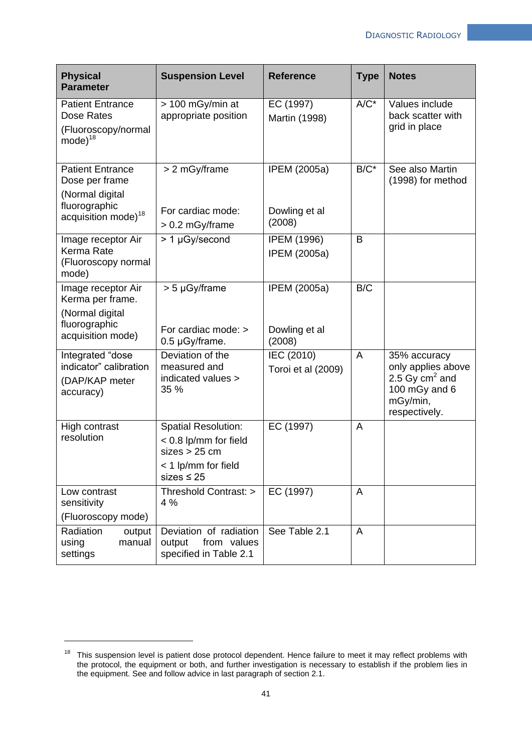| <b>Physical</b><br><b>Parameter</b>                                                                              | <b>Suspension Level</b>                                                                                          | <b>Reference</b>                               | <b>Type</b>    | <b>Notes</b>                                                                                         |
|------------------------------------------------------------------------------------------------------------------|------------------------------------------------------------------------------------------------------------------|------------------------------------------------|----------------|------------------------------------------------------------------------------------------------------|
| <b>Patient Entrance</b><br>Dose Rates<br>(Fluoroscopy/normal<br>$mode)^{18}$                                     | > 100 mGy/min at<br>appropriate position                                                                         | EC (1997)<br>Martin (1998)                     | $A/C^*$        | Values include<br>back scatter with<br>grid in place                                                 |
| <b>Patient Entrance</b><br>Dose per frame<br>(Normal digital<br>fluorographic<br>acquisition mode) <sup>18</sup> | > 2 mGy/frame<br>For cardiac mode:<br>> 0.2 mGy/frame                                                            | <b>IPEM (2005a)</b><br>Dowling et al<br>(2008) | $B/C^*$        | See also Martin<br>(1998) for method                                                                 |
| Image receptor Air<br>Kerma Rate<br>(Fluoroscopy normal<br>mode)                                                 | > 1 µGy/second                                                                                                   | <b>IPEM (1996)</b><br><b>IPEM (2005a)</b>      | B              |                                                                                                      |
| Image receptor Air<br>Kerma per frame.<br>(Normal digital<br>fluorographic<br>acquisition mode)                  | $> 5 \mu Gy/f$ rame<br>For cardiac mode: ><br>0.5 µGy/frame.                                                     | <b>IPEM (2005a)</b><br>Dowling et al<br>(2008) | B/C            |                                                                                                      |
| Integrated "dose<br>indicator" calibration<br>(DAP/KAP meter<br>accuracy)                                        | Deviation of the<br>measured and<br>indicated values ><br>35 %                                                   | IEC (2010)<br>Toroi et al (2009)               | A              | 35% accuracy<br>only applies above<br>2.5 Gy $cm2$ and<br>100 mGy and 6<br>mGy/min,<br>respectively. |
| High contrast<br>resolution                                                                                      | <b>Spatial Resolution:</b><br>$< 0.8$ lp/mm for field<br>sizes > 25 cm<br>< 1 lp/mm for field<br>sizes $\leq 25$ | EC (1997)                                      | A              |                                                                                                      |
| Low contrast<br>sensitivity<br>(Fluoroscopy mode)                                                                | Threshold Contrast: ><br>4 %                                                                                     | EC $(1997)$                                    | $\overline{A}$ |                                                                                                      |
| Radiation<br>output<br>using<br>manual<br>settings                                                               | Deviation of radiation<br>output<br>from values<br>specified in Table 2.1                                        | See Table 2.1                                  | $\overline{A}$ |                                                                                                      |

1

<sup>&</sup>lt;sup>18</sup> This suspension level is patient dose protocol dependent. Hence failure to meet it may reflect problems with the protocol, the equipment or both, and further investigation is necessary to establish if the problem lies in the equipment. See and follow advice in last paragraph of section 2.1.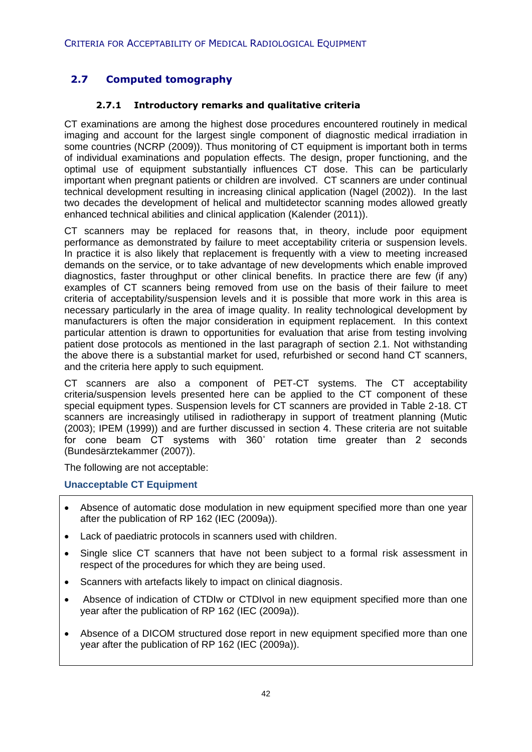# **2.7 Computed tomography**

#### **2.7.1 Introductory remarks and qualitative criteria**

CT examinations are among the highest dose procedures encountered routinely in medical imaging and account for the largest single component of diagnostic medical irradiation in some countries (NCRP (2009)). Thus monitoring of CT equipment is important both in terms of individual examinations and population effects. The design, proper functioning, and the optimal use of equipment substantially influences CT dose. This can be particularly important when pregnant patients or children are involved. CT scanners are under continual technical development resulting in increasing clinical application (Nagel (2002)). In the last two decades the development of helical and multidetector scanning modes allowed greatly enhanced technical abilities and clinical application (Kalender (2011)).

CT scanners may be replaced for reasons that, in theory, include poor equipment performance as demonstrated by failure to meet acceptability criteria or suspension levels. In practice it is also likely that replacement is frequently with a view to meeting increased demands on the service, or to take advantage of new developments which enable improved diagnostics, faster throughput or other clinical benefits. In practice there are few (if any) examples of CT scanners being removed from use on the basis of their failure to meet criteria of acceptability/suspension levels and it is possible that more work in this area is necessary particularly in the area of image quality. In reality technological development by manufacturers is often the major consideration in equipment replacement. In this context particular attention is drawn to opportunities for evaluation that arise from testing involving patient dose protocols as mentioned in the last paragraph of section 2.1. Not withstanding the above there is a substantial market for used, refurbished or second hand CT scanners, and the criteria here apply to such equipment.

CT scanners are also a component of PET-CT systems. The CT acceptability criteria/suspension levels presented here can be applied to the CT component of these special equipment types. Suspension levels for CT scanners are provided in Table 2-18. CT scanners are increasingly utilised in radiotherapy in support of treatment planning (Mutic (2003); IPEM (1999)) and are further discussed in section 4. These criteria are not suitable for cone beam CT systems with 360˚ rotation time greater than 2 seconds (Bundesärztekammer (2007)).

The following are not acceptable:

#### **Unacceptable CT Equipment**

- Absence of automatic dose modulation in new equipment specified more than one year after the publication of RP 162 (IEC (2009a)).
- Lack of paediatric protocols in scanners used with children.
- Single slice CT scanners that have not been subject to a formal risk assessment in respect of the procedures for which they are being used.
- Scanners with artefacts likely to impact on clinical diagnosis.
- Absence of indication of CTDIw or CTDIvol in new equipment specified more than one year after the publication of RP 162 (IEC (2009a)).
- Absence of a DICOM structured dose report in new equipment specified more than one year after the publication of RP 162 (IEC (2009a)).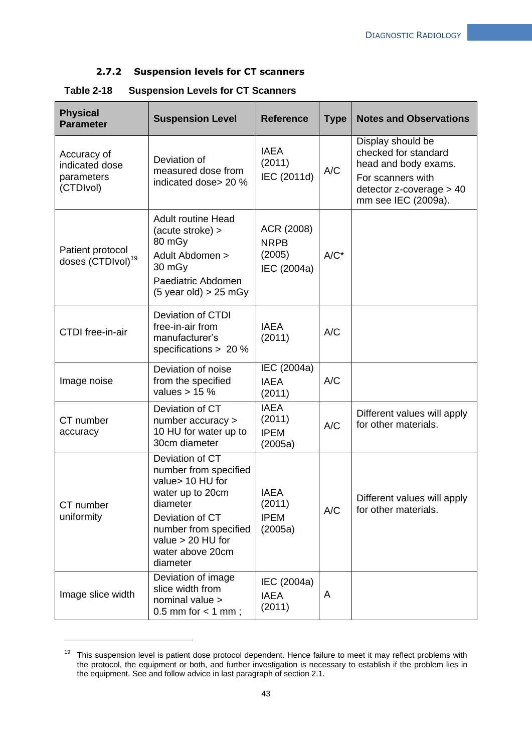#### **2.7.2 Suspension levels for CT scanners**

| <b>Physical</b><br><b>Parameter</b>                      | <b>Suspension Level</b>                                                                                                                                                                         | <b>Reference</b>                                   | <b>Type</b> | <b>Notes and Observations</b>                                                                                                                  |
|----------------------------------------------------------|-------------------------------------------------------------------------------------------------------------------------------------------------------------------------------------------------|----------------------------------------------------|-------------|------------------------------------------------------------------------------------------------------------------------------------------------|
| Accuracy of<br>indicated dose<br>parameters<br>(CTDIvol) | Deviation of<br>measured dose from<br>indicated dose> 20 %                                                                                                                                      | <b>IAEA</b><br>(2011)<br>IEC (2011d)               | A/C         | Display should be<br>checked for standard<br>head and body exams.<br>For scanners with<br>$detection$ z-coverage $>$ 40<br>mm see IEC (2009a). |
| Patient protocol<br>doses (CTDIvol) <sup>19</sup>        | <b>Adult routine Head</b><br>(acute stroke) ><br>80 mGy<br>Adult Abdomen ><br>30 mGy<br>Paediatric Abdomen<br>$(5 \text{ year old}) > 25 \text{ mGy}$                                           | ACR (2008)<br><b>NRPB</b><br>(2005)<br>IEC (2004a) | $A/C^*$     |                                                                                                                                                |
| <b>CTDI</b> free-in-air                                  | <b>Deviation of CTDI</b><br>free-in-air from<br>manufacturer's<br>specifications > 20 %                                                                                                         | <b>IAEA</b><br>(2011)                              | A/C         |                                                                                                                                                |
| Image noise                                              | Deviation of noise<br>from the specified<br>values $> 15$ %                                                                                                                                     | IEC (2004a)<br><b>IAEA</b><br>(2011)               | A/C         |                                                                                                                                                |
| CT number<br>accuracy                                    | Deviation of CT<br>number accuracy ><br>10 HU for water up to<br>30cm diameter                                                                                                                  | <b>IAEA</b><br>(2011)<br><b>IPEM</b><br>(2005a)    | A/C         | Different values will apply<br>for other materials.                                                                                            |
| CT number<br>uniformity                                  | Deviation of CT<br>number from specified<br>value> 10 HU for<br>water up to 20cm<br>diameter<br>Deviation of CT<br>number from specified<br>value $> 20$ HU for<br>water above 20cm<br>diameter | <b>IAEA</b><br>(2011)<br><b>IPEM</b><br>(2005a)    | A/C         | Different values will apply<br>for other materials.                                                                                            |
| Image slice width                                        | Deviation of image<br>slice width from<br>nominal value ><br>0.5 mm for $<$ 1 mm;                                                                                                               | IEC (2004a)<br><b>IAEA</b><br>(2011)               | A           |                                                                                                                                                |

#### **Table 2-18 Suspension Levels for CT Scanners**

1

<sup>&</sup>lt;sup>19</sup> This suspension level is patient dose protocol dependent. Hence failure to meet it may reflect problems with the protocol, the equipment or both, and further investigation is necessary to establish if the problem lies in the equipment. See and follow advice in last paragraph of section 2.1.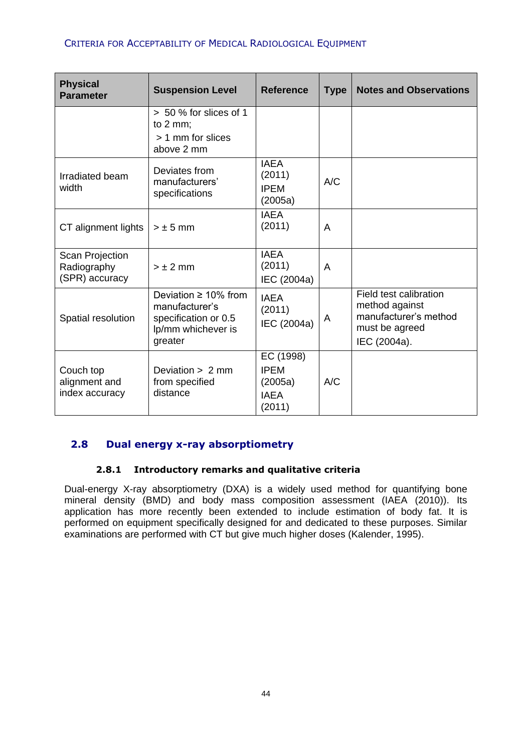#### CRITERIA FOR ACCEPTABILITY OF MEDICAL RADIOLOGICAL EQUIPMENT

| <b>Physical</b><br><b>Parameter</b>                     | <b>Suspension Level</b>                                                                               | <b>Reference</b>                                             | <b>Type</b> | <b>Notes and Observations</b>                                                                       |
|---------------------------------------------------------|-------------------------------------------------------------------------------------------------------|--------------------------------------------------------------|-------------|-----------------------------------------------------------------------------------------------------|
|                                                         | > 50 % for slices of 1<br>to $2 \, \text{mm}$ ;                                                       |                                                              |             |                                                                                                     |
|                                                         | > 1 mm for slices<br>above 2 mm                                                                       |                                                              |             |                                                                                                     |
| Irradiated beam<br>width                                | Deviates from<br>manufacturers'<br>specifications                                                     | <b>IAEA</b><br>(2011)<br><b>IPEM</b><br>(2005a)              | A/C         |                                                                                                     |
| CT alignment lights                                     | $> \pm 5$ mm                                                                                          | <b>IAEA</b><br>(2011)                                        | A           |                                                                                                     |
| <b>Scan Projection</b><br>Radiography<br>(SPR) accuracy | $> \pm 2$ mm                                                                                          | <b>IAEA</b><br>(2011)<br>IEC (2004a)                         | A           |                                                                                                     |
| Spatial resolution                                      | Deviation $\geq 10\%$ from<br>manufacturer's<br>specification or 0.5<br>lp/mm whichever is<br>greater | <b>IAEA</b><br>(2011)<br>IEC (2004a)                         | A           | Field test calibration<br>method against<br>manufacturer's method<br>must be agreed<br>IEC (2004a). |
| Couch top<br>alignment and<br>index accuracy            | Deviation $> 2$ mm<br>from specified<br>distance                                                      | EC (1998)<br><b>IPEM</b><br>(2005a)<br><b>IAEA</b><br>(2011) | A/C         |                                                                                                     |

# **2.8 Dual energy x-ray absorptiometry**

### **2.8.1 Introductory remarks and qualitative criteria**

Dual-energy X-ray absorptiometry (DXA) is a widely used method for quantifying bone mineral density (BMD) and body mass composition assessment (IAEA (2010)). Its application has more recently been extended to include estimation of body fat. It is performed on equipment specifically designed for and dedicated to these purposes. Similar examinations are performed with CT but give much higher doses (Kalender, 1995).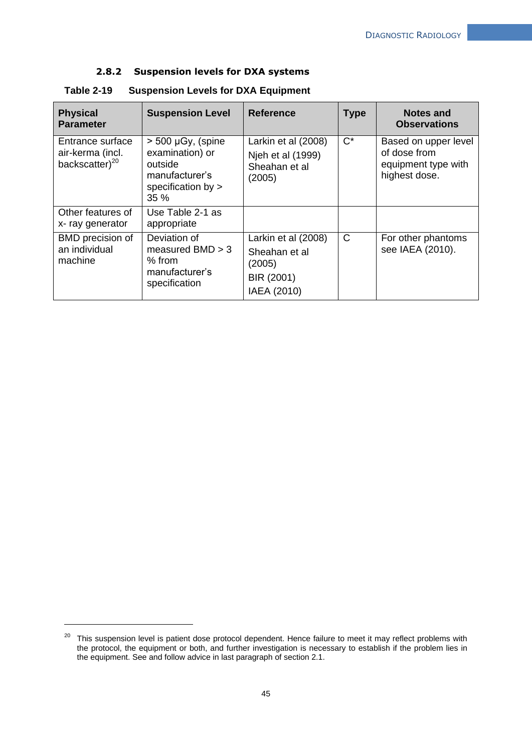#### **2.8.2 Suspension levels for DXA systems**

| <b>Physical</b><br><b>Parameter</b>                                | <b>Suspension Level</b>                                                                             | <b>Reference</b>                                                            | <b>Type</b>  | <b>Notes and</b><br><b>Observations</b>                                      |
|--------------------------------------------------------------------|-----------------------------------------------------------------------------------------------------|-----------------------------------------------------------------------------|--------------|------------------------------------------------------------------------------|
| Entrance surface<br>air-kerma (incl.<br>backscatter) <sup>20</sup> | $>$ 500 µGy, (spine<br>examination) or<br>outside<br>manufacturer's<br>specification by $>$<br>35 % | Larkin et al (2008)<br>Njeh et al (1999)<br>Sheahan et al<br>(2005)         | $C^*$        | Based on upper level<br>of dose from<br>equipment type with<br>highest dose. |
| Other features of<br>x-ray generator                               | Use Table 2-1 as<br>appropriate                                                                     |                                                                             |              |                                                                              |
| BMD precision of<br>an individual<br>machine                       | Deviation of<br>measured $BMD > 3$<br>$%$ from<br>manufacturer's<br>specification                   | Larkin et al (2008)<br>Sheahan et al<br>(2005)<br>BIR (2001)<br>IAEA (2010) | $\mathsf{C}$ | For other phantoms<br>see IAEA (2010).                                       |

**Table 2-19 Suspension Levels for DXA Equipment**

1

<sup>&</sup>lt;sup>20</sup> This suspension level is patient dose protocol dependent. Hence failure to meet it may reflect problems with the protocol, the equipment or both, and further investigation is necessary to establish if the problem lies in the equipment. See and follow advice in last paragraph of section 2.1.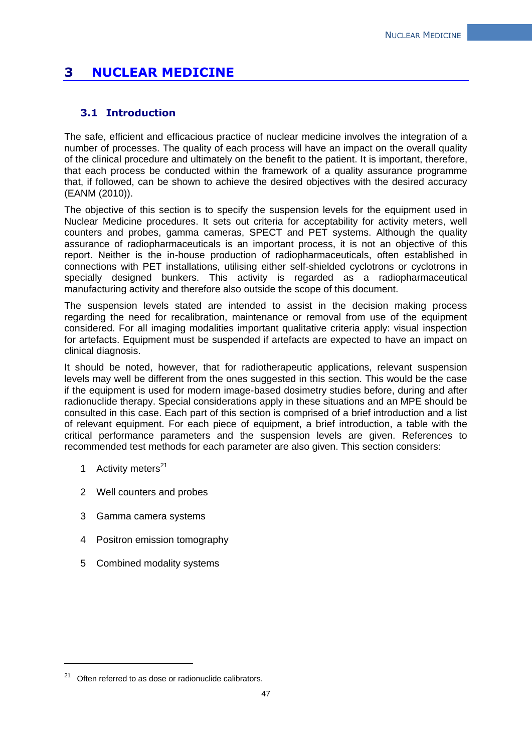# **3 NUCLEAR MEDICINE**

## **3.1 Introduction**

The safe, efficient and efficacious practice of nuclear medicine involves the integration of a number of processes. The quality of each process will have an impact on the overall quality of the clinical procedure and ultimately on the benefit to the patient. It is important, therefore, that each process be conducted within the framework of a quality assurance programme that, if followed, can be shown to achieve the desired objectives with the desired accuracy (EANM (2010)).

The objective of this section is to specify the suspension levels for the equipment used in Nuclear Medicine procedures. It sets out criteria for acceptability for activity meters, well counters and probes, gamma cameras, SPECT and PET systems. Although the quality assurance of radiopharmaceuticals is an important process, it is not an objective of this report. Neither is the in-house production of radiopharmaceuticals, often established in connections with PET installations, utilising either self-shielded cyclotrons or cyclotrons in specially designed bunkers. This activity is regarded as a radiopharmaceutical manufacturing activity and therefore also outside the scope of this document.

The suspension levels stated are intended to assist in the decision making process regarding the need for recalibration, maintenance or removal from use of the equipment considered. For all imaging modalities important qualitative criteria apply: visual inspection for artefacts. Equipment must be suspended if artefacts are expected to have an impact on clinical diagnosis.

It should be noted, however, that for radiotherapeutic applications, relevant suspension levels may well be different from the ones suggested in this section. This would be the case if the equipment is used for modern image-based dosimetry studies before, during and after radionuclide therapy. Special considerations apply in these situations and an MPE should be consulted in this case. Each part of this section is comprised of a brief introduction and a list of relevant equipment. For each piece of equipment, a brief introduction, a table with the critical performance parameters and the suspension levels are given. References to recommended test methods for each parameter are also given. This section considers:

1 Activity meters $^{21}$ 

1

- 2 Well counters and probes
- 3 Gamma camera systems
- 4 Positron emission tomography
- 5 Combined modality systems

 $21$  Often referred to as dose or radionuclide calibrators.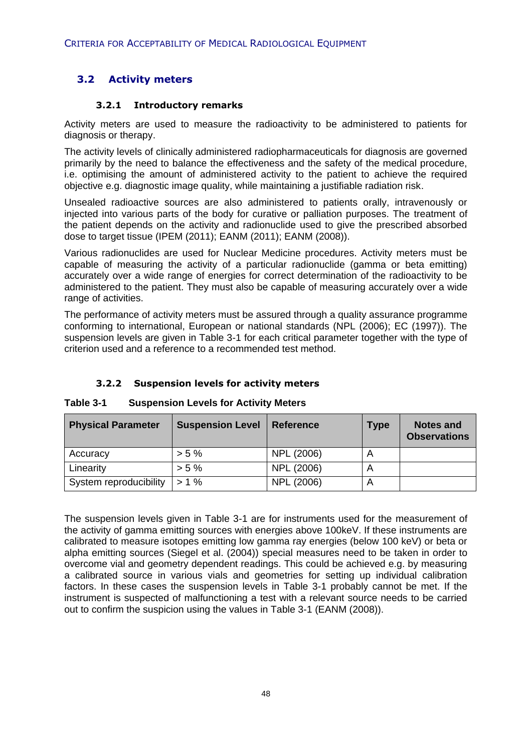# **3.2 Activity meters**

#### **3.2.1 Introductory remarks**

Activity meters are used to measure the radioactivity to be administered to patients for diagnosis or therapy.

The activity levels of clinically administered radiopharmaceuticals for diagnosis are governed primarily by the need to balance the effectiveness and the safety of the medical procedure, i.e. optimising the amount of administered activity to the patient to achieve the required objective e.g. diagnostic image quality, while maintaining a justifiable radiation risk.

Unsealed radioactive sources are also administered to patients orally, intravenously or injected into various parts of the body for curative or palliation purposes. The treatment of the patient depends on the activity and radionuclide used to give the prescribed absorbed dose to target tissue (IPEM (2011); EANM (2011); EANM (2008)).

Various radionuclides are used for Nuclear Medicine procedures. Activity meters must be capable of measuring the activity of a particular radionuclide (gamma or beta emitting) accurately over a wide range of energies for correct determination of the radioactivity to be administered to the patient. They must also be capable of measuring accurately over a wide range of activities.

The performance of activity meters must be assured through a quality assurance programme conforming to international, European or national standards (NPL (2006); EC (1997)). The suspension levels are given in Table 3-1 for each critical parameter together with the type of criterion used and a reference to a recommended test method.

#### **3.2.2 Suspension levels for activity meters**

| <b>Physical Parameter</b> | <b>Suspension Level</b> | <b>Reference</b> | <b>Type</b> | Notes and<br><b>Observations</b> |
|---------------------------|-------------------------|------------------|-------------|----------------------------------|
| Accuracy                  | $> 5\%$                 | NPL (2006)       | Α           |                                  |
| Linearity                 | $> 5\%$                 | NPL (2006)       | A           |                                  |
| System reproducibility    | $> 1\%$                 | NPL (2006)       | Α           |                                  |

#### **Table 3-1 Suspension Levels for Activity Meters**

The suspension levels given in Table 3-1 are for instruments used for the measurement of the activity of gamma emitting sources with energies above 100keV. If these instruments are calibrated to measure isotopes emitting low gamma ray energies (below 100 keV) or beta or alpha emitting sources (Siegel et al. (2004)) special measures need to be taken in order to overcome vial and geometry dependent readings. This could be achieved e.g. by measuring a calibrated source in various vials and geometries for setting up individual calibration factors. In these cases the suspension levels in Table 3-1 probably cannot be met. If the instrument is suspected of malfunctioning a test with a relevant source needs to be carried out to confirm the suspicion using the values in Table 3-1 (EANM (2008)).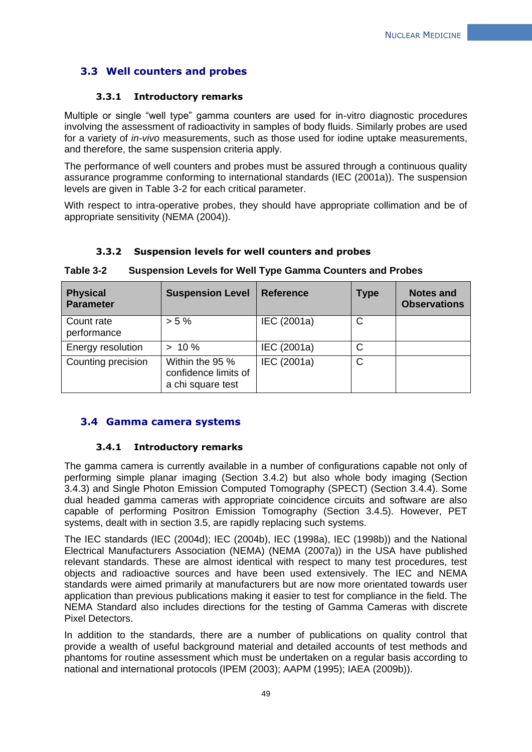# **3.3 Well counters and probes**

#### **3.3.1 Introductory remarks**

Multiple or single "well type" gamma counters are used for in-vitro diagnostic procedures involving the assessment of radioactivity in samples of body fluids. Similarly probes are used for a variety of *in-vivo* measurements, such as those used for iodine uptake measurements, and therefore, the same suspension criteria apply.

The performance of well counters and probes must be assured through a continuous quality assurance programme conforming to international standards (IEC (2001a)). The suspension levels are given in Table 3-2 for each critical parameter.

With respect to intra-operative probes, they should have appropriate collimation and be of appropriate sensitivity (NEMA (2004)).

| <b>Physical</b><br><b>Parameter</b> | <b>Suspension Level</b>                                      | <b>Reference</b> | <b>Type</b>  | <b>Notes and</b><br><b>Observations</b> |  |
|-------------------------------------|--------------------------------------------------------------|------------------|--------------|-----------------------------------------|--|
| Count rate<br>performance           | $> 5 \%$                                                     | IEC (2001a)      | C            |                                         |  |
| Energy resolution                   | $> 10 \%$                                                    | IEC (2001a)      | C            |                                         |  |
| Counting precision                  | Within the 95 %<br>confidence limits of<br>a chi square test | IEC (2001a)      | $\mathsf{C}$ |                                         |  |

### **3.3.2 Suspension levels for well counters and probes**

### **Table 3-2 Suspension Levels for Well Type Gamma Counters and Probes**

### **3.4 Gamma camera systems**

#### **3.4.1 Introductory remarks**

The gamma camera is currently available in a number of configurations capable not only of performing simple planar imaging (Section 3.4.2) but also whole body imaging (Section 3.4.3) and Single Photon Emission Computed Tomography (SPECT) (Section 3.4.4). Some dual headed gamma cameras with appropriate coincidence circuits and software are also capable of performing Positron Emission Tomography (Section 3.4.5). However, PET systems, dealt with in section 3.5, are rapidly replacing such systems.

The IEC standards (IEC (2004d); IEC (2004b), IEC (1998a), IEC (1998b)) and the National Electrical Manufacturers Association (NEMA) (NEMA (2007a)) in the USA have published relevant standards. These are almost identical with respect to many test procedures, test objects and radioactive sources and have been used extensively. The IEC and NEMA standards were aimed primarily at manufacturers but are now more orientated towards user application than previous publications making it easier to test for compliance in the field. The NEMA Standard also includes directions for the testing of Gamma Cameras with discrete Pixel Detectors.

In addition to the standards, there are a number of publications on quality control that provide a wealth of useful background material and detailed accounts of test methods and phantoms for routine assessment which must be undertaken on a regular basis according to national and international protocols (IPEM (2003); AAPM (1995); IAEA (2009b)).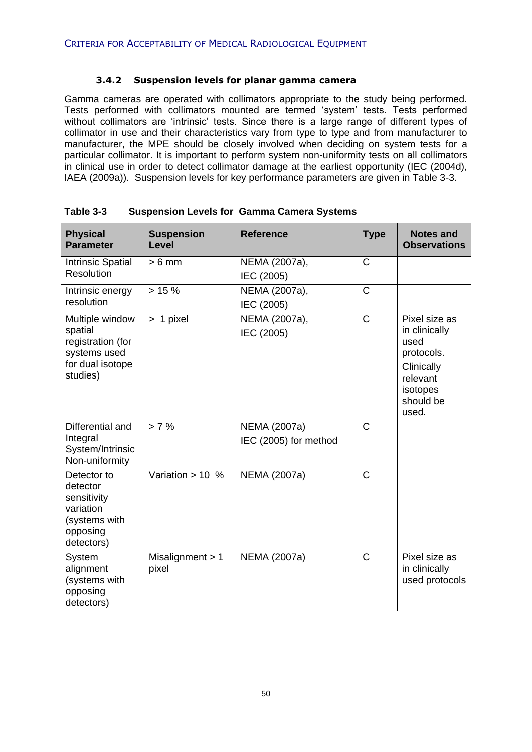#### **3.4.2 Suspension levels for planar gamma camera**

Gamma cameras are operated with collimators appropriate to the study being performed. Tests performed with collimators mounted are termed 'system' tests. Tests performed without collimators are 'intrinsic' tests. Since there is a large range of different types of collimator in use and their characteristics vary from type to type and from manufacturer to manufacturer, the MPE should be closely involved when deciding on system tests for a particular collimator. It is important to perform system non-uniformity tests on all collimators in clinical use in order to detect collimator damage at the earliest opportunity (IEC (2004d), IAEA (2009a)). Suspension levels for key performance parameters are given in Table 3-3.

| <b>Physical</b><br><b>Parameter</b>                                                             | <b>Suspension</b><br>Level  | <b>Reference</b>                      | <b>Type</b>           | <b>Notes and</b><br><b>Observations</b>                                                                          |
|-------------------------------------------------------------------------------------------------|-----------------------------|---------------------------------------|-----------------------|------------------------------------------------------------------------------------------------------------------|
| <b>Intrinsic Spatial</b><br>Resolution                                                          | $> 6$ mm                    | NEMA (2007a),<br>IEC (2005)           | $\mathsf{C}$          |                                                                                                                  |
| Intrinsic energy<br>resolution                                                                  | >15%                        | NEMA (2007a),<br>IEC (2005)           | $\overline{\text{C}}$ |                                                                                                                  |
| Multiple window<br>spatial<br>registration (for<br>systems used<br>for dual isotope<br>studies) | > 1 pixel                   | NEMA (2007a),<br>IEC (2005)           | $\overline{\text{C}}$ | Pixel size as<br>in clinically<br>used<br>protocols.<br>Clinically<br>relevant<br>isotopes<br>should be<br>used. |
| Differential and<br>Integral<br>System/Intrinsic<br>Non-uniformity                              | > 7%                        | NEMA (2007a)<br>IEC (2005) for method | $\overline{C}$        |                                                                                                                  |
| Detector to<br>detector<br>sensitivity<br>variation<br>(systems with<br>opposing<br>detectors)  | Variation $> 10$ %          | NEMA (2007a)                          | C                     |                                                                                                                  |
| System<br>alignment<br>(systems with<br>opposing<br>detectors)                                  | Misalignment $> 1$<br>pixel | NEMA (2007a)                          | $\overline{C}$        | Pixel size as<br>in clinically<br>used protocols                                                                 |

| Table 3-3 |                                                   |
|-----------|---------------------------------------------------|
|           | <b>Suspension Levels for Gamma Camera Systems</b> |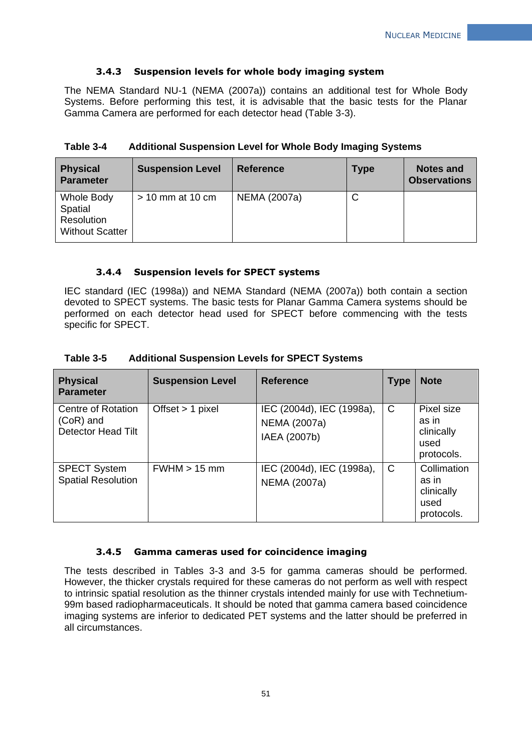#### **3.4.3 Suspension levels for whole body imaging system**

The NEMA Standard NU-1 (NEMA (2007a)) contains an additional test for Whole Body Systems. Before performing this test, it is advisable that the basic tests for the Planar Gamma Camera are performed for each detector head (Table 3-3).

| <b>Physical</b><br><b>Parameter</b>                           | <b>Suspension Level</b> | <b>Reference</b> | <b>Type</b> | <b>Notes and</b><br><b>Observations</b> |
|---------------------------------------------------------------|-------------------------|------------------|-------------|-----------------------------------------|
| Whole Body<br>Spatial<br>Resolution<br><b>Without Scatter</b> | $>$ 10 mm at 10 cm      | NEMA (2007a)     | С           |                                         |

#### **Table 3-4 Additional Suspension Level for Whole Body Imaging Systems**

#### **3.4.4 Suspension levels for SPECT systems**

IEC standard (IEC (1998a)) and NEMA Standard (NEMA (2007a)) both contain a section devoted to SPECT systems. The basic tests for Planar Gamma Camera systems should be performed on each detector head used for SPECT before commencing with the tests specific for SPECT.

| B <sub>2</sub> | Construction Louis                                    | $\overline{a}$ |  |
|----------------|-------------------------------------------------------|----------------|--|
| Table 3-5      | <b>Additional Suspension Levels for SPECT Systems</b> |                |  |

| <b>Physical</b><br><b>Parameter</b>                            | <b>Suspension Level</b> | <b>Reference</b>                                          | <b>Type</b> | <b>Note</b>                                              |
|----------------------------------------------------------------|-------------------------|-----------------------------------------------------------|-------------|----------------------------------------------------------|
| Centre of Rotation<br>$(CoR)$ and<br><b>Detector Head Tilt</b> | Offset $> 1$ pixel      | IEC (2004d), IEC (1998a),<br>NEMA (2007a)<br>IAEA (2007b) | C           | Pixel size<br>as in<br>clinically<br>used<br>protocols.  |
| <b>SPECT System</b><br><b>Spatial Resolution</b>               | $FWHM > 15$ mm          | IEC (2004d), IEC (1998a),<br>NEMA (2007a)                 | C           | Collimation<br>as in<br>clinically<br>used<br>protocols. |

#### **3.4.5 Gamma cameras used for coincidence imaging**

The tests described in Tables 3-3 and 3-5 for gamma cameras should be performed. However, the thicker crystals required for these cameras do not perform as well with respect to intrinsic spatial resolution as the thinner crystals intended mainly for use with Technetium-99m based radiopharmaceuticals. It should be noted that gamma camera based coincidence imaging systems are inferior to dedicated PET systems and the latter should be preferred in all circumstances.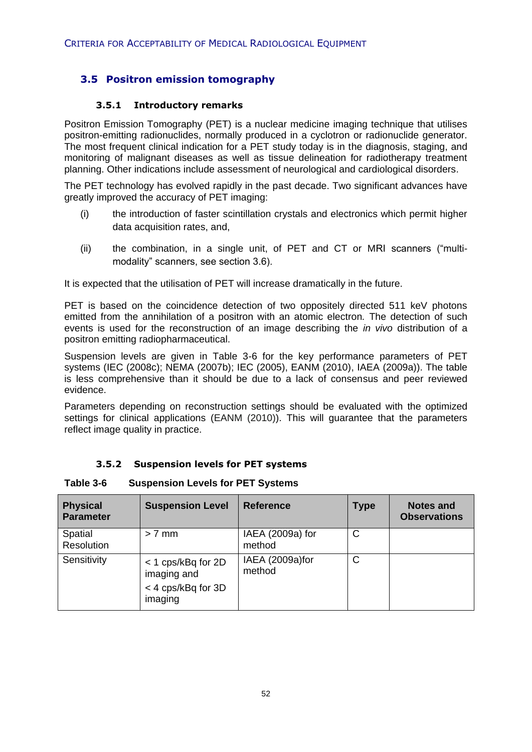# **3.5 Positron emission tomography**

#### **3.5.1 Introductory remarks**

Positron Emission Tomography (PET) is a nuclear medicine imaging technique that utilises positron-emitting radionuclides, normally produced in a cyclotron or radionuclide generator. The most frequent clinical indication for a PET study today is in the diagnosis, staging, and monitoring of malignant diseases as well as tissue delineation for radiotherapy treatment planning. Other indications include assessment of neurological and cardiological disorders.

The PET technology has evolved rapidly in the past decade. Two significant advances have greatly improved the accuracy of PET imaging:

- (i) the introduction of faster scintillation crystals and electronics which permit higher data acquisition rates, and,
- (ii) the combination, in a single unit, of PET and CT or MRI scanners ("multimodality" scanners, see section 3.6).

It is expected that the utilisation of PET will increase dramatically in the future.

PET is based on the coincidence detection of two oppositely directed 511 keV photons emitted from the annihilation of a positron with an atomic electron*.* The detection of such events is used for the reconstruction of an image describing the *in vivo* distribution of a positron emitting radiopharmaceutical.

Suspension levels are given in Table 3-6 for the key performance parameters of PET systems (IEC (2008c); NEMA (2007b); IEC (2005), EANM (2010), IAEA (2009a)). The table is less comprehensive than it should be due to a lack of consensus and peer reviewed evidence.

Parameters depending on reconstruction settings should be evaluated with the optimized settings for clinical applications (EANM (2010)). This will guarantee that the parameters reflect image quality in practice.

| <b>Physical</b><br><b>Parameter</b> | <b>Suspension Level</b>                                            | <b>Reference</b>           | <b>Type</b> | <b>Notes and</b><br><b>Observations</b> |
|-------------------------------------|--------------------------------------------------------------------|----------------------------|-------------|-----------------------------------------|
| Spatial<br>Resolution               | $> 7$ mm                                                           | IAEA (2009a) for<br>method | C           |                                         |
| Sensitivity                         | < 1 cps/kBq for 2D<br>imaging and<br>< 4 cps/kBq for 3D<br>imaging | IAEA (2009a)for<br>method  | C           |                                         |

# **3.5.2 Suspension levels for PET systems**

**Table 3-6 Suspension Levels for PET Systems**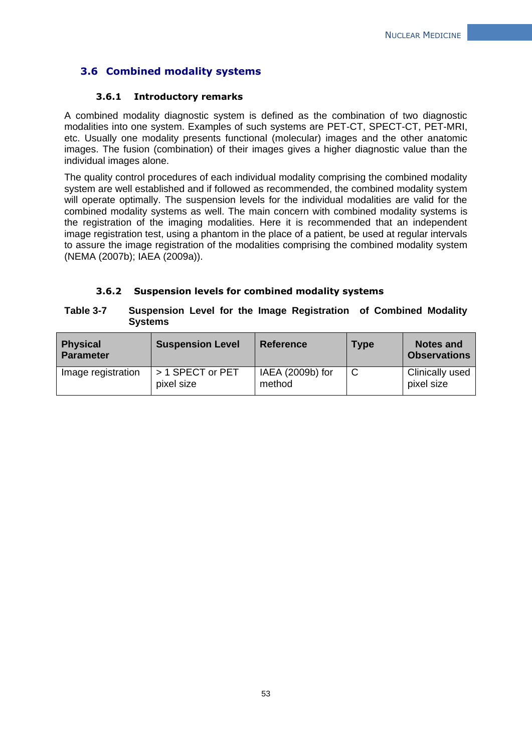# **3.6 Combined modality systems**

#### **3.6.1 Introductory remarks**

A combined modality diagnostic system is defined as the combination of two diagnostic modalities into one system. Examples of such systems are PET-CT, SPECT-CT, PET-MRI, etc. Usually one modality presents functional (molecular) images and the other anatomic images. The fusion (combination) of their images gives a higher diagnostic value than the individual images alone.

The quality control procedures of each individual modality comprising the combined modality system are well established and if followed as recommended, the combined modality system will operate optimally. The suspension levels for the individual modalities are valid for the combined modality systems as well. The main concern with combined modality systems is the registration of the imaging modalities. Here it is recommended that an independent image registration test, using a phantom in the place of a patient, be used at regular intervals to assure the image registration of the modalities comprising the combined modality system (NEMA (2007b); IAEA (2009a)).

#### **3.6.2 Suspension levels for combined modality systems**

#### **Table 3-7 Suspension Level for the Image Registration of Combined Modality Systems**

| <b>Physical</b><br><b>Parameter</b> | <b>Suspension Level</b>        | <b>Reference</b>           | <b>Type</b> | Notes and<br><b>Observations</b>     |
|-------------------------------------|--------------------------------|----------------------------|-------------|--------------------------------------|
| Image registration                  | > 1 SPECT or PET<br>pixel size | IAEA (2009b) for<br>method |             | <b>Clinically used</b><br>pixel size |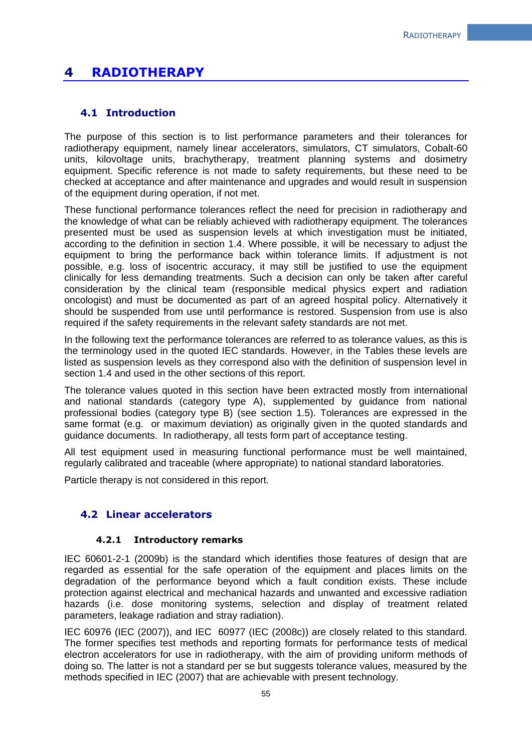# **4 RADIOTHERAPY**

#### **4.1 Introduction**

The purpose of this section is to list performance parameters and their tolerances for radiotherapy equipment, namely linear accelerators, simulators, CT simulators, Cobalt-60 units, kilovoltage units, brachytherapy, treatment planning systems and dosimetry equipment. Specific reference is not made to safety requirements, but these need to be checked at acceptance and after maintenance and upgrades and would result in suspension of the equipment during operation, if not met.

These functional performance tolerances reflect the need for precision in radiotherapy and the knowledge of what can be reliably achieved with radiotherapy equipment. The tolerances presented must be used as suspension levels at which investigation must be initiated, according to the definition in section 1.4. Where possible, it will be necessary to adjust the equipment to bring the performance back within tolerance limits. If adjustment is not possible, e.g. loss of isocentric accuracy, it may still be justified to use the equipment clinically for less demanding treatments. Such a decision can only be taken after careful consideration by the clinical team (responsible medical physics expert and radiation oncologist) and must be documented as part of an agreed hospital policy. Alternatively it should be suspended from use until performance is restored. Suspension from use is also required if the safety requirements in the relevant safety standards are not met.

In the following text the performance tolerances are referred to as tolerance values, as this is the terminology used in the quoted IEC standards. However, in the Tables these levels are listed as suspension levels as they correspond also with the definition of suspension level in section 1.4 and used in the other sections of this report.

The tolerance values quoted in this section have been extracted mostly from international and national standards (category type A), supplemented by guidance from national professional bodies (category type B) (see section 1.5). Tolerances are expressed in the same format (e.g. or maximum deviation) as originally given in the quoted standards and guidance documents. In radiotherapy, all tests form part of acceptance testing.

All test equipment used in measuring functional performance must be well maintained, regularly calibrated and traceable (where appropriate) to national standard laboratories.

Particle therapy is not considered in this report.

#### **4.2 Linear accelerators**

#### **4.2.1 Introductory remarks**

IEC 60601-2-1 (2009b) is the standard which identifies those features of design that are regarded as essential for the safe operation of the equipment and places limits on the degradation of the performance beyond which a fault condition exists. These include protection against electrical and mechanical hazards and unwanted and excessive radiation hazards (i.e. dose monitoring systems, selection and display of treatment related parameters, leakage radiation and stray radiation).

IEC 60976 (IEC (2007)), and IEC 60977 (IEC (2008c)) are closely related to this standard. The former specifies test methods and reporting formats for performance tests of medical electron accelerators for use in radiotherapy, with the aim of providing uniform methods of doing so. The latter is not a standard per se but suggests tolerance values, measured by the methods specified in IEC (2007) that are achievable with present technology.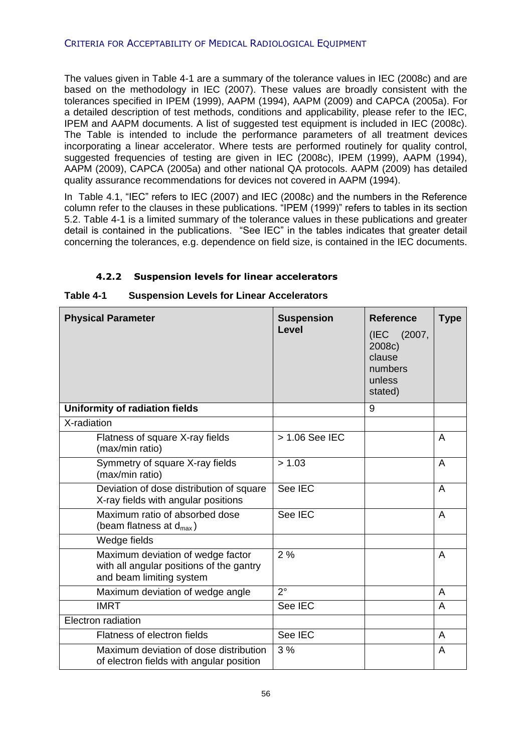#### CRITERIA FOR ACCEPTABILITY OF MEDICAL RADIOLOGICAL EQUIPMENT

The values given in Table 4-1 are a summary of the tolerance values in IEC (2008c) and are based on the methodology in IEC (2007). These values are broadly consistent with the tolerances specified in IPEM (1999), AAPM (1994), AAPM (2009) and CAPCA (2005a). For a detailed description of test methods, conditions and applicability, please refer to the IEC, IPEM and AAPM documents. A list of suggested test equipment is included in IEC (2008c). The Table is intended to include the performance parameters of all treatment devices incorporating a linear accelerator. Where tests are performed routinely for quality control, suggested frequencies of testing are given in IEC (2008c), IPEM (1999), AAPM (1994), AAPM (2009), CAPCA (2005a) and other national QA protocols. AAPM (2009) has detailed quality assurance recommendations for devices not covered in AAPM (1994).

In Table 4.1, "IEC" refers to IEC (2007) and IEC (2008c) and the numbers in the Reference column refer to the clauses in these publications. "IPEM (1999)" refers to tables in its section 5.2. Table 4-1 is a limited summary of the tolerance values in these publications and greater detail is contained in the publications. "See IEC" in the tables indicates that greater detail concerning the tolerances, e.g. dependence on field size, is contained in the IEC documents.

| <b>Physical Parameter</b>                                                                                 | <b>Suspension</b><br>Level | <b>Reference</b><br>(IEC<br>(2007,<br>2008c)<br>clause<br>numbers<br>unless<br>stated) | <b>Type</b> |
|-----------------------------------------------------------------------------------------------------------|----------------------------|----------------------------------------------------------------------------------------|-------------|
| <b>Uniformity of radiation fields</b>                                                                     |                            | 9                                                                                      |             |
| X-radiation                                                                                               |                            |                                                                                        |             |
| Flatness of square X-ray fields<br>(max/min ratio)                                                        | > 1.06 See IEC             |                                                                                        | A           |
| Symmetry of square X-ray fields<br>(max/min ratio)                                                        | > 1.03                     |                                                                                        | A           |
| Deviation of dose distribution of square<br>X-ray fields with angular positions                           | See IEC                    |                                                                                        | A           |
| Maximum ratio of absorbed dose<br>(beam flatness at $d_{max}$ )                                           | See IEC                    |                                                                                        | A           |
| Wedge fields                                                                                              |                            |                                                                                        |             |
| Maximum deviation of wedge factor<br>with all angular positions of the gantry<br>and beam limiting system | 2%                         |                                                                                        | A           |
| Maximum deviation of wedge angle                                                                          | $2^{\circ}$                |                                                                                        | A           |
| <b>IMRT</b>                                                                                               | See IEC                    |                                                                                        | A           |
| Electron radiation                                                                                        |                            |                                                                                        |             |
| Flatness of electron fields                                                                               | See IEC                    |                                                                                        | A           |
| Maximum deviation of dose distribution<br>of electron fields with angular position                        | 3%                         |                                                                                        | A           |

# **4.2.2 Suspension levels for linear accelerators**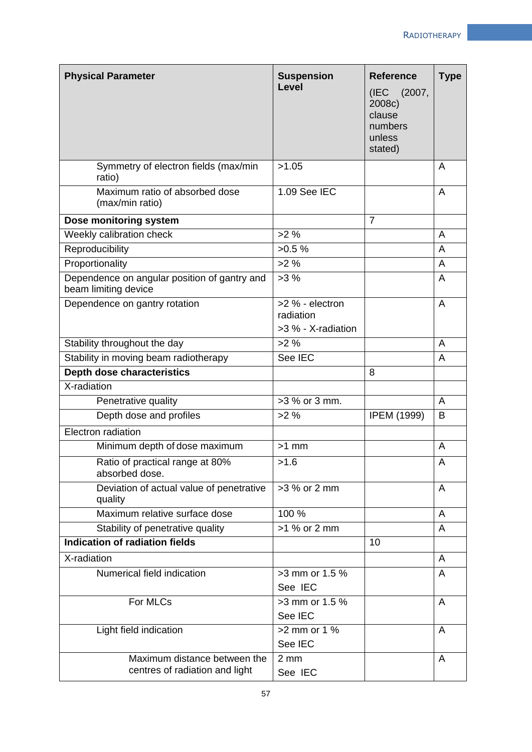| <b>Physical Parameter</b>                                            | <b>Suspension</b>                                    | <b>Reference</b>                                                | <b>Type</b> |
|----------------------------------------------------------------------|------------------------------------------------------|-----------------------------------------------------------------|-------------|
|                                                                      | Level                                                | (IEC (2007,<br>2008c)<br>clause<br>numbers<br>unless<br>stated) |             |
| Symmetry of electron fields (max/min<br>ratio)                       | >1.05                                                |                                                                 | A           |
| Maximum ratio of absorbed dose<br>(max/min ratio)                    | 1.09 See IEC                                         |                                                                 | A           |
| Dose monitoring system                                               |                                                      | $\overline{7}$                                                  |             |
| Weekly calibration check                                             | >2%                                                  |                                                                 | A           |
| Reproducibility                                                      | >0.5%                                                |                                                                 | A           |
| Proportionality                                                      | $>2\%$                                               |                                                                 | A           |
| Dependence on angular position of gantry and<br>beam limiting device | >3%                                                  |                                                                 | A           |
| Dependence on gantry rotation                                        | $>2$ % - electron<br>radiation<br>>3 % - X-radiation |                                                                 | A           |
| Stability throughout the day                                         | >2%                                                  |                                                                 | A           |
| Stability in moving beam radiotherapy                                | See IEC                                              |                                                                 | A           |
| <b>Depth dose characteristics</b>                                    |                                                      | 8                                                               |             |
| X-radiation                                                          |                                                      |                                                                 |             |
| Penetrative quality                                                  | >3 % or 3 mm.                                        |                                                                 | A           |
| Depth dose and profiles                                              | $>2\%$                                               | <b>IPEM (1999)</b>                                              | B           |
| Electron radiation                                                   |                                                      |                                                                 |             |
| Minimum depth of dose maximum                                        | $>1$ mm                                              |                                                                 | A           |
| Ratio of practical range at 80%<br>absorbed dose.                    | >1.6                                                 |                                                                 | A           |
| Deviation of actual value of penetrative<br>quality                  | >3 % or 2 mm                                         |                                                                 | A           |
| Maximum relative surface dose                                        | 100 %                                                |                                                                 | A           |
| Stability of penetrative quality                                     | >1 % or 2 mm                                         |                                                                 | A           |
| Indication of radiation fields                                       |                                                      | 10                                                              |             |
| X-radiation                                                          |                                                      |                                                                 | A           |
| Numerical field indication                                           | >3 mm or 1.5 %<br>See IEC                            |                                                                 | A           |
| For MLCs                                                             | >3 mm or 1.5 %<br>See IEC                            |                                                                 | A           |
| Light field indication                                               | $>2$ mm or 1 %<br>See IEC                            |                                                                 | A           |
| Maximum distance between the<br>centres of radiation and light       | $2 \, \text{mm}$<br>See IEC                          |                                                                 | A           |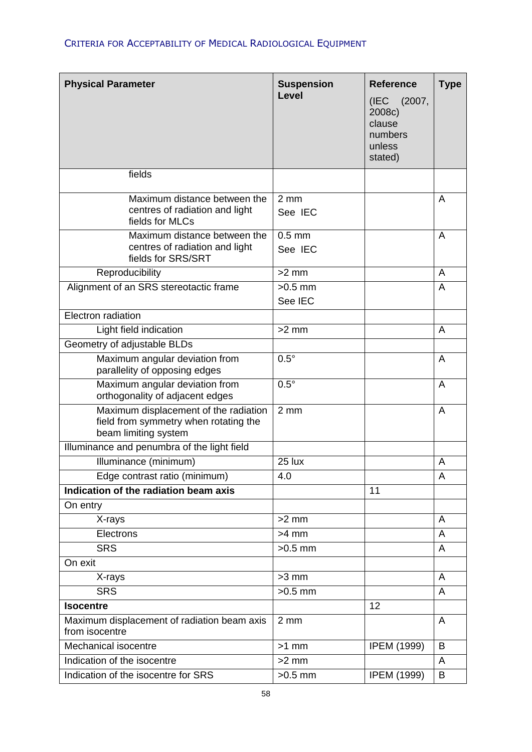# CRITERIA FOR ACCEPTABILITY OF MEDICAL RADIOLOGICAL EQUIPMENT

| <b>Physical Parameter</b>                                                                              | <b>Suspension</b><br>Level  | <b>Reference</b><br>(IEC (2007,<br>2008c)<br>clause<br>numbers<br>unless<br>stated) | <b>Type</b> |
|--------------------------------------------------------------------------------------------------------|-----------------------------|-------------------------------------------------------------------------------------|-------------|
| fields                                                                                                 |                             |                                                                                     |             |
| Maximum distance between the<br>centres of radiation and light<br>fields for MLCs                      | $2 \, \text{mm}$<br>See IEC |                                                                                     | A           |
| Maximum distance between the<br>centres of radiation and light<br>fields for SRS/SRT                   | $0.5$ mm<br>See IEC         |                                                                                     | A           |
| Reproducibility                                                                                        | $>2$ mm                     |                                                                                     | A           |
| Alignment of an SRS stereotactic frame                                                                 | $>0.5$ mm<br>See IEC        |                                                                                     | A           |
| Electron radiation                                                                                     |                             |                                                                                     |             |
| Light field indication                                                                                 | $>2$ mm                     |                                                                                     | A           |
| Geometry of adjustable BLDs                                                                            |                             |                                                                                     |             |
| Maximum angular deviation from<br>parallelity of opposing edges                                        | $0.5^\circ$                 |                                                                                     | A           |
| Maximum angular deviation from<br>orthogonality of adjacent edges                                      | $0.5^\circ$                 |                                                                                     | A           |
| Maximum displacement of the radiation<br>field from symmetry when rotating the<br>beam limiting system | $2 \, \text{mm}$            |                                                                                     | A           |
| Illuminance and penumbra of the light field                                                            |                             |                                                                                     |             |
| Illuminance (minimum)                                                                                  | 25 lux                      |                                                                                     | A           |
| Edge contrast ratio (minimum)                                                                          | 4.0                         |                                                                                     | A           |
| Indication of the radiation beam axis                                                                  |                             | 11                                                                                  |             |
| On entry                                                                                               |                             |                                                                                     |             |
| X-rays                                                                                                 | $>2$ mm                     |                                                                                     | A           |
| Electrons                                                                                              | $>4$ mm                     |                                                                                     | A           |
| <b>SRS</b>                                                                                             | $>0.5$ mm                   |                                                                                     | A           |
| On exit                                                                                                |                             |                                                                                     |             |
| X-rays                                                                                                 | $>3$ mm                     |                                                                                     | A           |
| <b>SRS</b>                                                                                             | $>0.5$ mm                   |                                                                                     | A           |
| <b>Isocentre</b>                                                                                       |                             | 12                                                                                  |             |
| Maximum displacement of radiation beam axis<br>from isocentre                                          | $2 \, \text{mm}$            |                                                                                     | A           |
| Mechanical isocentre                                                                                   | $>1$ mm                     | <b>IPEM (1999)</b>                                                                  | B           |
| Indication of the isocentre                                                                            | $>2$ mm                     |                                                                                     | A           |
| Indication of the isocentre for SRS                                                                    | $>0.5$ mm                   | <b>IPEM (1999)</b>                                                                  | B           |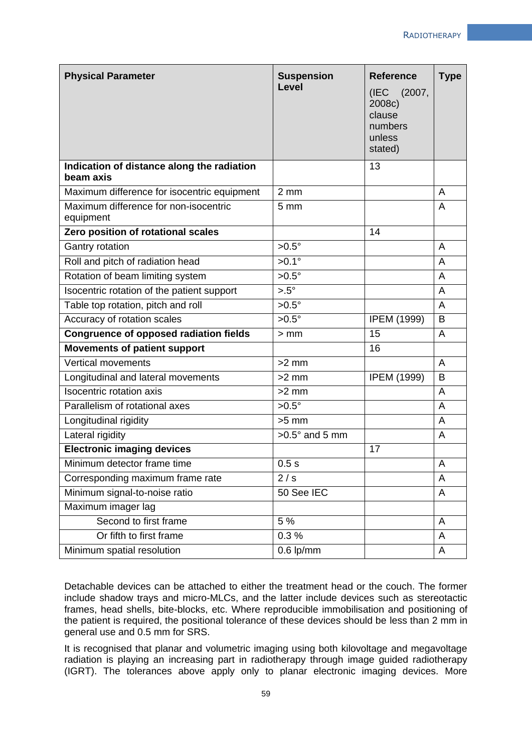| <b>Physical Parameter</b>                               | <b>Suspension</b><br><b>Level</b> | <b>Reference</b><br>(2007,<br>(IEC<br>2008c)<br>clause<br>numbers<br>unless<br>stated) | <b>Type</b>    |
|---------------------------------------------------------|-----------------------------------|----------------------------------------------------------------------------------------|----------------|
| Indication of distance along the radiation<br>beam axis |                                   | 13                                                                                     |                |
| Maximum difference for isocentric equipment             | $2 \, \text{mm}$                  |                                                                                        | A              |
| Maximum difference for non-isocentric<br>equipment      | 5 <sub>mm</sub>                   |                                                                                        | A              |
| Zero position of rotational scales                      |                                   | 14                                                                                     |                |
| Gantry rotation                                         | $>0.5^\circ$                      |                                                                                        | $\overline{A}$ |
| Roll and pitch of radiation head                        | $>0.1^\circ$                      |                                                                                        | A              |
| Rotation of beam limiting system                        | $>0.5^\circ$                      |                                                                                        | A              |
| Isocentric rotation of the patient support              | $> 0.5^{\circ}$                   |                                                                                        | A              |
| Table top rotation, pitch and roll                      | $>0.5^\circ$                      |                                                                                        | A              |
| Accuracy of rotation scales                             | $>0.5^\circ$                      | <b>IPEM (1999)</b>                                                                     | B              |
| <b>Congruence of opposed radiation fields</b>           | $>$ mm                            | 15                                                                                     | A              |
| <b>Movements of patient support</b>                     |                                   | 16                                                                                     |                |
| Vertical movements                                      | $>2$ mm                           |                                                                                        | A              |
| Longitudinal and lateral movements                      | $>2$ mm                           | <b>IPEM (1999)</b>                                                                     | B              |
| <b>Isocentric rotation axis</b>                         | $>2$ mm                           |                                                                                        | A              |
| Parallelism of rotational axes                          | $>0.5^\circ$                      |                                                                                        | A              |
| Longitudinal rigidity                                   | $>5$ mm                           |                                                                                        | A              |
| Lateral rigidity                                        | $>0.5^\circ$ and 5 mm             |                                                                                        | A              |
| <b>Electronic imaging devices</b>                       |                                   | 17                                                                                     |                |
| Minimum detector frame time                             | 0.5s                              |                                                                                        | Α              |
| Corresponding maximum frame rate                        | 2/s                               |                                                                                        | A              |
| Minimum signal-to-noise ratio                           | 50 See IEC                        |                                                                                        | A              |
| Maximum imager lag                                      |                                   |                                                                                        |                |
| Second to first frame                                   | 5 %                               |                                                                                        | A              |
| Or fifth to first frame                                 | 0.3%                              |                                                                                        | A              |
| Minimum spatial resolution                              | $0.6$ lp/mm                       |                                                                                        | A              |

Detachable devices can be attached to either the treatment head or the couch. The former include shadow trays and micro-MLCs, and the latter include devices such as stereotactic frames, head shells, bite-blocks, etc. Where reproducible immobilisation and positioning of the patient is required, the positional tolerance of these devices should be less than 2 mm in general use and 0.5 mm for SRS.

It is recognised that planar and volumetric imaging using both kilovoltage and megavoltage radiation is playing an increasing part in radiotherapy through image guided radiotherapy (IGRT). The tolerances above apply only to planar electronic imaging devices. More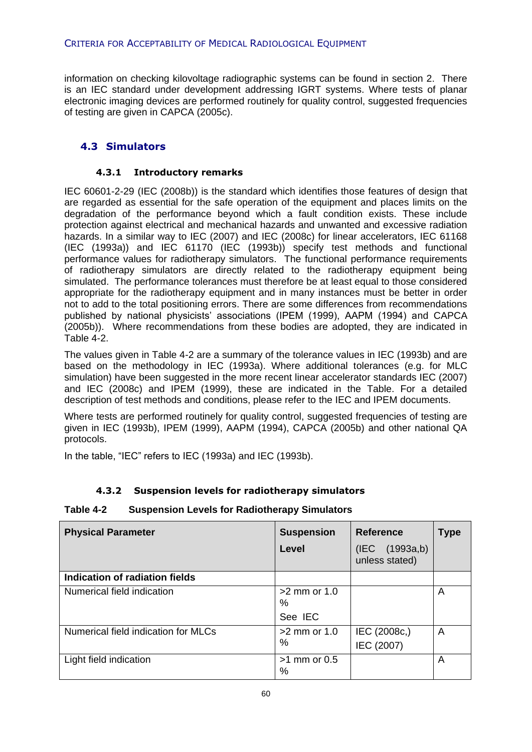information on checking kilovoltage radiographic systems can be found in section 2. There is an IEC standard under development addressing IGRT systems. Where tests of planar electronic imaging devices are performed routinely for quality control, suggested frequencies of testing are given in CAPCA (2005c).

# **4.3 Simulators**

#### **4.3.1 Introductory remarks**

IEC 60601-2-29 (IEC (2008b)) is the standard which identifies those features of design that are regarded as essential for the safe operation of the equipment and places limits on the degradation of the performance beyond which a fault condition exists. These include protection against electrical and mechanical hazards and unwanted and excessive radiation hazards. In a similar way to IEC (2007) and IEC (2008c) for linear accelerators, IEC 61168 (IEC (1993a)) and IEC 61170 (IEC (1993b)) specify test methods and functional performance values for radiotherapy simulators. The functional performance requirements of radiotherapy simulators are directly related to the radiotherapy equipment being simulated. The performance tolerances must therefore be at least equal to those considered appropriate for the radiotherapy equipment and in many instances must be better in order not to add to the total positioning errors. There are some differences from recommendations published by national physicists' associations (IPEM (1999), AAPM (1994) and CAPCA (2005b)). Where recommendations from these bodies are adopted, they are indicated in Table 4-2.

The values given in Table 4-2 are a summary of the tolerance values in IEC (1993b) and are based on the methodology in IEC (1993a). Where additional tolerances (e.g. for MLC simulation) have been suggested in the more recent linear accelerator standards IEC (2007) and IEC (2008c) and IPEM (1999), these are indicated in the Table. For a detailed description of test methods and conditions, please refer to the IEC and IPEM documents.

Where tests are performed routinely for quality control, suggested frequencies of testing are given in IEC (1993b), IPEM (1999), AAPM (1994), CAPCA (2005b) and other national QA protocols.

In the table, "IEC" refers to IEC (1993a) and IEC (1993b).

### **4.3.2 Suspension levels for radiotherapy simulators**

#### **Table 4-2 Suspension Levels for Radiotherapy Simulators**

| <b>Physical Parameter</b>           | <b>Suspension</b>      | <b>Reference</b>                     | Type |
|-------------------------------------|------------------------|--------------------------------------|------|
|                                     | Level                  | (1993a,b)<br>(IEC)<br>unless stated) |      |
| Indication of radiation fields      |                        |                                      |      |
| Numerical field indication          | $>2$ mm or 1.0<br>%    |                                      | A    |
|                                     | See IEC                |                                      |      |
| Numerical field indication for MLCs | $>2$ mm or 1.0         | IEC (2008c,)                         | A    |
|                                     | %                      | IEC (2007)                           |      |
| Light field indication              | $>1$ mm or 0.5<br>$\%$ |                                      | A    |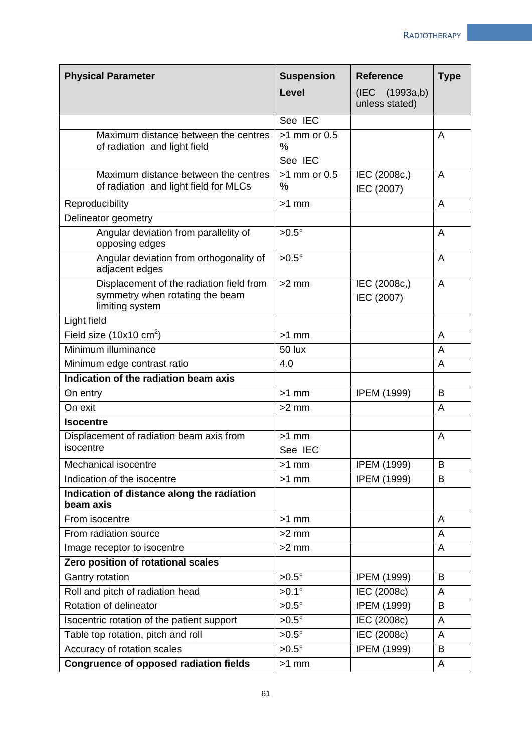| <b>Physical Parameter</b>                                                                      | <b>Suspension</b>                 | <b>Reference</b>                 | <b>Type</b> |
|------------------------------------------------------------------------------------------------|-----------------------------------|----------------------------------|-------------|
|                                                                                                | Level                             | (IEC (1993a,b)<br>unless stated) |             |
|                                                                                                | See IEC                           |                                  |             |
| Maximum distance between the centres<br>of radiation and light field                           | $>1$ mm or 0.5<br>$\%$<br>See IEC |                                  | A           |
| Maximum distance between the centres<br>of radiation and light field for MLCs                  | $>1$ mm or 0.5<br>$\%$            | IEC (2008c,)<br>IEC (2007)       | A           |
| Reproducibility                                                                                | $>1$ mm                           |                                  | A           |
| Delineator geometry                                                                            |                                   |                                  |             |
| Angular deviation from parallelity of<br>opposing edges                                        | $>0.5^\circ$                      |                                  | A           |
| Angular deviation from orthogonality of<br>adjacent edges                                      | $>0.5^\circ$                      |                                  | A           |
| Displacement of the radiation field from<br>symmetry when rotating the beam<br>limiting system | $>2$ mm                           | IEC (2008c,)<br>IEC (2007)       | A           |
| Light field                                                                                    |                                   |                                  |             |
| Field size $(10x10 \text{ cm}^2)$                                                              | $>1$ mm                           |                                  | A           |
| Minimum illuminance                                                                            | 50 lux                            |                                  | A           |
| Minimum edge contrast ratio                                                                    | 4.0                               |                                  | A           |
| Indication of the radiation beam axis                                                          |                                   |                                  |             |
| On entry                                                                                       | $>1$ mm                           | <b>IPEM (1999)</b>               | B           |
| On exit                                                                                        | $>2$ mm                           |                                  | A           |
| <b>Isocentre</b>                                                                               |                                   |                                  |             |
| Displacement of radiation beam axis from<br>isocentre                                          | $>1$ mm<br>See IEC                |                                  | A           |
| Mechanical isocentre                                                                           | $>1$ mm                           | <b>IPEM (1999)</b>               | B           |
| Indication of the isocentre                                                                    | $>1$ mm                           | <b>IPEM (1999)</b>               | B           |
| Indication of distance along the radiation<br>beam axis                                        |                                   |                                  |             |
| From isocentre                                                                                 | $>1$ mm                           |                                  | A           |
| From radiation source                                                                          | $>2$ mm                           |                                  | A           |
| Image receptor to isocentre                                                                    | $>2$ mm                           |                                  | A           |
| Zero position of rotational scales                                                             |                                   |                                  |             |
| Gantry rotation                                                                                | $>0.5^\circ$                      | <b>IPEM (1999)</b>               | B           |
| Roll and pitch of radiation head                                                               | $>0.1^\circ$                      | IEC (2008c)                      | A           |
| Rotation of delineator                                                                         | $>0.5^\circ$                      | <b>IPEM (1999)</b>               | B           |
| Isocentric rotation of the patient support                                                     | $>0.5^\circ$                      | IEC (2008c)                      | A           |
| Table top rotation, pitch and roll                                                             | $>0.5^\circ$                      | IEC (2008c)                      | A           |
| Accuracy of rotation scales                                                                    | $>0.5^\circ$                      | <b>IPEM (1999)</b>               | B           |
| <b>Congruence of opposed radiation fields</b>                                                  | $>1$ mm                           |                                  | A           |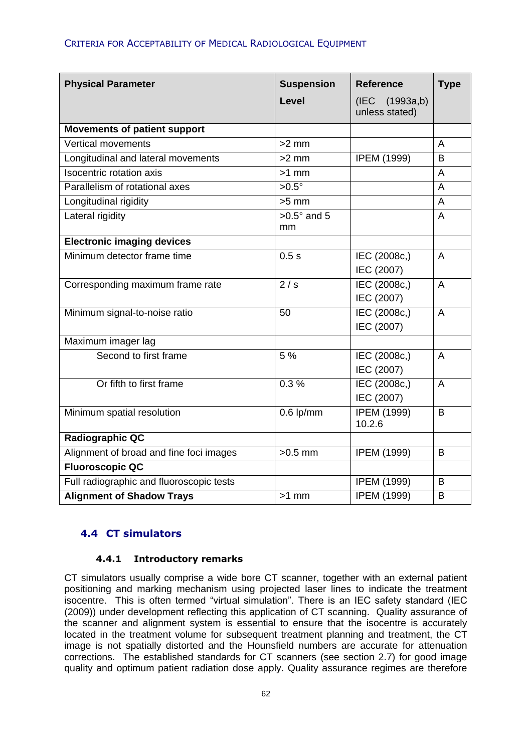| <b>Physical Parameter</b>                | <b>Suspension</b><br><b>Level</b> | <b>Reference</b><br>(IEC (1993a,b) | <b>Type</b>    |
|------------------------------------------|-----------------------------------|------------------------------------|----------------|
|                                          |                                   | unless stated)                     |                |
| <b>Movements of patient support</b>      |                                   |                                    |                |
| <b>Vertical movements</b>                | $>2$ mm                           |                                    | A              |
| Longitudinal and lateral movements       | $>2$ mm                           | <b>IPEM (1999)</b>                 | $\overline{B}$ |
| <b>Isocentric rotation axis</b>          | $>1$ mm                           |                                    | A              |
| Parallelism of rotational axes           | $>0.5^\circ$                      |                                    | A              |
| Longitudinal rigidity                    | $>5$ mm                           |                                    | A              |
| Lateral rigidity                         | $>0.5^\circ$ and 5<br>mm          |                                    | A              |
| <b>Electronic imaging devices</b>        |                                   |                                    |                |
| Minimum detector frame time              | 0.5s                              | IEC (2008c,)                       | $\overline{A}$ |
|                                          |                                   | IEC (2007)                         |                |
| Corresponding maximum frame rate         | 2/s                               | IEC (2008c,)                       | $\mathsf{A}$   |
|                                          |                                   | IEC (2007)                         |                |
| Minimum signal-to-noise ratio            | $\overline{50}$                   | IEC (2008c,)                       | $\overline{A}$ |
|                                          |                                   | IEC (2007)                         |                |
| Maximum imager lag                       |                                   |                                    |                |
| Second to first frame                    | 5 %                               | IEC (2008c,)                       | $\overline{A}$ |
|                                          |                                   | IEC (2007)                         |                |
| Or fifth to first frame                  | 0.3%                              | IEC (2008c,)                       | $\overline{A}$ |
|                                          |                                   | IEC (2007)                         |                |
| Minimum spatial resolution               | $0.6$ lp/mm                       | <b>IPEM (1999)</b>                 | B              |
|                                          |                                   | 10.2.6                             |                |
| <b>Radiographic QC</b>                   |                                   |                                    |                |
| Alignment of broad and fine foci images  | $>0.5$ mm                         | <b>IPEM (1999)</b>                 | B              |
| <b>Fluoroscopic QC</b>                   |                                   |                                    |                |
| Full radiographic and fluoroscopic tests |                                   | <b>IPEM (1999)</b>                 | B              |
| <b>Alignment of Shadow Trays</b>         | $>1$ mm                           | <b>IPEM (1999)</b>                 | B              |

# **4.4 CT simulators**

#### **4.4.1 Introductory remarks**

CT simulators usually comprise a wide bore CT scanner, together with an external patient positioning and marking mechanism using projected laser lines to indicate the treatment isocentre. This is often termed "virtual simulation". There is an IEC safety standard (IEC (2009)) under development reflecting this application of CT scanning. Quality assurance of the scanner and alignment system is essential to ensure that the isocentre is accurately located in the treatment volume for subsequent treatment planning and treatment, the CT image is not spatially distorted and the Hounsfield numbers are accurate for attenuation corrections. The established standards for CT scanners (see section 2.7) for good image quality and optimum patient radiation dose apply. Quality assurance regimes are therefore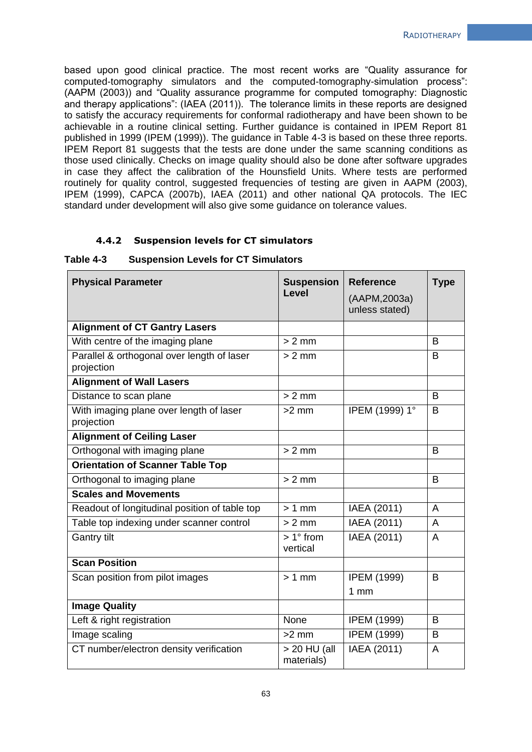based upon good clinical practice. The most recent works are "Quality assurance for computed-tomography simulators and the computed-tomography-simulation process": (AAPM (2003)) and "Quality assurance programme for computed tomography: Diagnostic and therapy applications": (IAEA (2011)). The tolerance limits in these reports are designed to satisfy the accuracy requirements for conformal radiotherapy and have been shown to be achievable in a routine clinical setting. Further guidance is contained in IPEM Report 81 published in 1999 (IPEM (1999)). The guidance in Table 4-3 is based on these three reports. IPEM Report 81 suggests that the tests are done under the same scanning conditions as those used clinically. Checks on image quality should also be done after software upgrades in case they affect the calibration of the Hounsfield Units. Where tests are performed routinely for quality control, suggested frequencies of testing are given in AAPM (2003). IPEM (1999), CAPCA (2007b), IAEA (2011) and other national QA protocols. The IEC standard under development will also give some guidance on tolerance values.

#### **4.4.2 Suspension levels for CT simulators**

#### **Table 4-3 Suspension Levels for CT Simulators**

| <b>Physical Parameter</b>                                | <b>Suspension</b><br>Level  | <b>Reference</b><br>(AAPM, 2003a)<br>unless stated) | <b>Type</b> |
|----------------------------------------------------------|-----------------------------|-----------------------------------------------------|-------------|
| <b>Alignment of CT Gantry Lasers</b>                     |                             |                                                     |             |
| With centre of the imaging plane                         | $> 2$ mm                    |                                                     | B           |
| Parallel & orthogonal over length of laser<br>projection | $> 2$ mm                    |                                                     | B           |
| <b>Alignment of Wall Lasers</b>                          |                             |                                                     |             |
| Distance to scan plane                                   | $> 2$ mm                    |                                                     | B           |
| With imaging plane over length of laser<br>projection    | $>2$ mm                     | IPEM (1999) 1°                                      | B           |
| <b>Alignment of Ceiling Laser</b>                        |                             |                                                     |             |
| Orthogonal with imaging plane                            | $> 2$ mm                    |                                                     | B           |
| <b>Orientation of Scanner Table Top</b>                  |                             |                                                     |             |
| Orthogonal to imaging plane                              | $> 2$ mm                    |                                                     | B           |
| <b>Scales and Movements</b>                              |                             |                                                     |             |
| Readout of longitudinal position of table top            | $> 1$ mm                    | IAEA (2011)                                         | A           |
| Table top indexing under scanner control                 | $> 2$ mm                    | IAEA (2011)                                         | A           |
| <b>Gantry tilt</b>                                       | $>1^\circ$ from<br>vertical | IAEA (2011)                                         | A           |
| <b>Scan Position</b>                                     |                             |                                                     |             |
| Scan position from pilot images                          | $>1$ mm                     | <b>IPEM (1999)</b><br>1 <sub>mm</sub>               | B           |
| <b>Image Quality</b>                                     |                             |                                                     |             |
| Left & right registration                                | None                        | <b>IPEM (1999)</b>                                  | B           |
| Image scaling                                            | $>2$ mm                     | <b>IPEM (1999)</b>                                  | B           |
| CT number/electron density verification                  | > 20 HU (all<br>materials)  | IAEA (2011)                                         | A           |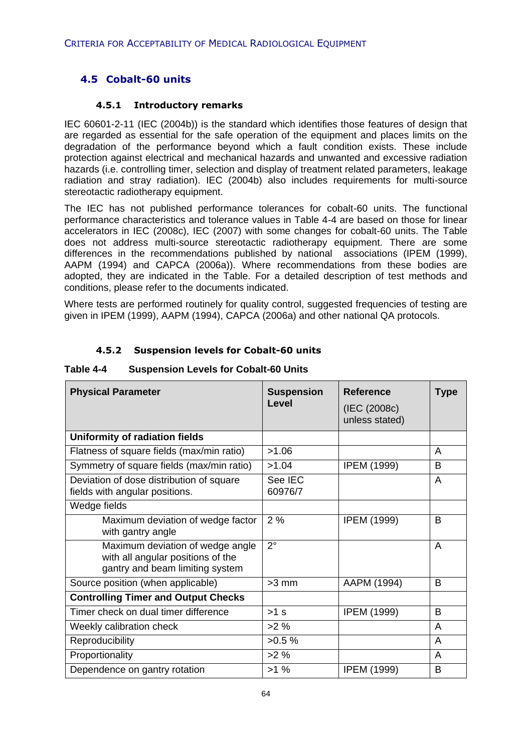# **4.5 Cobalt-60 units**

#### **4.5.1 Introductory remarks**

IEC 60601-2-11 (IEC (2004b)) is the standard which identifies those features of design that are regarded as essential for the safe operation of the equipment and places limits on the degradation of the performance beyond which a fault condition exists. These include protection against electrical and mechanical hazards and unwanted and excessive radiation hazards (i.e. controlling timer, selection and display of treatment related parameters, leakage radiation and stray radiation). IEC (2004b) also includes requirements for multi-source stereotactic radiotherapy equipment.

The IEC has not published performance tolerances for cobalt-60 units. The functional performance characteristics and tolerance values in Table 4-4 are based on those for linear accelerators in IEC (2008c), IEC (2007) with some changes for cobalt-60 units. The Table does not address multi-source stereotactic radiotherapy equipment. There are some differences in the recommendations published by national associations (IPEM (1999), AAPM (1994) and CAPCA (2006a)). Where recommendations from these bodies are adopted, they are indicated in the Table. For a detailed description of test methods and conditions, please refer to the documents indicated.

Where tests are performed routinely for quality control, suggested frequencies of testing are given in IPEM (1999), AAPM (1994), CAPCA (2006a) and other national QA protocols.

#### **4.5.2 Suspension levels for Cobalt-60 units**

| <b>Physical Parameter</b>                                                                                | <b>Suspension</b><br>Level | <b>Reference</b><br>(IEC (2008c)<br>unless stated) | Type |
|----------------------------------------------------------------------------------------------------------|----------------------------|----------------------------------------------------|------|
| Uniformity of radiation fields                                                                           |                            |                                                    |      |
| Flatness of square fields (max/min ratio)                                                                | >1.06                      |                                                    | A    |
| Symmetry of square fields (max/min ratio)                                                                | >1.04                      | <b>IPEM (1999)</b>                                 | B    |
| Deviation of dose distribution of square<br>fields with angular positions.                               | See IEC<br>60976/7         |                                                    | A    |
| Wedge fields                                                                                             |                            |                                                    |      |
| Maximum deviation of wedge factor<br>with gantry angle                                                   | 2%                         | <b>IPEM (1999)</b>                                 | B    |
| Maximum deviation of wedge angle<br>with all angular positions of the<br>gantry and beam limiting system | $2^{\circ}$                |                                                    | A    |
| Source position (when applicable)                                                                        | $>3$ mm                    | AAPM (1994)                                        | B.   |
| <b>Controlling Timer and Output Checks</b>                                                               |                            |                                                    |      |
| Timer check on dual timer difference                                                                     | $>1$ s                     | <b>IPEM (1999)</b>                                 | B.   |
| Weekly calibration check                                                                                 | $>2\%$                     |                                                    | A    |
| Reproducibility                                                                                          | $>0.5\%$                   |                                                    | A    |
| Proportionality                                                                                          | $>2\%$                     |                                                    | A    |
| Dependence on gantry rotation                                                                            | $>1\%$                     | <b>IPEM (1999)</b>                                 | B    |

#### **Table 4-4 Suspension Levels for Cobalt-60 Units**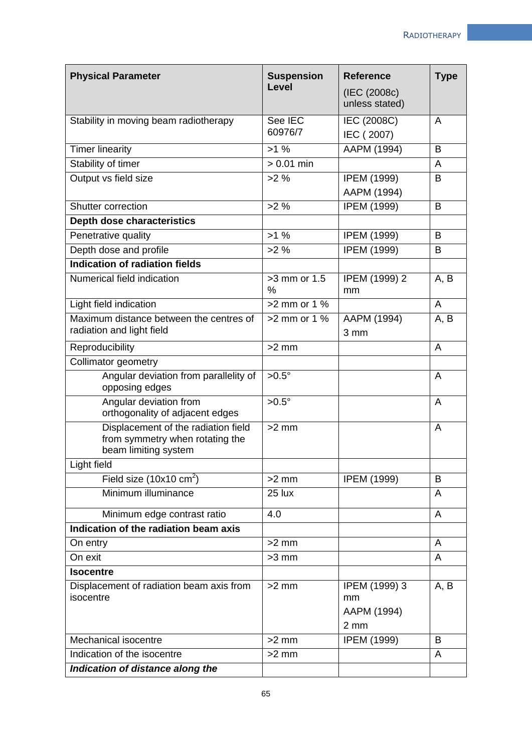| <b>Suspension</b><br><b>Physical Parameter</b>                                                 |                       | <b>Reference</b>                           | <b>Type</b> |
|------------------------------------------------------------------------------------------------|-----------------------|--------------------------------------------|-------------|
|                                                                                                | <b>Level</b>          | (IEC (2008c)<br>unless stated)             |             |
| Stability in moving beam radiotherapy                                                          | See IEC<br>60976/7    | IEC (2008C)<br>IEC (2007)                  | A           |
| <b>Timer linearity</b>                                                                         | >1%                   | AAPM (1994)                                | B           |
| Stability of timer                                                                             | $> 0.01$ min          |                                            | A           |
| Output vs field size                                                                           | $>2\%$                | <b>IPEM (1999)</b><br>AAPM (1994)          | B           |
| Shutter correction                                                                             | $>2\%$                | <b>IPEM (1999)</b>                         | B           |
| Depth dose characteristics                                                                     |                       |                                            |             |
| Penetrative quality                                                                            | $>1\%$                | <b>IPEM (1999)</b>                         | B           |
| Depth dose and profile                                                                         | $>2\%$                | <b>IPEM (1999)</b>                         | B           |
| Indication of radiation fields                                                                 |                       |                                            |             |
| Numerical field indication                                                                     | $>3$ mm or $1.5$<br>% | IPEM (1999) 2<br>mm                        | A, B        |
| Light field indication                                                                         | $>2$ mm or 1 %        |                                            | A           |
| Maximum distance between the centres of<br>radiation and light field                           | $>2$ mm or 1 %        | AAPM (1994)<br>3 mm                        | A, B        |
| Reproducibility                                                                                | $>2$ mm               |                                            | A           |
| Collimator geometry                                                                            |                       |                                            |             |
| Angular deviation from parallelity of<br>opposing edges                                        | $>0.5^\circ$          |                                            | A           |
| Angular deviation from<br>orthogonality of adjacent edges                                      | $>0.5^\circ$          |                                            | A           |
| Displacement of the radiation field<br>from symmetry when rotating the<br>beam limiting system | $>2$ mm               |                                            | A           |
| Light field                                                                                    |                       |                                            |             |
| Field size $(10x10 \text{ cm}^2)$                                                              | $>2$ mm               | <b>IPEM (1999)</b>                         | B           |
| Minimum illuminance                                                                            | 25 lux                |                                            | A           |
| Minimum edge contrast ratio                                                                    | 4.0                   |                                            | A           |
| Indication of the radiation beam axis                                                          |                       |                                            |             |
| On entry                                                                                       | $>2$ mm               |                                            | A           |
| On exit                                                                                        | $>3$ mm               |                                            | A           |
| <b>Isocentre</b>                                                                               |                       |                                            |             |
| Displacement of radiation beam axis from<br>isocentre                                          | $>2$ mm               | IPEM (1999) 3<br>mm<br>AAPM (1994)<br>2 mm | A, B        |
| Mechanical isocentre                                                                           | $>2$ mm               | <b>IPEM (1999)</b>                         | B           |
| Indication of the isocentre                                                                    | $>2$ mm               |                                            | A           |
| Indication of distance along the                                                               |                       |                                            |             |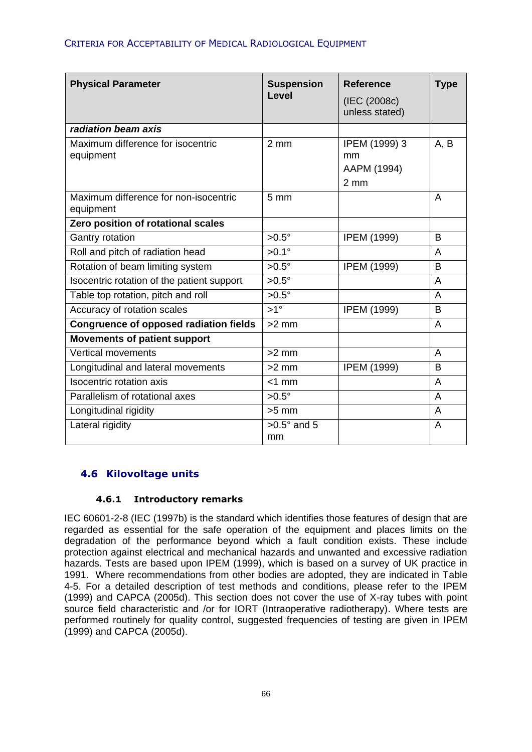| <b>Physical Parameter</b>                          | <b>Suspension</b><br>Level | <b>Reference</b><br>(IEC (2008c)<br>unless stated)     | <b>Type</b> |
|----------------------------------------------------|----------------------------|--------------------------------------------------------|-------------|
| radiation beam axis                                |                            |                                                        |             |
| Maximum difference for isocentric<br>equipment     | $2 \, \text{mm}$           | IPEM (1999) 3<br>mm<br>AAPM (1994)<br>$2 \, \text{mm}$ | A, B        |
| Maximum difference for non-isocentric<br>equipment | 5 <sub>mm</sub>            |                                                        | A           |
| Zero position of rotational scales                 |                            |                                                        |             |
| Gantry rotation                                    | $>0.5^\circ$               | <b>IPEM (1999)</b>                                     | B           |
| Roll and pitch of radiation head                   | $>0.1^\circ$               |                                                        | A           |
| Rotation of beam limiting system                   | $>0.5^\circ$               | <b>IPEM (1999)</b>                                     | B           |
| Isocentric rotation of the patient support         | $>0.5^\circ$               |                                                        | A           |
| Table top rotation, pitch and roll                 | $>0.5^\circ$               |                                                        | A           |
| Accuracy of rotation scales                        | $>1^{\circ}$               | <b>IPEM (1999)</b>                                     | B           |
| <b>Congruence of opposed radiation fields</b>      | $>2$ mm                    |                                                        | A           |
| <b>Movements of patient support</b>                |                            |                                                        |             |
| Vertical movements                                 | $>2$ mm                    |                                                        | A           |
| Longitudinal and lateral movements                 | $>2$ mm                    | <b>IPEM (1999)</b>                                     | B           |
| <b>Isocentric rotation axis</b>                    | $<$ 1 mm                   |                                                        | A           |
| Parallelism of rotational axes                     | $>0.5^\circ$               |                                                        | A           |
| Longitudinal rigidity                              | $>5$ mm                    |                                                        | A           |
| Lateral rigidity                                   | $>0.5^\circ$ and 5<br>mm   |                                                        | A           |

# **4.6 Kilovoltage units**

### **4.6.1 Introductory remarks**

IEC 60601-2-8 (IEC (1997b) is the standard which identifies those features of design that are regarded as essential for the safe operation of the equipment and places limits on the degradation of the performance beyond which a fault condition exists. These include protection against electrical and mechanical hazards and unwanted and excessive radiation hazards. Tests are based upon IPEM (1999), which is based on a survey of UK practice in 1991. Where recommendations from other bodies are adopted, they are indicated in Table 4-5. For a detailed description of test methods and conditions, please refer to the IPEM (1999) and CAPCA (2005d). This section does not cover the use of X-ray tubes with point source field characteristic and /or for IORT (Intraoperative radiotherapy). Where tests are performed routinely for quality control, suggested frequencies of testing are given in IPEM (1999) and CAPCA (2005d).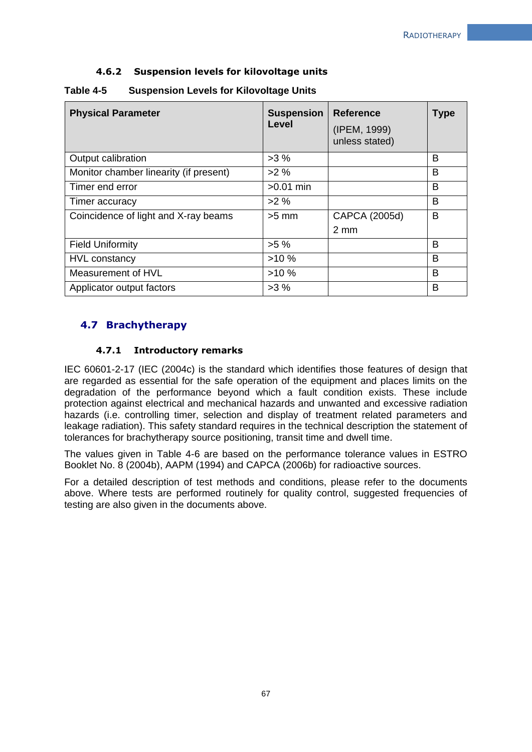#### **4.6.2 Suspension levels for kilovoltage units**

| <b>Physical Parameter</b>              | <b>Suspension</b><br>Level | <b>Reference</b><br>(IPEM, 1999)<br>unless stated) | <b>Type</b> |
|----------------------------------------|----------------------------|----------------------------------------------------|-------------|
| Output calibration                     | >3%                        |                                                    | B           |
| Monitor chamber linearity (if present) | $>2\%$                     |                                                    | B           |
| Timer end error                        | $>0.01$ min                |                                                    | B           |
| Timer accuracy                         | $>2\%$                     |                                                    | B           |
| Coincidence of light and X-ray beams   | $>5$ mm                    | CAPCA (2005d)                                      | B           |
|                                        |                            | 2 mm                                               |             |
| <b>Field Uniformity</b>                | $>5\%$                     |                                                    | B           |
| <b>HVL</b> constancy                   | >10%                       |                                                    | B           |
| Measurement of HVL                     | >10%                       |                                                    | B           |
| Applicator output factors              | >3%                        |                                                    | B           |

#### **Table 4-5 Suspension Levels for Kilovoltage Units**

# **4.7 Brachytherapy**

#### **4.7.1 Introductory remarks**

IEC 60601-2-17 (IEC (2004c) is the standard which identifies those features of design that are regarded as essential for the safe operation of the equipment and places limits on the degradation of the performance beyond which a fault condition exists. These include protection against electrical and mechanical hazards and unwanted and excessive radiation hazards (i.e. controlling timer, selection and display of treatment related parameters and leakage radiation). This safety standard requires in the technical description the statement of tolerances for brachytherapy source positioning, transit time and dwell time.

The values given in Table 4-6 are based on the performance tolerance values in ESTRO Booklet No. 8 (2004b), AAPM (1994) and CAPCA (2006b) for radioactive sources.

For a detailed description of test methods and conditions, please refer to the documents above. Where tests are performed routinely for quality control, suggested frequencies of testing are also given in the documents above.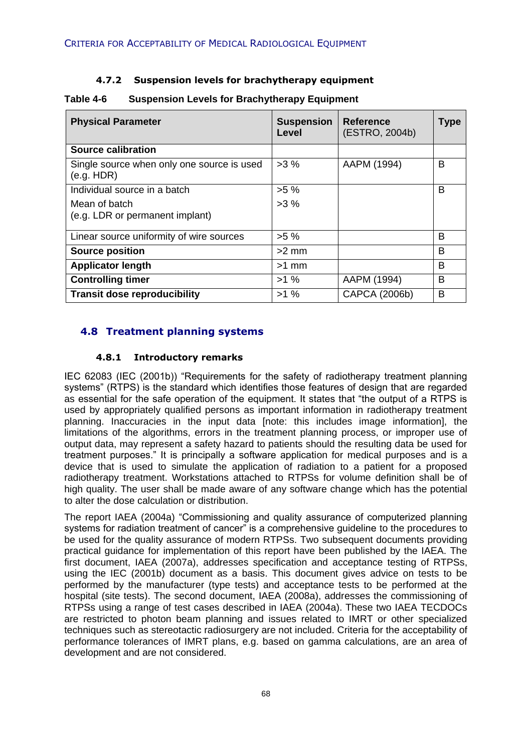### **4.7.2 Suspension levels for brachytherapy equipment**

| <b>Physical Parameter</b>                                | <b>Suspension</b><br>Level | <b>Reference</b><br>(ESTRO, 2004b) | <b>Type</b> |
|----------------------------------------------------------|----------------------------|------------------------------------|-------------|
| <b>Source calibration</b>                                |                            |                                    |             |
| Single source when only one source is used<br>(e.g. HDR) | >3%                        | AAPM (1994)                        | в           |
| Individual source in a batch                             | $>5\%$                     |                                    | В           |
| Mean of batch<br>(e.g. LDR or permanent implant)         | $>3\%$                     |                                    |             |
| Linear source uniformity of wire sources                 | $>5\%$                     |                                    | в           |
| <b>Source position</b>                                   | $>2$ mm                    |                                    | в           |
| <b>Applicator length</b>                                 | $>1$ mm                    |                                    | B           |
| <b>Controlling timer</b>                                 | $>1\%$                     | AAPM (1994)                        | B           |
| <b>Transit dose reproducibility</b>                      | $>1\%$                     | CAPCA (2006b)                      | В           |

#### **Table 4-6 Suspension Levels for Brachytherapy Equipment**

# **4.8 Treatment planning systems**

#### **4.8.1 Introductory remarks**

IEC 62083 (IEC (2001b)) "Requirements for the safety of radiotherapy treatment planning systems" (RTPS) is the standard which identifies those features of design that are regarded as essential for the safe operation of the equipment. It states that "the output of a RTPS is used by appropriately qualified persons as important information in radiotherapy treatment planning. Inaccuracies in the input data [note: this includes image information], the limitations of the algorithms, errors in the treatment planning process, or improper use of output data, may represent a safety hazard to patients should the resulting data be used for treatment purposes." It is principally a software application for medical purposes and is a device that is used to simulate the application of radiation to a patient for a proposed radiotherapy treatment. Workstations attached to RTPSs for volume definition shall be of high quality. The user shall be made aware of any software change which has the potential to alter the dose calculation or distribution.

The report IAEA (2004a) "Commissioning and quality assurance of computerized planning systems for radiation treatment of cancer" is a comprehensive guideline to the procedures to be used for the quality assurance of modern RTPSs. Two subsequent documents providing practical guidance for implementation of this report have been published by the IAEA. The first document, IAEA (2007a), addresses specification and acceptance testing of RTPSs, using the IEC (2001b) document as a basis. This document gives advice on tests to be performed by the manufacturer (type tests) and acceptance tests to be performed at the hospital (site tests). The second document, IAEA (2008a), addresses the commissioning of RTPSs using a range of test cases described in IAEA (2004a). These two IAEA TECDOCs are restricted to photon beam planning and issues related to IMRT or other specialized techniques such as stereotactic radiosurgery are not included. Criteria for the acceptability of performance tolerances of IMRT plans, e.g. based on gamma calculations, are an area of development and are not considered.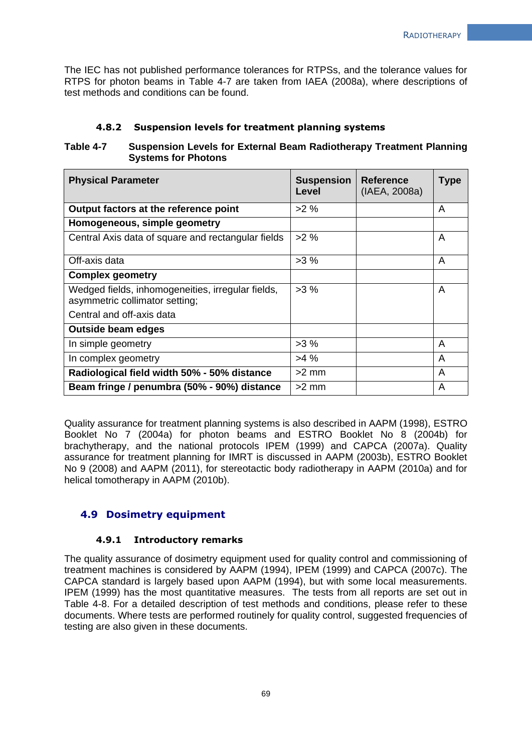The IEC has not published performance tolerances for RTPSs, and the tolerance values for RTPS for photon beams in Table 4-7 are taken from IAEA (2008a), where descriptions of test methods and conditions can be found.

#### **4.8.2 Suspension levels for treatment planning systems**

#### **Table 4-7 Suspension Levels for External Beam Radiotherapy Treatment Planning Systems for Photons**

| <b>Physical Parameter</b>                                                           | <b>Suspension</b><br>Level | <b>Reference</b><br>(IAEA, 2008a) | <b>Type</b> |
|-------------------------------------------------------------------------------------|----------------------------|-----------------------------------|-------------|
| Output factors at the reference point                                               | $>2\%$                     |                                   | A           |
| Homogeneous, simple geometry                                                        |                            |                                   |             |
| Central Axis data of square and rectangular fields                                  | $>2\%$                     |                                   | A           |
| Off-axis data                                                                       | >3%                        |                                   | A           |
| <b>Complex geometry</b>                                                             |                            |                                   |             |
| Wedged fields, inhomogeneities, irregular fields,<br>asymmetric collimator setting; | >3%                        |                                   | A           |
| Central and off-axis data                                                           |                            |                                   |             |
| Outside beam edges                                                                  |                            |                                   |             |
| In simple geometry                                                                  | >3%                        |                                   | A           |
| In complex geometry                                                                 | $>4\%$                     |                                   | A           |
| Radiological field width 50% - 50% distance                                         | $>2$ mm                    |                                   | A           |
| Beam fringe / penumbra (50% - 90%) distance                                         | $>2$ mm                    |                                   | A           |

Quality assurance for treatment planning systems is also described in AAPM (1998), ESTRO Booklet No 7 (2004a) for photon beams and ESTRO Booklet No 8 (2004b) for brachytherapy, and the national protocols IPEM (1999) and CAPCA (2007a). Quality assurance for treatment planning for IMRT is discussed in AAPM (2003b), ESTRO Booklet No 9 (2008) and AAPM (2011), for stereotactic body radiotherapy in AAPM (2010a) and for helical tomotherapy in AAPM (2010b).

### **4.9 Dosimetry equipment**

#### **4.9.1 Introductory remarks**

The quality assurance of dosimetry equipment used for quality control and commissioning of treatment machines is considered by AAPM (1994), IPEM (1999) and CAPCA (2007c). The CAPCA standard is largely based upon AAPM (1994), but with some local measurements. IPEM (1999) has the most quantitative measures. The tests from all reports are set out in Table 4-8. For a detailed description of test methods and conditions, please refer to these documents. Where tests are performed routinely for quality control, suggested frequencies of testing are also given in these documents.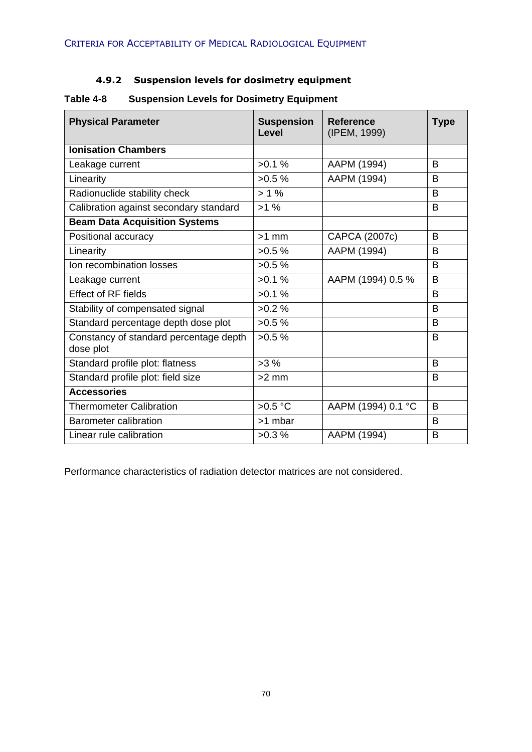# **4.9.2 Suspension levels for dosimetry equipment**

| <b>Physical Parameter</b>                           | <b>Suspension</b><br>Level | <b>Reference</b><br>(IPEM, 1999) | <b>Type</b> |
|-----------------------------------------------------|----------------------------|----------------------------------|-------------|
| <b>Ionisation Chambers</b>                          |                            |                                  |             |
| Leakage current                                     | $>0.1\%$                   | AAPM (1994)                      | B           |
| Linearity                                           | $>0.5\%$                   | AAPM (1994)                      | B           |
| Radionuclide stability check                        | $> 1\%$                    |                                  | B           |
| Calibration against secondary standard              | $>1\%$                     |                                  | B           |
| <b>Beam Data Acquisition Systems</b>                |                            |                                  |             |
| Positional accuracy                                 | $>1$ mm                    | CAPCA (2007c)                    | B           |
| Linearity                                           | $>0.5\%$                   | AAPM (1994)                      | B           |
| Ion recombination losses                            | $>0.5\%$                   |                                  | B           |
| Leakage current                                     | $>0.1\%$                   | AAPM (1994) 0.5 %                | B           |
| <b>Effect of RF fields</b>                          | >0.1%                      |                                  | B           |
| Stability of compensated signal                     | $>0.2\%$                   |                                  | B           |
| Standard percentage depth dose plot                 | $>0.5\%$                   |                                  | B.          |
| Constancy of standard percentage depth<br>dose plot | $>0.5\%$                   |                                  | B           |
| Standard profile plot: flatness                     | $>3\%$                     |                                  | B.          |
| Standard profile plot: field size                   | $>2$ mm                    |                                  | B.          |
| <b>Accessories</b>                                  |                            |                                  |             |
| <b>Thermometer Calibration</b>                      | $>0.5$ °C                  | AAPM (1994) 0.1 °C               | B           |
| Barometer calibration                               | >1 mbar                    |                                  | B           |
| Linear rule calibration                             | $>0.3\%$                   | AAPM (1994)                      | B.          |

# **Table 4-8 Suspension Levels for Dosimetry Equipment**

Performance characteristics of radiation detector matrices are not considered.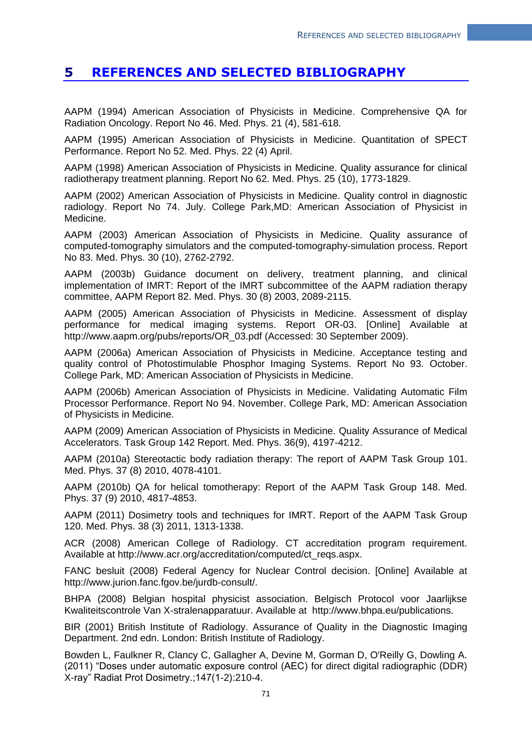# **5 REFERENCES AND SELECTED BIBLIOGRAPHY**

AAPM (1994) American Association of Physicists in Medicine. Comprehensive QA for Radiation Oncology. Report No 46. Med. Phys. 21 (4), 581-618.

AAPM (1995) American Association of Physicists in Medicine. Quantitation of SPECT Performance. Report No 52. Med. Phys. 22 (4) April.

AAPM (1998) American Association of Physicists in Medicine. Quality assurance for clinical radiotherapy treatment planning. Report No 62. Med. Phys. 25 (10), 1773-1829.

AAPM (2002) American Association of Physicists in Medicine. Quality control in diagnostic radiology. Report No 74. July. College Park,MD: American Association of Physicist in Medicine.

AAPM (2003) American Association of Physicists in Medicine. Quality assurance of computed-tomography simulators and the computed-tomography-simulation process. Report No 83. Med. Phys. 30 (10), 2762-2792.

AAPM (2003b) Guidance document on delivery, treatment planning, and clinical implementation of IMRT: Report of the IMRT subcommittee of the AAPM radiation therapy committee, AAPM Report 82. Med. Phys. 30 (8) 2003, 2089-2115.

AAPM (2005) American Association of Physicists in Medicine. Assessment of display performance for medical imaging systems. Report OR-03. [Online] Available at http://www.aapm.org/pubs/reports/OR\_03.pdf (Accessed: 30 September 2009).

AAPM (2006a) American Association of Physicists in Medicine. Acceptance testing and quality control of Photostimulable Phosphor Imaging Systems. Report No 93. October. College Park, MD: American Association of Physicists in Medicine.

AAPM (2006b) American Association of Physicists in Medicine. Validating Automatic Film Processor Performance. Report No 94. November. College Park, MD: American Association of Physicists in Medicine.

AAPM (2009) American Association of Physicists in Medicine. Quality Assurance of Medical Accelerators. Task Group 142 Report. Med. Phys. 36(9), 4197-4212.

AAPM (2010a) Stereotactic body radiation therapy: The report of AAPM Task Group 101. Med. Phys. 37 (8) 2010, 4078-4101.

AAPM (2010b) QA for helical tomotherapy: Report of the AAPM Task Group 148. Med. Phys. 37 (9) 2010, 4817-4853.

AAPM (2011) Dosimetry tools and techniques for IMRT. Report of the AAPM Task Group 120. Med. Phys. 38 (3) 2011, 1313-1338.

ACR (2008) American College of Radiology. CT accreditation program requirement. Available at http://www.acr.org/accreditation/computed/ct\_reqs.aspx.

FANC besluit (2008) Federal Agency for Nuclear Control decision. [Online] Available at http://www.jurion.fanc.fgov.be/jurdb-consult/.

BHPA (2008) Belgian hospital physicist association. Belgisch Protocol voor Jaarlijkse Kwaliteitscontrole Van X-stralenapparatuur. Available at http://www.bhpa.eu/publications.

BIR (2001) British Institute of Radiology. Assurance of Quality in the Diagnostic Imaging Department. 2nd edn. London: British Institute of Radiology.

Bowden L, Faulkner R, Clancy C, Gallagher A, Devine M, Gorman D, O'Reilly G, Dowling A. (2011) "Doses under automatic exposure control (AEC) for direct digital radiographic (DDR) X-ray" Radiat Prot Dosimetry.;147(1-2):210-4.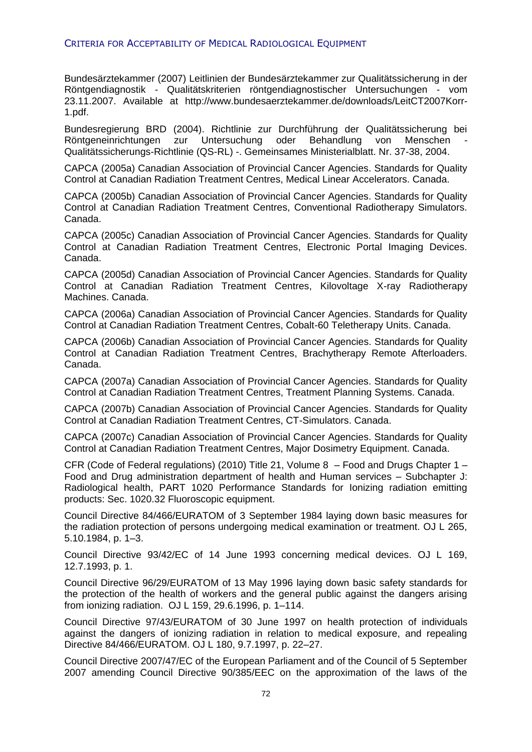Bundesärztekammer (2007) Leitlinien der Bundesärztekammer zur Qualitätssicherung in der Röntgendiagnostik - Qualitätskriterien röntgendiagnostischer Untersuchungen - vom 23.11.2007. Available at http://www.bundesaerztekammer.de/downloads/LeitCT2007Korr-1.pdf.

Bundesregierung BRD (2004). Richtlinie zur Durchführung der Qualitätssicherung bei Röntgeneinrichtungen zur Untersuchung oder Behandlung von Menschen - Qualitätssicherungs-Richtlinie (QS-RL) -. Gemeinsames Ministerialblatt. Nr. 37-38, 2004.

CAPCA (2005a) Canadian Association of Provincial Cancer Agencies. Standards for Quality Control at Canadian Radiation Treatment Centres, Medical Linear Accelerators. Canada.

CAPCA (2005b) Canadian Association of Provincial Cancer Agencies. Standards for Quality Control at Canadian Radiation Treatment Centres, Conventional Radiotherapy Simulators. Canada.

CAPCA (2005c) Canadian Association of Provincial Cancer Agencies. Standards for Quality Control at Canadian Radiation Treatment Centres, Electronic Portal Imaging Devices. Canada.

CAPCA (2005d) Canadian Association of Provincial Cancer Agencies. Standards for Quality Control at Canadian Radiation Treatment Centres, Kilovoltage X-ray Radiotherapy Machines. Canada.

CAPCA (2006a) Canadian Association of Provincial Cancer Agencies. Standards for Quality Control at Canadian Radiation Treatment Centres, Cobalt-60 Teletherapy Units. Canada.

CAPCA (2006b) Canadian Association of Provincial Cancer Agencies. Standards for Quality Control at Canadian Radiation Treatment Centres, Brachytherapy Remote Afterloaders. Canada.

CAPCA (2007a) Canadian Association of Provincial Cancer Agencies. Standards for Quality Control at Canadian Radiation Treatment Centres, Treatment Planning Systems. Canada.

CAPCA (2007b) Canadian Association of Provincial Cancer Agencies. Standards for Quality Control at Canadian Radiation Treatment Centres, CT-Simulators. Canada.

CAPCA (2007c) Canadian Association of Provincial Cancer Agencies. Standards for Quality Control at Canadian Radiation Treatment Centres, Major Dosimetry Equipment. Canada.

CFR (Code of Federal regulations) (2010) Title 21, Volume 8 – Food and Drugs Chapter 1 – Food and Drug administration department of health and Human services – Subchapter J: Radiological health, PART 1020 Performance Standards for Ionizing radiation emitting products: Sec. 1020.32 Fluoroscopic equipment.

Council Directive 84/466/EURATOM of 3 September 1984 laying down basic measures for the radiation protection of persons undergoing medical examination or treatment. OJ L 265, 5.10.1984, p. 1–3.

Council Directive 93/42/EC of 14 June 1993 concerning medical devices. OJ L 169, 12.7.1993, p. 1.

Council Directive 96/29/EURATOM of 13 May 1996 laying down basic safety standards for the protection of the health of workers and the general public against the dangers arising from ionizing radiation. OJ L 159, 29.6.1996, p. 1–114.

Council Directive 97/43/EURATOM of 30 June 1997 on health protection of individuals against the dangers of ionizing radiation in relation to medical exposure, and repealing Directive 84/466/EURATOM. OJ L 180, 9.7.1997, p. 22–27.

Council Directive 2007/47/EC of the European Parliament and of the Council of 5 September 2007 amending Council Directive 90/385/EEC on the approximation of the laws of the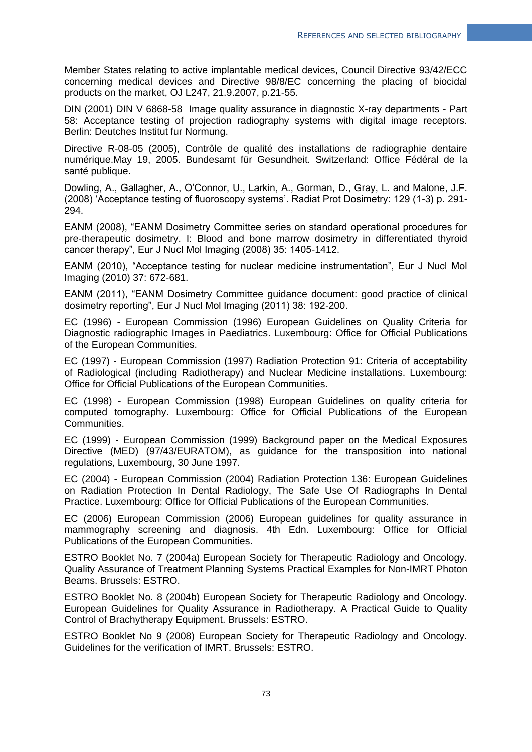Member States relating to active implantable medical devices, Council Directive 93/42/ECC concerning medical devices and Directive 98/8/EC concerning the placing of biocidal products on the market, OJ L247, 21.9.2007, p.21-55.

DIN (2001) DIN V 6868-58 Image quality assurance in diagnostic X-ray departments - Part 58: Acceptance testing of projection radiography systems with digital image receptors. Berlin: Deutches Institut fur Normung.

Directive R-08-05 (2005), Contrôle de qualité des installations de radiographie dentaire numérique.May 19, 2005. Bundesamt für Gesundheit. Switzerland: Office Fédéral de la santé publique.

Dowling, A., Gallagher, A., O'Connor, U., Larkin, A., Gorman, D., Gray, L. and Malone, J.F. (2008) 'Acceptance testing of fluoroscopy systems'. Radiat Prot Dosimetry: 129 (1-3) p. 291- 294.

EANM (2008), "EANM Dosimetry Committee series on standard operational procedures for pre-therapeutic dosimetry. I: Blood and bone marrow dosimetry in differentiated thyroid cancer therapy", Eur J Nucl Mol Imaging (2008) 35: 1405-1412.

EANM (2010), "Acceptance testing for nuclear medicine instrumentation", Eur J Nucl Mol Imaging (2010) 37: 672-681.

EANM (2011), "EANM Dosimetry Committee guidance document: good practice of clinical dosimetry reporting", Eur J Nucl Mol Imaging (2011) 38: 192-200.

EC (1996) - European Commission (1996) European Guidelines on Quality Criteria for Diagnostic radiographic Images in Paediatrics. Luxembourg: Office for Official Publications of the European Communities.

EC (1997) - European Commission (1997) Radiation Protection 91: Criteria of acceptability of Radiological (including Radiotherapy) and Nuclear Medicine installations. Luxembourg: Office for Official Publications of the European Communities.

EC (1998) - European Commission (1998) European Guidelines on quality criteria for computed tomography. Luxembourg: Office for Official Publications of the European Communities.

EC (1999) - European Commission (1999) Background paper on the Medical Exposures Directive (MED) (97/43/EURATOM), as guidance for the transposition into national regulations, Luxembourg, 30 June 1997.

EC (2004) - European Commission (2004) Radiation Protection 136: European Guidelines on Radiation Protection In Dental Radiology, The Safe Use Of Radiographs In Dental Practice. Luxembourg: Office for Official Publications of the European Communities.

EC (2006) European Commission (2006) European guidelines for quality assurance in mammography screening and diagnosis. 4th Edn. Luxembourg: Office for Official Publications of the European Communities.

ESTRO Booklet No. 7 (2004a) European Society for Therapeutic Radiology and Oncology. Quality Assurance of Treatment Planning Systems Practical Examples for Non-IMRT Photon Beams. Brussels: ESTRO.

ESTRO Booklet No. 8 (2004b) European Society for Therapeutic Radiology and Oncology. European Guidelines for Quality Assurance in Radiotherapy. A Practical Guide to Quality Control of Brachytherapy Equipment. Brussels: ESTRO.

ESTRO Booklet No 9 (2008) European Society for Therapeutic Radiology and Oncology. Guidelines for the verification of IMRT. Brussels: ESTRO.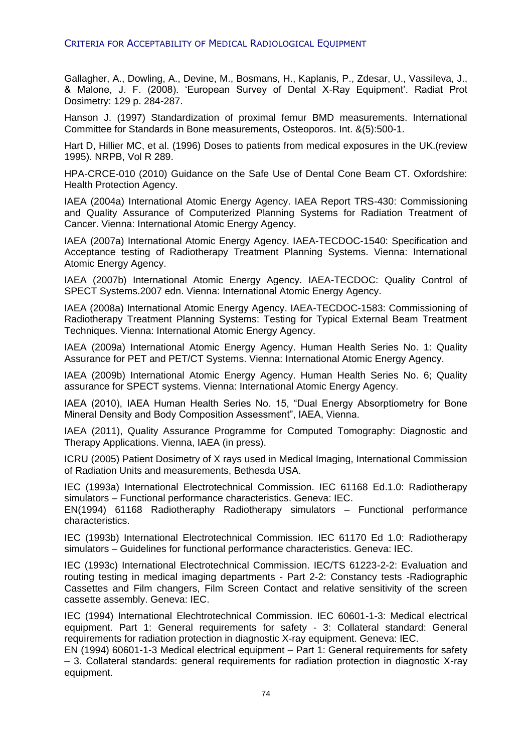Gallagher, A., Dowling, A., Devine, M., Bosmans, H., Kaplanis, P., Zdesar, U., Vassileva, J., & Malone, J. F. (2008). 'European Survey of Dental X-Ray Equipment'. Radiat Prot Dosimetry: 129 p. 284-287.

Hanson J. (1997) Standardization of proximal femur BMD measurements. International Committee for Standards in Bone measurements, Osteoporos. Int. &(5):500-1.

Hart D, Hillier MC, et al. (1996) Doses to patients from medical exposures in the UK.(review 1995). NRPB, Vol R 289.

HPA-CRCE-010 (2010) Guidance on the Safe Use of Dental Cone Beam CT. Oxfordshire: Health Protection Agency.

IAEA (2004a) International Atomic Energy Agency. IAEA Report TRS-430: Commissioning and Quality Assurance of Computerized Planning Systems for Radiation Treatment of Cancer. Vienna: International Atomic Energy Agency.

IAEA (2007a) International Atomic Energy Agency. IAEA-TECDOC-1540: Specification and Acceptance testing of Radiotherapy Treatment Planning Systems. Vienna: International Atomic Energy Agency.

IAEA (2007b) International Atomic Energy Agency. IAEA-TECDOC: Quality Control of SPECT Systems.2007 edn. Vienna: International Atomic Energy Agency.

IAEA (2008a) International Atomic Energy Agency. IAEA-TECDOC-1583: Commissioning of Radiotherapy Treatment Planning Systems: Testing for Typical External Beam Treatment Techniques. Vienna: International Atomic Energy Agency.

IAEA (2009a) International Atomic Energy Agency. Human Health Series No. 1: Quality Assurance for PET and PET/CT Systems. Vienna: International Atomic Energy Agency.

IAEA (2009b) International Atomic Energy Agency. Human Health Series No. 6; Quality assurance for SPECT systems. Vienna: International Atomic Energy Agency.

IAEA (2010), IAEA Human Health Series No. 15, "Dual Energy Absorptiometry for Bone Mineral Density and Body Composition Assessment", IAEA, Vienna.

IAEA (2011), Quality Assurance Programme for Computed Tomography: Diagnostic and Therapy Applications. Vienna, IAEA (in press).

ICRU (2005) Patient Dosimetry of X rays used in Medical Imaging, International Commission of Radiation Units and measurements, Bethesda USA.

IEC (1993a) International Electrotechnical Commission. IEC 61168 Ed.1.0: Radiotherapy simulators – Functional performance characteristics. Geneva: IEC.

EN(1994) 61168 Radiotheraphy Radiotherapy simulators – Functional performance characteristics.

IEC (1993b) International Electrotechnical Commission. IEC 61170 Ed 1.0: Radiotherapy simulators – Guidelines for functional performance characteristics. Geneva: IEC.

IEC (1993c) International Electrotechnical Commission. IEC/TS 61223-2-2: Evaluation and routing testing in medical imaging departments - Part 2-2: Constancy tests -Radiographic Cassettes and Film changers, Film Screen Contact and relative sensitivity of the screen cassette assembly. Geneva: IEC.

IEC (1994) International Elechtrotechnical Commission. IEC 60601-1-3: Medical electrical equipment. Part 1: General requirements for safety - 3: Collateral standard: General requirements for radiation protection in diagnostic X-ray equipment. Geneva: IEC.

EN (1994) 60601-1-3 Medical electrical equipment – Part 1: General requirements for safety – 3. Collateral standards: general requirements for radiation protection in diagnostic X-ray equipment.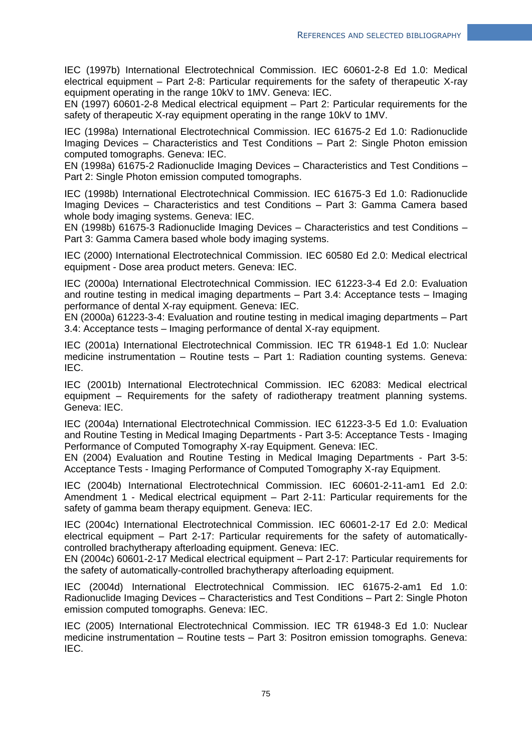IEC (1997b) International Electrotechnical Commission. IEC 60601-2-8 Ed 1.0: Medical electrical equipment – Part 2-8: Particular requirements for the safety of therapeutic X-ray equipment operating in the range 10kV to 1MV. Geneva: IEC.

EN (1997) 60601-2-8 Medical electrical equipment – Part 2: Particular requirements for the safety of therapeutic X-ray equipment operating in the range 10kV to 1MV.

IEC (1998a) International Electrotechnical Commission. IEC 61675-2 Ed 1.0: Radionuclide Imaging Devices – Characteristics and Test Conditions – Part 2: Single Photon emission computed tomographs. Geneva: IEC.

EN (1998a) 61675-2 Radionuclide Imaging Devices – Characteristics and Test Conditions – Part 2: Single Photon emission computed tomographs.

IEC (1998b) International Electrotechnical Commission. IEC 61675-3 Ed 1.0: Radionuclide Imaging Devices – Characteristics and test Conditions – Part 3: Gamma Camera based whole body imaging systems. Geneva: IEC.

EN (1998b) 61675-3 Radionuclide Imaging Devices – Characteristics and test Conditions – Part 3: Gamma Camera based whole body imaging systems.

IEC (2000) International Electrotechnical Commission. IEC 60580 Ed 2.0: Medical electrical equipment - Dose area product meters. Geneva: IEC.

IEC (2000a) International Electrotechnical Commission. IEC 61223-3-4 Ed 2.0: Evaluation and routine testing in medical imaging departments – Part 3.4: Acceptance tests – Imaging performance of dental X-ray equipment. Geneva: IEC.

EN (2000a) 61223-3-4: Evaluation and routine testing in medical imaging departments – Part 3.4: Acceptance tests – Imaging performance of dental X-ray equipment.

IEC (2001a) International Electrotechnical Commission. IEC TR 61948-1 Ed 1.0: Nuclear medicine instrumentation – Routine tests – Part 1: Radiation counting systems. Geneva: IEC.

IEC (2001b) International Electrotechnical Commission. IEC 62083: Medical electrical equipment – Requirements for the safety of radiotherapy treatment planning systems. Geneva: IEC.

IEC (2004a) International Electrotechnical Commission. IEC 61223-3-5 Ed 1.0: Evaluation and Routine Testing in Medical Imaging Departments - Part 3-5: Acceptance Tests - Imaging Performance of Computed Tomography X-ray Equipment. Geneva: IEC.

EN (2004) Evaluation and Routine Testing in Medical Imaging Departments - Part 3-5: Acceptance Tests - Imaging Performance of Computed Tomography X-ray Equipment.

IEC (2004b) International Electrotechnical Commission. IEC 60601-2-11-am1 Ed 2.0: Amendment 1 - Medical electrical equipment – Part 2-11: Particular requirements for the safety of gamma beam therapy equipment. Geneva: IEC.

IEC (2004c) International Electrotechnical Commission. IEC 60601-2-17 Ed 2.0: Medical electrical equipment – Part 2-17: Particular requirements for the safety of automaticallycontrolled brachytherapy afterloading equipment. Geneva: IEC.

EN (2004c) 60601-2-17 Medical electrical equipment – Part 2-17: Particular requirements for the safety of automatically-controlled brachytherapy afterloading equipment.

IEC (2004d) International Electrotechnical Commission. IEC 61675-2-am1 Ed 1.0: Radionuclide Imaging Devices – Characteristics and Test Conditions – Part 2: Single Photon emission computed tomographs. Geneva: IEC.

IEC (2005) International Electrotechnical Commission. IEC TR 61948-3 Ed 1.0: Nuclear medicine instrumentation – Routine tests – Part 3: Positron emission tomographs. Geneva: IEC.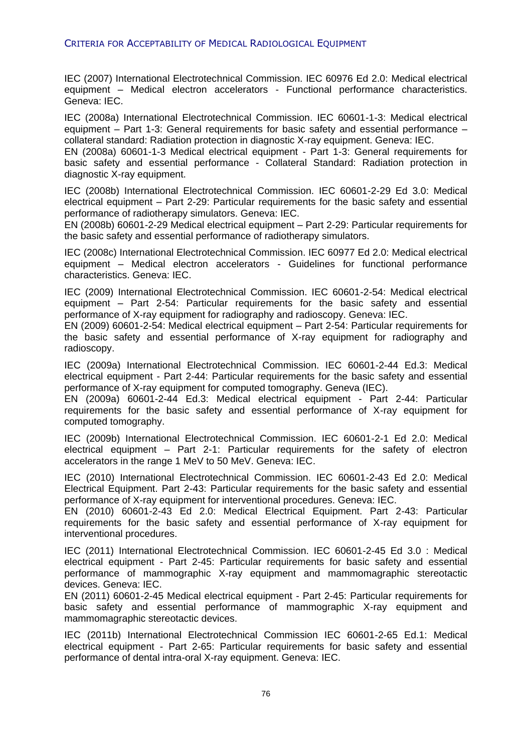IEC (2007) International Electrotechnical Commission. IEC 60976 Ed 2.0: Medical electrical equipment – Medical electron accelerators - Functional performance characteristics. Geneva: IEC.

IEC (2008a) International Electrotechnical Commission. IEC 60601-1-3: Medical electrical equipment – Part 1-3: General requirements for basic safety and essential performance – collateral standard: Radiation protection in diagnostic X-ray equipment. Geneva: IEC.

EN (2008a) 60601-1-3 Medical electrical equipment - Part 1-3: General requirements for basic safety and essential performance - Collateral Standard: Radiation protection in diagnostic X-ray equipment.

IEC (2008b) International Electrotechnical Commission. IEC 60601-2-29 Ed 3.0: Medical electrical equipment – Part 2-29: Particular requirements for the basic safety and essential performance of radiotherapy simulators. Geneva: IEC.

EN (2008b) 60601-2-29 Medical electrical equipment – Part 2-29: Particular requirements for the basic safety and essential performance of radiotherapy simulators.

IEC (2008c) International Electrotechnical Commission. IEC 60977 Ed 2.0: Medical electrical equipment – Medical electron accelerators - Guidelines for functional performance characteristics. Geneva: IEC.

IEC (2009) International Electrotechnical Commission. IEC 60601-2-54: Medical electrical equipment – Part 2-54: Particular requirements for the basic safety and essential performance of X-ray equipment for radiography and radioscopy. Geneva: IEC.

EN (2009) 60601-2-54: Medical electrical equipment – Part 2-54: Particular requirements for the basic safety and essential performance of X-ray equipment for radiography and radioscopy.

IEC (2009a) International Electrotechnical Commission. IEC 60601-2-44 Ed.3: Medical electrical equipment - Part 2-44: Particular requirements for the basic safety and essential performance of X-ray equipment for computed tomography. Geneva (IEC).

EN (2009a) 60601-2-44 Ed.3: Medical electrical equipment - Part 2-44: Particular requirements for the basic safety and essential performance of X-ray equipment for computed tomography.

IEC (2009b) International Electrotechnical Commission. IEC 60601-2-1 Ed 2.0: Medical electrical equipment – Part 2-1: Particular requirements for the safety of electron accelerators in the range 1 MeV to 50 MeV. Geneva: IEC.

IEC (2010) International Electrotechnical Commission. IEC 60601-2-43 Ed 2.0: Medical Electrical Equipment. Part 2-43: Particular requirements for the basic safety and essential performance of X-ray equipment for interventional procedures. Geneva: IEC.

EN (2010) 60601-2-43 Ed 2.0: Medical Electrical Equipment. Part 2-43: Particular requirements for the basic safety and essential performance of X-ray equipment for interventional procedures.

IEC (2011) International Electrotechnical Commission. IEC 60601-2-45 Ed 3.0 : Medical electrical equipment - Part 2-45: Particular requirements for basic safety and essential performance of mammographic X-ray equipment and mammomagraphic stereotactic devices. Geneva: IEC.

EN (2011) 60601-2-45 Medical electrical equipment - Part 2-45: Particular requirements for basic safety and essential performance of mammographic X-ray equipment and mammomagraphic stereotactic devices.

IEC (2011b) International Electrotechnical Commission IEC 60601-2-65 Ed.1: Medical electrical equipment - Part 2-65: Particular requirements for basic safety and essential performance of dental intra-oral X-ray equipment. Geneva: IEC.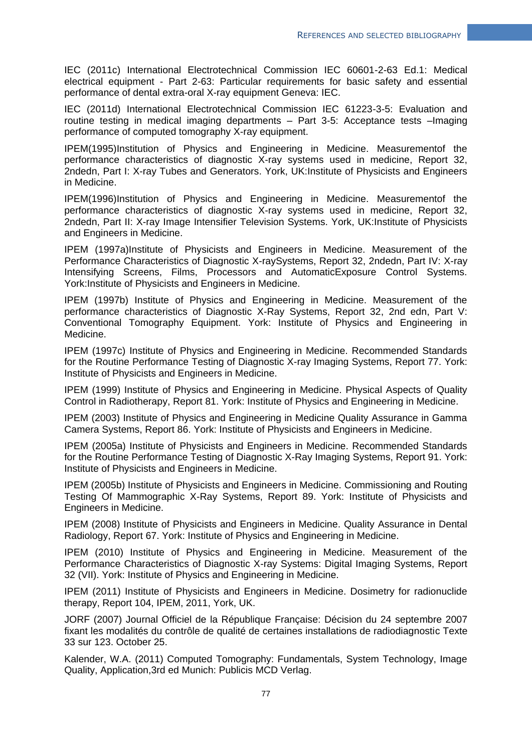IEC (2011c) International Electrotechnical Commission IEC 60601-2-63 Ed.1: Medical electrical equipment - Part 2-63: Particular requirements for basic safety and essential performance of dental extra-oral X-ray equipment Geneva: IEC.

IEC (2011d) International Electrotechnical Commission IEC 61223-3-5: Evaluation and routine testing in medical imaging departments – Part 3-5: Acceptance tests –Imaging performance of computed tomography X-ray equipment.

IPEM(1995)Institution of Physics and Engineering in Medicine. Measurementof the performance characteristics of diagnostic X-ray systems used in medicine, Report 32, 2ndedn, Part I: X-ray Tubes and Generators. York, UK:Institute of Physicists and Engineers in Medicine.

IPEM(1996)Institution of Physics and Engineering in Medicine. Measurementof the performance characteristics of diagnostic X-ray systems used in medicine, Report 32, 2ndedn, Part II: X-ray Image Intensifier Television Systems. York, UK:Institute of Physicists and Engineers in Medicine.

IPEM (1997a)Institute of Physicists and Engineers in Medicine. Measurement of the Performance Characteristics of Diagnostic X-raySystems, Report 32, 2ndedn, Part IV: X-ray Intensifying Screens, Films, Processors and AutomaticExposure Control Systems. York:Institute of Physicists and Engineers in Medicine.

IPEM (1997b) Institute of Physics and Engineering in Medicine. Measurement of the performance characteristics of Diagnostic X-Ray Systems, Report 32, 2nd edn, Part V: Conventional Tomography Equipment. York: Institute of Physics and Engineering in Medicine.

IPEM (1997c) Institute of Physics and Engineering in Medicine. Recommended Standards for the Routine Performance Testing of Diagnostic X-ray Imaging Systems, Report 77. York: Institute of Physicists and Engineers in Medicine.

IPEM (1999) Institute of Physics and Engineering in Medicine. Physical Aspects of Quality Control in Radiotherapy, Report 81. York: Institute of Physics and Engineering in Medicine.

IPEM (2003) Institute of Physics and Engineering in Medicine Quality Assurance in Gamma Camera Systems, Report 86. York: Institute of Physicists and Engineers in Medicine.

IPEM (2005a) Institute of Physicists and Engineers in Medicine. Recommended Standards for the Routine Performance Testing of Diagnostic X-Ray Imaging Systems, Report 91. York: Institute of Physicists and Engineers in Medicine.

IPEM (2005b) Institute of Physicists and Engineers in Medicine. Commissioning and Routing Testing Of Mammographic X-Ray Systems, Report 89. York: Institute of Physicists and Engineers in Medicine.

IPEM (2008) Institute of Physicists and Engineers in Medicine. Quality Assurance in Dental Radiology, Report 67. York: Institute of Physics and Engineering in Medicine.

IPEM (2010) Institute of Physics and Engineering in Medicine. Measurement of the Performance Characteristics of Diagnostic X-ray Systems: Digital Imaging Systems, Report 32 (VII). York: Institute of Physics and Engineering in Medicine.

IPEM (2011) Institute of Physicists and Engineers in Medicine. Dosimetry for radionuclide therapy, Report 104, IPEM, 2011, York, UK.

JORF (2007) Journal Officiel de la République Française: Décision du 24 septembre 2007 fixant les modalités du contrôle de qualité de certaines installations de radiodiagnostic Texte 33 sur 123. October 25.

Kalender, W.A. (2011) Computed Tomography: Fundamentals, System Technology, Image Quality, Application,3rd ed Munich: Publicis MCD Verlag.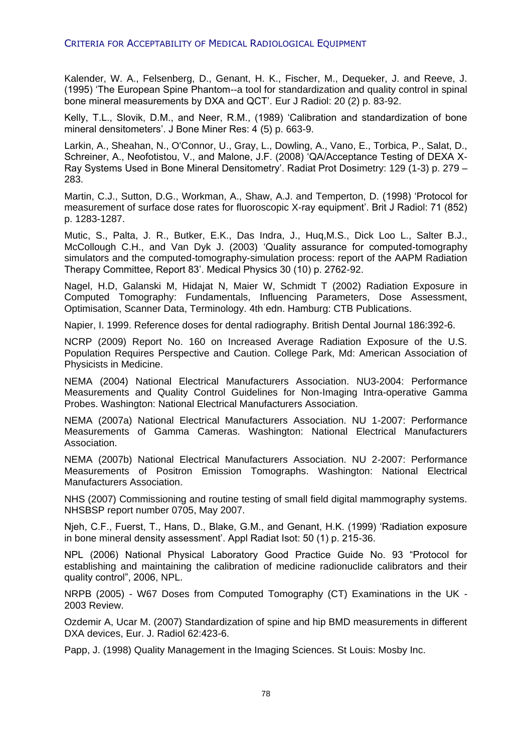Kalender, W. A., Felsenberg, D., Genant, H. K., Fischer, M., Dequeker, J. and Reeve, J. (1995) 'The European Spine Phantom--a tool for standardization and quality control in spinal bone mineral measurements by DXA and QCT'. Eur J Radiol: 20 (2) p. 83-92.

Kelly, T.L., Slovik, D.M., and Neer, R.M., (1989) 'Calibration and standardization of bone mineral densitometers'. J Bone Miner Res: 4 (5) p. 663-9.

Larkin, A., Sheahan, N., O'Connor, U., Gray, L., Dowling, A., Vano, E., Torbica, P., Salat, D., Schreiner, A., Neofotistou, V., and Malone, J.F. (2008) 'QA/Acceptance Testing of DEXA X-Ray Systems Used in Bone Mineral Densitometry'. Radiat Prot Dosimetry: 129 (1-3) p. 279 – 283.

Martin, C.J., Sutton, D.G., Workman, A., Shaw, A.J. and Temperton, D. (1998) 'Protocol for measurement of surface dose rates for fluoroscopic X-ray equipment'. Brit J Radiol: 71 (852) p. 1283-1287.

Mutic, S., Palta, J. R., Butker, E.K., Das Indra, J., Huq,M.S., Dick Loo L., Salter B.J., McCollough C.H., and Van Dyk J. (2003) 'Quality assurance for computed-tomography simulators and the computed-tomography-simulation process: report of the AAPM Radiation Therapy Committee, Report 83'. Medical Physics 30 (10) p. 2762-92.

Nagel, H.D, Galanski M, Hidajat N, Maier W, Schmidt T (2002) Radiation Exposure in Computed Tomography: Fundamentals, Influencing Parameters, Dose Assessment, Optimisation, Scanner Data, Terminology. 4th edn. Hamburg: CTB Publications.

Napier, I. 1999. Reference doses for dental radiography. British Dental Journal 186:392-6.

NCRP (2009) Report No. 160 on Increased Average Radiation Exposure of the U.S. Population Requires Perspective and Caution. College Park, Md: American Association of Physicists in Medicine.

NEMA (2004) National Electrical Manufacturers Association. NU3-2004: Performance Measurements and Quality Control Guidelines for Non-Imaging Intra-operative Gamma Probes. Washington: National Electrical Manufacturers Association.

NEMA (2007a) National Electrical Manufacturers Association. NU 1-2007: Performance Measurements of Gamma Cameras. Washington: National Electrical Manufacturers Association.

NEMA (2007b) National Electrical Manufacturers Association. NU 2-2007: Performance Measurements of Positron Emission Tomographs. Washington: National Electrical Manufacturers Association.

NHS (2007) Commissioning and routine testing of small field digital mammography systems. NHSBSP report number 0705, May 2007.

Njeh, C.F., Fuerst, T., Hans, D., Blake, G.M., and Genant, H.K. (1999) 'Radiation exposure in bone mineral density assessment'. Appl Radiat Isot: 50 (1) p. 215-36.

NPL (2006) National Physical Laboratory Good Practice Guide No. 93 "Protocol for establishing and maintaining the calibration of medicine radionuclide calibrators and their quality control", 2006, NPL.

NRPB (2005) - W67 Doses from Computed Tomography (CT) Examinations in the UK - 2003 Review.

Ozdemir A, Ucar M. (2007) Standardization of spine and hip BMD measurements in different DXA devices, Eur. J. Radiol 62:423-6.

Papp, J. (1998) Quality Management in the Imaging Sciences. St Louis: Mosby Inc.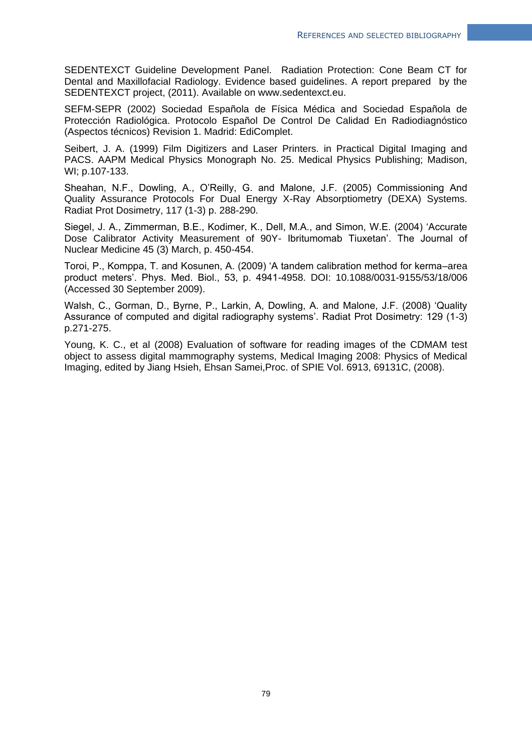SEDENTEXCT Guideline Development Panel. Radiation Protection: Cone Beam CT for Dental and Maxillofacial Radiology. Evidence based guidelines. A report prepared by the SEDENTEXCT project, (2011). Available on www.sedentexct.eu.

SEFM-SEPR (2002) Sociedad Española de Física Médica and Sociedad Española de Protección Radiológica. Protocolo Español De Control De Calidad En Radiodiagnóstico (Aspectos técnicos) Revision 1. Madrid: EdiComplet.

Seibert, J. A. (1999) Film Digitizers and Laser Printers. in Practical Digital Imaging and PACS. AAPM Medical Physics Monograph No. 25. Medical Physics Publishing; Madison, WI; p.107-133.

Sheahan, N.F., Dowling, A., O'Reilly, G. and Malone, J.F. (2005) Commissioning And Quality Assurance Protocols For Dual Energy X-Ray Absorptiometry (DEXA) Systems. Radiat Prot Dosimetry, 117 (1-3) p. 288-290.

Siegel, J. A., Zimmerman, B.E., Kodimer, K., Dell, M.A., and Simon, W.E. (2004) 'Accurate Dose Calibrator Activity Measurement of 90Y- Ibritumomab Tiuxetan'. The Journal of Nuclear Medicine 45 (3) March, p. 450-454.

Toroi, P., Komppa, T. and Kosunen, A. (2009) 'A tandem calibration method for kerma–area product meters'. Phys. Med. Biol., 53, p. 4941-4958. DOI: 10.1088/0031-9155/53/18/006 (Accessed 30 September 2009).

Walsh, C., Gorman, D., Byrne, P., Larkin, A, Dowling, A. and Malone, J.F. (2008) 'Quality Assurance of computed and digital radiography systems'. Radiat Prot Dosimetry: 129 (1-3) p.271-275.

Young, K. C., et al (2008) Evaluation of software for reading images of the CDMAM test object to assess digital mammography systems, Medical Imaging 2008: Physics of Medical Imaging, edited by Jiang Hsieh, Ehsan Samei,Proc. of SPIE Vol. 6913, 69131C, (2008).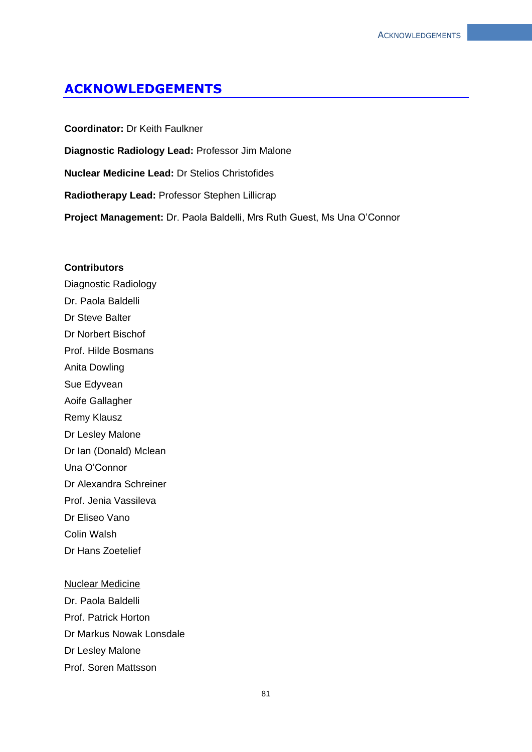# **ACKNOWLEDGEMENTS**

**Coordinator:** Dr Keith Faulkner **Diagnostic Radiology Lead:** Professor Jim Malone **Nuclear Medicine Lead:** Dr Stelios Christofides **Radiotherapy Lead:** Professor Stephen Lillicrap **Project Management:** Dr. Paola Baldelli, Mrs Ruth Guest, Ms Una O'Connor

### **Contributors**

Diagnostic Radiology Dr. Paola Baldelli Dr Steve Balter Dr Norbert Bischof Prof. Hilde Bosmans Anita Dowling Sue Edyvean Aoife Gallagher Remy Klausz Dr Lesley Malone Dr Ian (Donald) Mclean Una O'Connor Dr Alexandra Schreiner Prof. Jenia Vassileva Dr Eliseo Vano Colin Walsh Dr Hans Zoetelief

#### Nuclear Medicine

Dr. Paola Baldelli Prof. Patrick Horton Dr Markus Nowak Lonsdale Dr Lesley Malone Prof. Soren Mattsson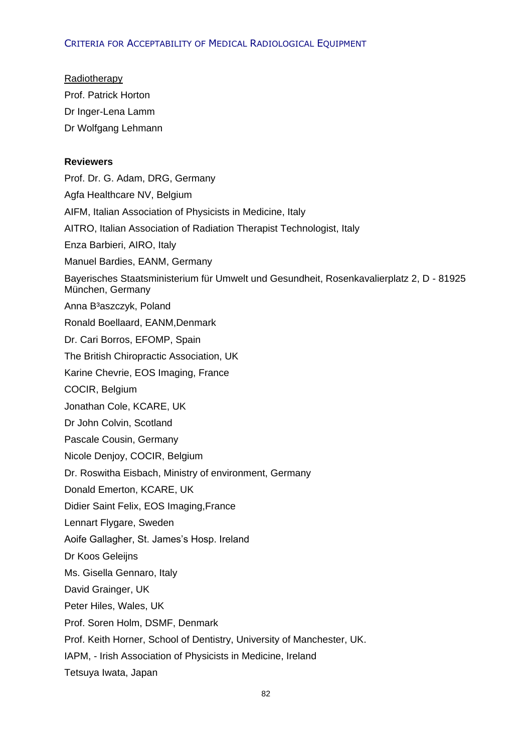Radiotherapy Prof. Patrick Horton Dr Inger-Lena Lamm Dr Wolfgang Lehmann

# **Reviewers**

Prof. Dr. G. Adam, DRG, Germany Agfa Healthcare NV, Belgium AIFM, Italian Association of Physicists in Medicine, Italy AITRO, Italian Association of Radiation Therapist Technologist, Italy Enza Barbieri, AIRO, Italy Manuel Bardies, EANM, Germany Bayerisches Staatsministerium für Umwelt und Gesundheit, Rosenkavalierplatz 2, D - 81925 München, Germany Anna B³aszczyk, Poland Ronald Boellaard, EANM,Denmark Dr. Cari Borros, EFOMP, Spain The British Chiropractic Association, UK Karine Chevrie, EOS Imaging, France COCIR, Belgium Jonathan Cole, KCARE, UK Dr John Colvin, Scotland Pascale Cousin, Germany Nicole Denjoy, COCIR, Belgium Dr. Roswitha Eisbach, Ministry of environment, Germany Donald Emerton, KCARE, UK Didier Saint Felix, EOS Imaging,France Lennart Flygare, Sweden Aoife Gallagher, St. James's Hosp. Ireland Dr Koos Geleijns Ms. Gisella Gennaro, Italy David Grainger, UK Peter Hiles, Wales, UK Prof. Soren Holm, DSMF, Denmark Prof. Keith Horner, School of Dentistry, University of Manchester, UK. IAPM, - Irish Association of Physicists in Medicine, Ireland

Tetsuya Iwata, Japan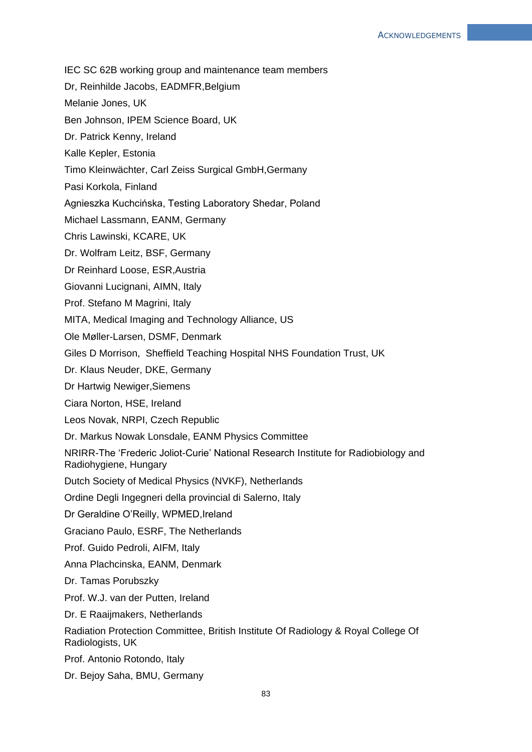- IEC SC 62B working group and maintenance team members
- Dr, Reinhilde Jacobs, EADMFR, Belgium
- Melanie Jones, UK
- Ben Johnson, IPEM Science Board, UK
- Dr. Patrick Kenny, Ireland
- Kalle Kepler, Estonia
- Timo Kleinwächter, Carl Zeiss Surgical GmbH,Germany
- Pasi Korkola, Finland
- Agnieszka Kuchcińska, Testing Laboratory Shedar, Poland
- Michael Lassmann, EANM, Germany
- Chris Lawinski, KCARE, UK
- Dr. Wolfram Leitz, BSF, Germany
- Dr Reinhard Loose, ESR,Austria
- Giovanni Lucignani, AIMN, Italy
- Prof. Stefano M Magrini, Italy
- MITA, Medical Imaging and Technology Alliance, US
- Ole Møller-Larsen, DSMF, Denmark
- Giles D Morrison, Sheffield Teaching Hospital NHS Foundation Trust, UK
- Dr. Klaus Neuder, DKE, Germany
- Dr Hartwig Newiger,Siemens
- Ciara Norton, HSE, Ireland
- Leos Novak, NRPI, Czech Republic
- Dr. Markus Nowak Lonsdale, EANM Physics Committee
- NRIRR-The 'Frederic Joliot-Curie' National Research Institute for Radiobiology and Radiohygiene, Hungary
- Dutch Society of Medical Physics (NVKF), Netherlands
- Ordine Degli Ingegneri della provincial di Salerno, Italy
- Dr Geraldine O'Reilly, WPMED,Ireland
- Graciano Paulo, ESRF, The Netherlands
- Prof. Guido Pedroli, AIFM, Italy
- Anna Plachcinska, EANM, Denmark
- Dr. Tamas Porubszky
- Prof. W.J. van der Putten, Ireland
- Dr. E Raaijmakers, Netherlands
- Radiation Protection Committee, British Institute Of Radiology & Royal College Of Radiologists, UK
- Prof. Antonio Rotondo, Italy
- Dr. Bejoy Saha, BMU, Germany